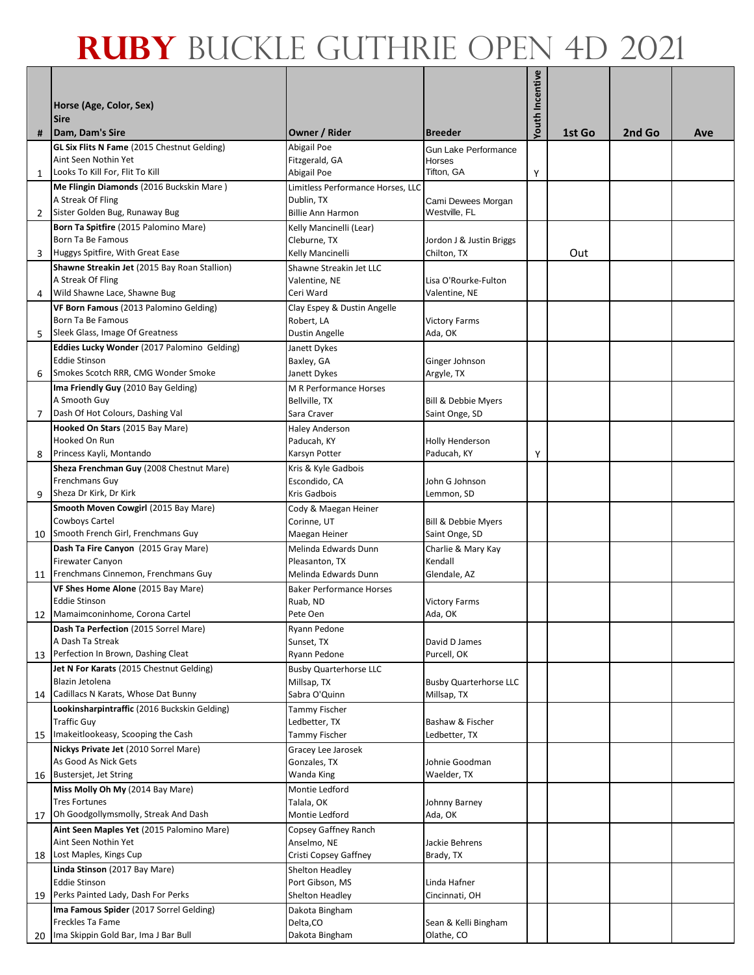| #              | Horse (Age, Color, Sex)<br><b>Sire</b><br>Dam, Dam's Sire           | Owner / Rider                          | <b>Breeder</b>                 | Youth Incentive | 1st Go | 2nd Go | Ave |
|----------------|---------------------------------------------------------------------|----------------------------------------|--------------------------------|-----------------|--------|--------|-----|
|                | <b>GL Six Flits N Fame</b> (2015 Chestnut Gelding)                  | Abigail Poe                            | Gun Lake Performance           |                 |        |        |     |
|                | Aint Seen Nothin Yet                                                | Fitzgerald, GA                         | Horses                         |                 |        |        |     |
| $\mathbf{1}$   | Looks To Kill For, Flit To Kill                                     | Abigail Poe                            | Tifton, GA                     | Υ               |        |        |     |
|                | Me Flingin Diamonds (2016 Buckskin Mare)                            | Limitless Performance Horses, LLC      |                                |                 |        |        |     |
|                | A Streak Of Fling                                                   | Dublin, TX                             | Cami Dewees Morgan             |                 |        |        |     |
| $\overline{2}$ | Sister Golden Bug, Runaway Bug                                      | <b>Billie Ann Harmon</b>               | Westville, FL                  |                 |        |        |     |
|                | Born Ta Spitfire (2015 Palomino Mare)                               | Kelly Mancinelli (Lear)                |                                |                 |        |        |     |
|                | Born Ta Be Famous                                                   | Cleburne, TX                           | Jordon J & Justin Briggs       |                 |        |        |     |
| 3              | Huggys Spitfire, With Great Ease                                    | Kelly Mancinelli                       | Chilton, TX                    |                 | Out    |        |     |
|                | Shawne Streakin Jet (2015 Bay Roan Stallion)                        | Shawne Streakin Jet LLC                |                                |                 |        |        |     |
|                | A Streak Of Fling                                                   | Valentine, NE                          | Lisa O'Rourke-Fulton           |                 |        |        |     |
| 4              | Wild Shawne Lace, Shawne Bug                                        | Ceri Ward                              | Valentine, NE                  |                 |        |        |     |
|                | VF Born Famous (2013 Palomino Gelding)                              | Clay Espey & Dustin Angelle            |                                |                 |        |        |     |
|                | Born Ta Be Famous<br>Sleek Glass, Image Of Greatness                | Robert, LA                             | <b>Victory Farms</b>           |                 |        |        |     |
| 5              |                                                                     | <b>Dustin Angelle</b>                  | Ada, OK                        |                 |        |        |     |
|                | Eddies Lucky Wonder (2017 Palomino Gelding)<br><b>Eddie Stinson</b> | Janett Dykes<br>Baxley, GA             | Ginger Johnson                 |                 |        |        |     |
| 6              | Smokes Scotch RRR, CMG Wonder Smoke                                 | Janett Dykes                           | Argyle, TX                     |                 |        |        |     |
|                | Ima Friendly Guy (2010 Bay Gelding)                                 | M R Performance Horses                 |                                |                 |        |        |     |
|                | A Smooth Guy                                                        | Bellville, TX                          | <b>Bill &amp; Debbie Myers</b> |                 |        |        |     |
| 7              | Dash Of Hot Colours, Dashing Val                                    | Sara Craver                            | Saint Onge, SD                 |                 |        |        |     |
|                | Hooked On Stars (2015 Bay Mare)                                     | <b>Haley Anderson</b>                  |                                |                 |        |        |     |
|                | Hooked On Run                                                       | Paducah, KY                            | Holly Henderson                |                 |        |        |     |
| 8              | Princess Kayli, Montando                                            | Karsyn Potter                          | Paducah, KY                    | Υ               |        |        |     |
|                | Sheza Frenchman Guy (2008 Chestnut Mare)                            | Kris & Kyle Gadbois                    |                                |                 |        |        |     |
|                | Frenchmans Guy                                                      | Escondido, CA                          | John G Johnson                 |                 |        |        |     |
| 9              | Sheza Dr Kirk, Dr Kirk                                              | Kris Gadbois                           | Lemmon, SD                     |                 |        |        |     |
|                | Smooth Moven Cowgirl (2015 Bay Mare)                                | Cody & Maegan Heiner                   |                                |                 |        |        |     |
|                | Cowboys Cartel<br>10 Smooth French Girl, Frenchmans Guy             | Corinne, UT                            | Bill & Debbie Myers            |                 |        |        |     |
|                |                                                                     | Maegan Heiner                          | Saint Onge, SD                 |                 |        |        |     |
|                | Dash Ta Fire Canyon (2015 Gray Mare)<br>Firewater Canyon            | Melinda Edwards Dunn<br>Pleasanton, TX | Charlie & Mary Kay<br>Kendall  |                 |        |        |     |
| 11             | Frenchmans Cinnemon, Frenchmans Guy                                 | Melinda Edwards Dunn                   | Glendale, AZ                   |                 |        |        |     |
|                | VF Shes Home Alone (2015 Bay Mare)                                  | <b>Baker Performance Horses</b>        |                                |                 |        |        |     |
|                | <b>Eddie Stinson</b>                                                | Ruab, ND                               | <b>Victory Farms</b>           |                 |        |        |     |
|                | 12 Mamaimconinhome, Corona Cartel                                   | Pete Oen                               | Ada, OK                        |                 |        |        |     |
|                | Dash Ta Perfection (2015 Sorrel Mare)                               | Ryann Pedone                           |                                |                 |        |        |     |
|                | A Dash Ta Streak                                                    | Sunset, TX                             | David D James                  |                 |        |        |     |
| 13             | Perfection In Brown, Dashing Cleat                                  | Ryann Pedone                           | Purcell, OK                    |                 |        |        |     |
|                | Jet N For Karats (2015 Chestnut Gelding)                            | <b>Busby Quarterhorse LLC</b>          |                                |                 |        |        |     |
|                | Blazin Jetolena                                                     | Millsap, TX                            | <b>Busby Quarterhorse LLC</b>  |                 |        |        |     |
|                | 14 Cadillacs N Karats, Whose Dat Bunny                              | Sabra O'Quinn                          | Millsap, TX                    |                 |        |        |     |
|                | Lookinsharpintraffic (2016 Buckskin Gelding)<br><b>Traffic Guy</b>  | Tammy Fischer<br>Ledbetter, TX         | Bashaw & Fischer               |                 |        |        |     |
| 15             | Imakeitlookeasy, Scooping the Cash                                  | Tammy Fischer                          | Ledbetter, TX                  |                 |        |        |     |
|                | Nickys Private Jet (2010 Sorrel Mare)                               | Gracey Lee Jarosek                     |                                |                 |        |        |     |
|                | As Good As Nick Gets                                                | Gonzales, TX                           | Johnie Goodman                 |                 |        |        |     |
|                | 16 Bustersjet, Jet String                                           | Wanda King                             | Waelder, TX                    |                 |        |        |     |
|                | Miss Molly Oh My (2014 Bay Mare)                                    | Montie Ledford                         |                                |                 |        |        |     |
|                | <b>Tres Fortunes</b>                                                | Talala, OK                             | Johnny Barney                  |                 |        |        |     |
|                | 17 Oh Goodgollymsmolly, Streak And Dash                             | Montie Ledford                         | Ada, OK                        |                 |        |        |     |
|                | Aint Seen Maples Yet (2015 Palomino Mare)                           | Copsey Gaffney Ranch                   |                                |                 |        |        |     |
|                | Aint Seen Nothin Yet                                                | Anselmo, NE                            | Jackie Behrens                 |                 |        |        |     |
|                | 18 Lost Maples, Kings Cup                                           | Cristi Copsey Gaffney                  | Brady, TX                      |                 |        |        |     |
|                | Linda Stinson (2017 Bay Mare)<br>Eddie Stinson                      | Shelton Headley<br>Port Gibson, MS     | Linda Hafner                   |                 |        |        |     |
| 19             | Perks Painted Lady, Dash For Perks                                  | Shelton Headley                        | Cincinnati, OH                 |                 |        |        |     |
|                | Ima Famous Spider (2017 Sorrel Gelding)                             | Dakota Bingham                         |                                |                 |        |        |     |
|                | Freckles Ta Fame                                                    | Delta, CO                              | Sean & Kelli Bingham           |                 |        |        |     |
|                | 20 Ima Skippin Gold Bar, Ima J Bar Bull                             | Dakota Bingham                         | Olathe, CO                     |                 |        |        |     |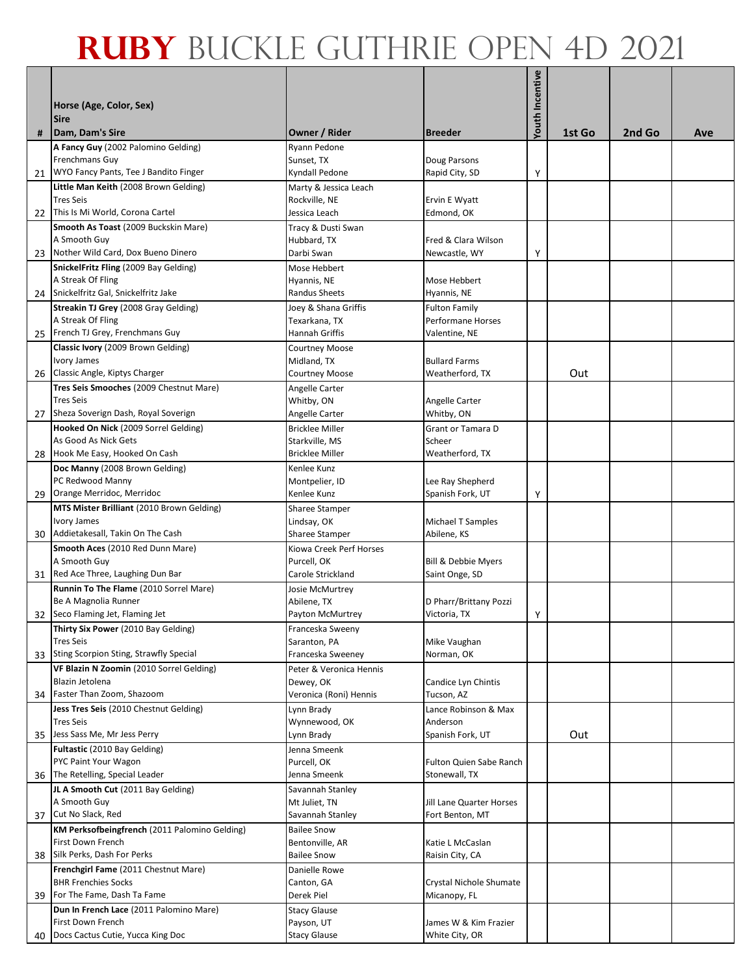| #  | Horse (Age, Color, Sex)<br><b>Sire</b><br>Dam, Dam's Sire           | Owner / Rider                            | <b>Breeder</b>                                   | Youth Incentive | 1st Go | 2nd Go | Ave |
|----|---------------------------------------------------------------------|------------------------------------------|--------------------------------------------------|-----------------|--------|--------|-----|
|    | A Fancy Guy (2002 Palomino Gelding)                                 | Ryann Pedone                             |                                                  |                 |        |        |     |
|    | Frenchmans Guy                                                      | Sunset, TX                               | Doug Parsons                                     |                 |        |        |     |
| 21 | WYO Fancy Pants, Tee J Bandito Finger                               | Kyndall Pedone                           | Rapid City, SD                                   | Υ               |        |        |     |
|    | Little Man Keith (2008 Brown Gelding)                               | Marty & Jessica Leach                    |                                                  |                 |        |        |     |
|    | <b>Tres Seis</b>                                                    | Rockville, NE                            | Ervin E Wyatt                                    |                 |        |        |     |
| 22 | This Is Mi World, Corona Cartel                                     | Jessica Leach                            | Edmond, OK                                       |                 |        |        |     |
|    | Smooth As Toast (2009 Buckskin Mare)                                | Tracy & Dusti Swan                       |                                                  |                 |        |        |     |
|    | A Smooth Guy                                                        | Hubbard, TX                              | Fred & Clara Wilson                              |                 |        |        |     |
|    | 23 Nother Wild Card, Dox Bueno Dinero                               | Darbi Swan                               | Newcastle, WY                                    | Υ               |        |        |     |
|    | SnickelFritz Fling (2009 Bay Gelding)                               | Mose Hebbert                             |                                                  |                 |        |        |     |
|    | A Streak Of Fling                                                   | Hyannis, NE                              | Mose Hebbert                                     |                 |        |        |     |
|    | 24 Snickelfritz Gal, Snickelfritz Jake                              | <b>Randus Sheets</b>                     | Hyannis, NE                                      |                 |        |        |     |
|    | Streakin TJ Grey (2008 Gray Gelding)<br>A Streak Of Fling           | Joey & Shana Griffis<br>Texarkana, TX    | <b>Fulton Family</b><br><b>Performane Horses</b> |                 |        |        |     |
|    | 25 French TJ Grey, Frenchmans Guy                                   | Hannah Griffis                           | Valentine, NE                                    |                 |        |        |     |
|    | Classic Ivory (2009 Brown Gelding)                                  | <b>Courtney Moose</b>                    |                                                  |                 |        |        |     |
|    | Ivory James                                                         | Midland, TX                              | <b>Bullard Farms</b>                             |                 |        |        |     |
| 26 | Classic Angle, Kiptys Charger                                       | <b>Courtney Moose</b>                    | Weatherford, TX                                  |                 | Out    |        |     |
|    | Tres Seis Smooches (2009 Chestnut Mare)                             | Angelle Carter                           |                                                  |                 |        |        |     |
|    | <b>Tres Seis</b>                                                    | Whitby, ON                               | Angelle Carter                                   |                 |        |        |     |
| 27 | Sheza Soverign Dash, Royal Soverign                                 | Angelle Carter                           | Whitby, ON                                       |                 |        |        |     |
|    | Hooked On Nick (2009 Sorrel Gelding)                                | <b>Bricklee Miller</b>                   | Grant or Tamara D                                |                 |        |        |     |
|    | As Good As Nick Gets<br>Hook Me Easy, Hooked On Cash                | Starkville, MS<br><b>Bricklee Miller</b> | Scheer<br>Weatherford, TX                        |                 |        |        |     |
| 28 | Doc Manny (2008 Brown Gelding)                                      | Kenlee Kunz                              |                                                  |                 |        |        |     |
|    | PC Redwood Manny                                                    | Montpelier, ID                           | Lee Ray Shepherd                                 |                 |        |        |     |
| 29 | Orange Merridoc, Merridoc                                           | Kenlee Kunz                              | Spanish Fork, UT                                 | Υ               |        |        |     |
|    | MTS Mister Brilliant (2010 Brown Gelding)                           | Sharee Stamper                           |                                                  |                 |        |        |     |
|    | Ivory James                                                         | Lindsay, OK                              | Michael T Samples                                |                 |        |        |     |
| 30 | Addietakesall, Takin On The Cash                                    | Sharee Stamper                           | Abilene, KS                                      |                 |        |        |     |
|    | Smooth Aces (2010 Red Dunn Mare)                                    | Kiowa Creek Perf Horses                  |                                                  |                 |        |        |     |
|    | A Smooth Guy                                                        | Purcell, OK                              | Bill & Debbie Myers                              |                 |        |        |     |
| 31 | Red Ace Three, Laughing Dun Bar                                     | Carole Strickland                        | Saint Onge, SD                                   |                 |        |        |     |
|    | Runnin To The Flame (2010 Sorrel Mare)<br>Be A Magnolia Runner      | Josie McMurtrey<br>Abilene, TX           | D Pharr/Brittany Pozzi                           |                 |        |        |     |
|    | 32 Seco Flaming Jet, Flaming Jet                                    | Payton McMurtrey                         | Victoria, TX                                     | Υ               |        |        |     |
|    | Thirty Six Power (2010 Bay Gelding)                                 | Franceska Sweeny                         |                                                  |                 |        |        |     |
|    | <b>Tres Seis</b>                                                    | Saranton, PA                             | Mike Vaughan                                     |                 |        |        |     |
| 33 | <b>Sting Scorpion Sting, Strawfly Special</b>                       | Franceska Sweeney                        | Norman, OK                                       |                 |        |        |     |
|    | VF Blazin N Zoomin (2010 Sorrel Gelding)                            | Peter & Veronica Hennis                  |                                                  |                 |        |        |     |
|    | Blazin Jetolena                                                     | Dewey, OK                                | Candice Lyn Chintis                              |                 |        |        |     |
| 34 | Faster Than Zoom, Shazoom<br>Jess Tres Seis (2010 Chestnut Gelding) | Veronica (Roni) Hennis                   | Tucson, AZ<br>Lance Robinson & Max               |                 |        |        |     |
|    | <b>Tres Seis</b>                                                    | Lynn Brady<br>Wynnewood, OK              | Anderson                                         |                 |        |        |     |
| 35 | Jess Sass Me, Mr Jess Perry                                         | Lynn Brady                               | Spanish Fork, UT                                 |                 | Out    |        |     |
|    | Fultastic (2010 Bay Gelding)                                        | Jenna Smeenk                             |                                                  |                 |        |        |     |
|    | PYC Paint Your Wagon                                                | Purcell, OK                              | Fulton Quien Sabe Ranch                          |                 |        |        |     |
|    | 36 The Retelling, Special Leader                                    | Jenna Smeenk                             | Stonewall, TX                                    |                 |        |        |     |
|    | JL A Smooth Cut (2011 Bay Gelding)                                  | Savannah Stanley                         |                                                  |                 |        |        |     |
|    | A Smooth Guy<br>37 Cut No Slack, Red                                | Mt Juliet, TN                            | Jill Lane Quarter Horses                         |                 |        |        |     |
|    | KM Perksofbeingfrench (2011 Palomino Gelding)                       | Savannah Stanley<br><b>Bailee Snow</b>   | Fort Benton, MT                                  |                 |        |        |     |
|    | First Down French                                                   | Bentonville, AR                          | Katie L McCaslan                                 |                 |        |        |     |
| 38 | Silk Perks, Dash For Perks                                          | <b>Bailee Snow</b>                       | Raisin City, CA                                  |                 |        |        |     |
|    | Frenchgirl Fame (2011 Chestnut Mare)                                | Danielle Rowe                            |                                                  |                 |        |        |     |
|    | <b>BHR Frenchies Socks</b>                                          | Canton, GA                               | Crystal Nichole Shumate                          |                 |        |        |     |
| 39 | For The Fame, Dash Ta Fame                                          | Derek Piel                               | Micanopy, FL                                     |                 |        |        |     |
|    | Dun In French Lace (2011 Palomino Mare)                             | <b>Stacy Glause</b>                      |                                                  |                 |        |        |     |
|    | First Down French                                                   | Payson, UT                               | James W & Kim Frazier                            |                 |        |        |     |
|    | 40 Docs Cactus Cutie, Yucca King Doc                                | <b>Stacy Glause</b>                      | White City, OR                                   |                 |        |        |     |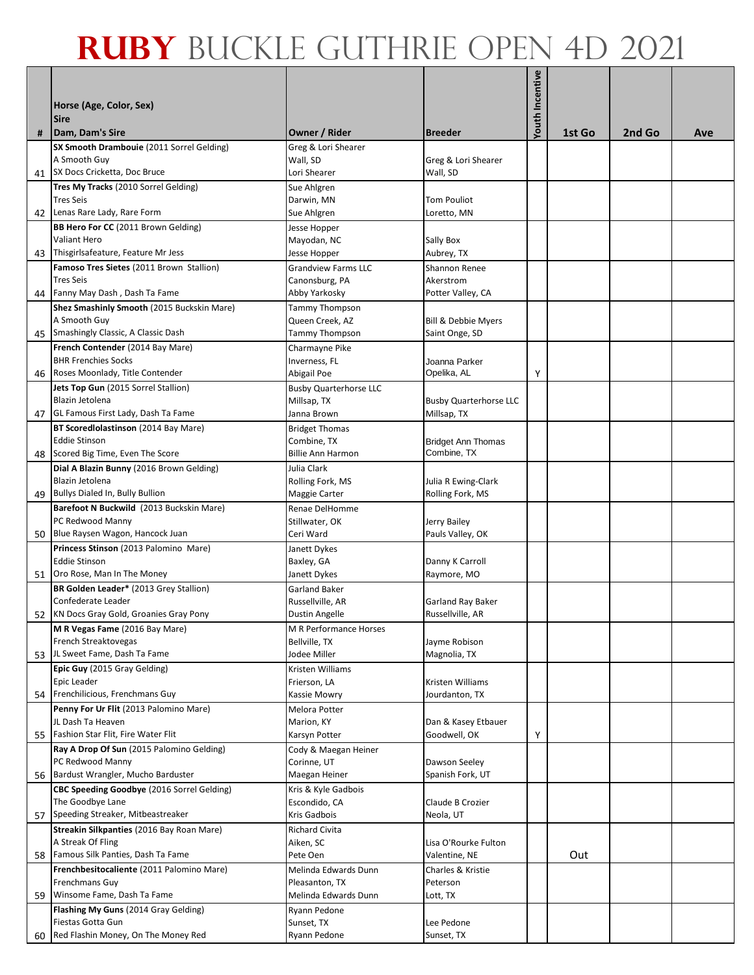|    | Horse (Age, Color, Sex)<br><b>Sire</b>                                      |                                          |                                          | Youth Incentive |        |        |     |
|----|-----------------------------------------------------------------------------|------------------------------------------|------------------------------------------|-----------------|--------|--------|-----|
| #  | Dam, Dam's Sire                                                             | Owner / Rider                            | <b>Breeder</b>                           |                 | 1st Go | 2nd Go | Ave |
|    | SX Smooth Drambouie (2011 Sorrel Gelding)<br>A Smooth Guy                   | Greg & Lori Shearer<br>Wall, SD          | Greg & Lori Shearer                      |                 |        |        |     |
|    | 41 SX Docs Cricketta, Doc Bruce                                             | Lori Shearer                             | Wall, SD                                 |                 |        |        |     |
|    | Tres My Tracks (2010 Sorrel Gelding)                                        | Sue Ahlgren                              |                                          |                 |        |        |     |
|    | <b>Tres Seis</b>                                                            | Darwin, MN                               | <b>Tom Pouliot</b>                       |                 |        |        |     |
| 42 | Lenas Rare Lady, Rare Form                                                  | Sue Ahlgren                              | Loretto, MN                              |                 |        |        |     |
|    | BB Hero For CC (2011 Brown Gelding)                                         | Jesse Hopper                             |                                          |                 |        |        |     |
|    | Valiant Hero                                                                | Mayodan, NC                              | Sally Box                                |                 |        |        |     |
| 43 | Thisgirlsafeature, Feature Mr Jess                                          | Jesse Hopper                             | Aubrey, TX                               |                 |        |        |     |
|    | Famoso Tres Sietes (2011 Brown Stallion)                                    | <b>Grandview Farms LLC</b>               | Shannon Renee                            |                 |        |        |     |
|    | <b>Tres Seis</b>                                                            | Canonsburg, PA                           | Akerstrom                                |                 |        |        |     |
| 44 | Fanny May Dash, Dash Ta Fame                                                | Abby Yarkosky                            | Potter Valley, CA                        |                 |        |        |     |
|    | Shez Smashinly Smooth (2015 Buckskin Mare)<br>A Smooth Guy                  | Tammy Thompson<br>Queen Creek, AZ        | Bill & Debbie Myers                      |                 |        |        |     |
|    | 45 Smashingly Classic, A Classic Dash                                       | <b>Tammy Thompson</b>                    | Saint Onge, SD                           |                 |        |        |     |
|    | French Contender (2014 Bay Mare)                                            | Charmayne Pike                           |                                          |                 |        |        |     |
|    | <b>BHR Frenchies Socks</b>                                                  | Inverness, FL                            | Joanna Parker                            |                 |        |        |     |
| 46 | Roses Moonlady, Title Contender                                             | Abigail Poe                              | Opelika, AL                              | Υ               |        |        |     |
|    | Jets Top Gun (2015 Sorrel Stallion)                                         | <b>Busby Quarterhorse LLC</b>            |                                          |                 |        |        |     |
|    | Blazin Jetolena                                                             | Millsap, TX                              | <b>Busby Quarterhorse LLC</b>            |                 |        |        |     |
| 47 | GL Famous First Lady, Dash Ta Fame                                          | Janna Brown                              | Millsap, TX                              |                 |        |        |     |
|    | BT ScoredIolastinson (2014 Bay Mare)                                        | <b>Bridget Thomas</b>                    |                                          |                 |        |        |     |
|    | <b>Eddie Stinson</b><br>Scored Big Time, Even The Score                     | Combine, TX<br><b>Billie Ann Harmon</b>  | <b>Bridget Ann Thomas</b><br>Combine, TX |                 |        |        |     |
| 48 | Dial A Blazin Bunny (2016 Brown Gelding)                                    | Julia Clark                              |                                          |                 |        |        |     |
|    | Blazin Jetolena                                                             | Rolling Fork, MS                         | Julia R Ewing-Clark                      |                 |        |        |     |
| 49 | Bullys Dialed In, Bully Bullion                                             | Maggie Carter                            | Rolling Fork, MS                         |                 |        |        |     |
|    | Barefoot N Buckwild (2013 Buckskin Mare)                                    | Renae DelHomme                           |                                          |                 |        |        |     |
|    | PC Redwood Manny                                                            | Stillwater, OK                           | Jerry Bailey                             |                 |        |        |     |
| 50 | Blue Raysen Wagon, Hancock Juan                                             | Ceri Ward                                | Pauls Valley, OK                         |                 |        |        |     |
|    | Princess Stinson (2013 Palomino Mare)                                       | Janett Dykes                             |                                          |                 |        |        |     |
|    | <b>Eddie Stinson</b>                                                        | Baxley, GA                               | Danny K Carroll                          |                 |        |        |     |
| 51 | Oro Rose, Man In The Money                                                  | Janett Dykes                             | Raymore, MO                              |                 |        |        |     |
|    | BR Golden Leader* (2013 Grey Stallion)<br>Confederate Leader                | <b>Garland Baker</b><br>Russellville, AR | Garland Ray Baker                        |                 |        |        |     |
|    | 52 KN Docs Gray Gold, Groanies Gray Pony                                    | <b>Dustin Angelle</b>                    | Russellville, AR                         |                 |        |        |     |
|    | M R Vegas Fame (2016 Bay Mare)                                              | M R Performance Horses                   |                                          |                 |        |        |     |
|    | French Streaktovegas                                                        | Bellville, TX                            | Jayme Robison                            |                 |        |        |     |
| 53 | JL Sweet Fame, Dash Ta Fame                                                 | Jodee Miller                             | Magnolia, TX                             |                 |        |        |     |
|    | Epic Guy (2015 Gray Gelding)                                                | Kristen Williams                         |                                          |                 |        |        |     |
|    | Epic Leader                                                                 | Frierson, LA                             | Kristen Williams                         |                 |        |        |     |
|    | 54 Frenchilicious, Frenchmans Guy<br>Penny For Ur Flit (2013 Palomino Mare) | Kassie Mowry<br>Melora Potter            | Jourdanton, TX                           |                 |        |        |     |
|    | JL Dash Ta Heaven                                                           | Marion, KY                               | Dan & Kasey Etbauer                      |                 |        |        |     |
| 55 | Fashion Star Flit, Fire Water Flit                                          | Karsyn Potter                            | Goodwell, OK                             | Υ               |        |        |     |
|    | Ray A Drop Of Sun (2015 Palomino Gelding)                                   | Cody & Maegan Heiner                     |                                          |                 |        |        |     |
|    | PC Redwood Manny                                                            | Corinne, UT                              | Dawson Seeley                            |                 |        |        |     |
| 56 | Bardust Wrangler, Mucho Barduster                                           | Maegan Heiner                            | Spanish Fork, UT                         |                 |        |        |     |
|    | CBC Speeding Goodbye (2016 Sorrel Gelding)                                  | Kris & Kyle Gadbois                      |                                          |                 |        |        |     |
|    | The Goodbye Lane                                                            | Escondido, CA                            | Claude B Crozier                         |                 |        |        |     |
| 57 | Speeding Streaker, Mitbeastreaker                                           | Kris Gadbois                             | Neola, UT                                |                 |        |        |     |
|    | Streakin Silkpanties (2016 Bay Roan Mare)<br>A Streak Of Fling              | Richard Civita<br>Aiken, SC              | Lisa O'Rourke Fulton                     |                 |        |        |     |
| 58 | Famous Silk Panties, Dash Ta Fame                                           | Pete Oen                                 | Valentine, NE                            |                 | Out    |        |     |
|    | Frenchbesitocaliente (2011 Palomino Mare)                                   | Melinda Edwards Dunn                     | Charles & Kristie                        |                 |        |        |     |
|    | Frenchmans Guy                                                              | Pleasanton, TX                           | Peterson                                 |                 |        |        |     |
| 59 | Winsome Fame, Dash Ta Fame                                                  | Melinda Edwards Dunn                     | Lott, TX                                 |                 |        |        |     |
|    | Flashing My Guns (2014 Gray Gelding)                                        | Ryann Pedone                             |                                          |                 |        |        |     |
|    | Fiestas Gotta Gun                                                           | Sunset, TX                               | Lee Pedone                               |                 |        |        |     |
| 60 | Red Flashin Money, On The Money Red                                         | Ryann Pedone                             | Sunset, TX                               |                 |        |        |     |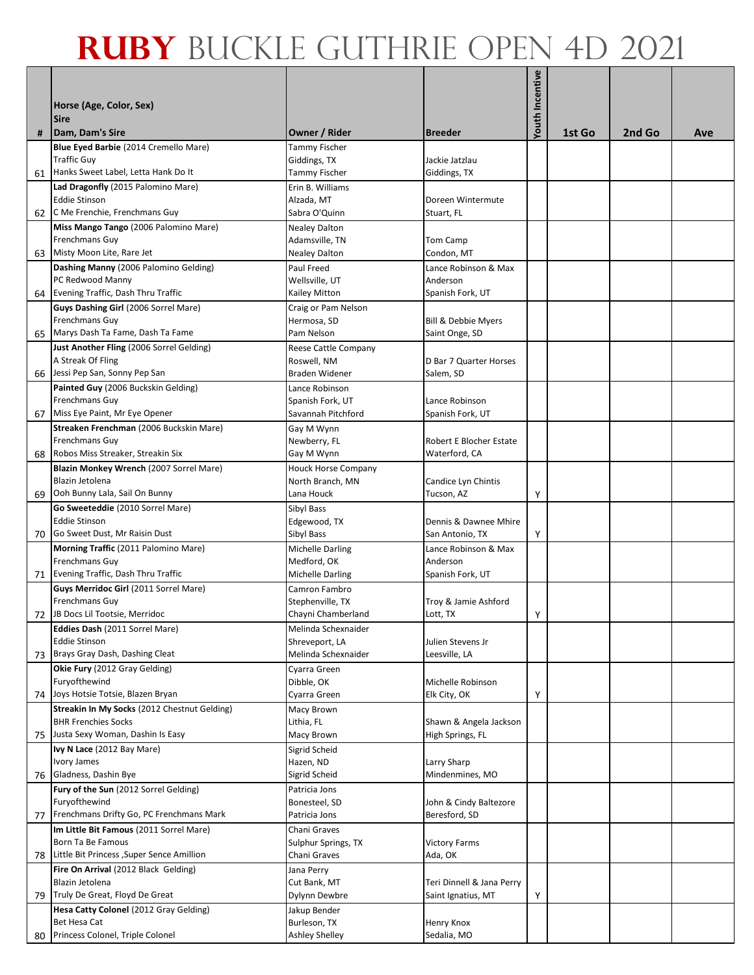| #  | Horse (Age, Color, Sex)<br><b>Sire</b><br>Dam, Dam's Sire     | Owner / Rider                          | <b>Breeder</b>                 | Youth Incentive | 1st Go | 2nd Go | Ave |
|----|---------------------------------------------------------------|----------------------------------------|--------------------------------|-----------------|--------|--------|-----|
|    | Blue Eyed Barbie (2014 Cremello Mare)                         | Tammy Fischer                          |                                |                 |        |        |     |
|    | <b>Traffic Guy</b>                                            | Giddings, TX                           | Jackie Jatzlau                 |                 |        |        |     |
| 61 | Hanks Sweet Label, Letta Hank Do It                           | Tammy Fischer                          | Giddings, TX                   |                 |        |        |     |
|    | Lad Dragonfly (2015 Palomino Mare)                            | Erin B. Williams                       |                                |                 |        |        |     |
|    | <b>Eddie Stinson</b>                                          | Alzada, MT                             | Doreen Wintermute              |                 |        |        |     |
| 62 | C Me Frenchie, Frenchmans Guy                                 | Sabra O'Quinn                          | Stuart, FL                     |                 |        |        |     |
|    | Miss Mango Tango (2006 Palomino Mare)                         | <b>Nealey Dalton</b>                   |                                |                 |        |        |     |
|    | Frenchmans Guy                                                | Adamsville, TN                         | Tom Camp                       |                 |        |        |     |
|    | 63 Misty Moon Lite, Rare Jet                                  | <b>Nealey Dalton</b>                   | Condon, MT                     |                 |        |        |     |
|    | Dashing Manny (2006 Palomino Gelding)                         | Paul Freed                             | Lance Robinson & Max           |                 |        |        |     |
|    | PC Redwood Manny                                              | Wellsville, UT                         | Anderson                       |                 |        |        |     |
| 64 | Evening Traffic, Dash Thru Traffic                            | Kailey Mitton                          | Spanish Fork, UT               |                 |        |        |     |
|    | Guys Dashing Girl (2006 Sorrel Mare)                          | Craig or Pam Nelson                    |                                |                 |        |        |     |
|    | Frenchmans Guy                                                | Hermosa, SD                            | <b>Bill &amp; Debbie Myers</b> |                 |        |        |     |
| 65 | Marys Dash Ta Fame, Dash Ta Fame                              | Pam Nelson                             | Saint Onge, SD                 |                 |        |        |     |
|    | Just Another Fling (2006 Sorrel Gelding)<br>A Streak Of Fling | Reese Cattle Company<br>Roswell, NM    | D Bar 7 Quarter Horses         |                 |        |        |     |
| 66 | Jessi Pep San, Sonny Pep San                                  | Braden Widener                         | Salem, SD                      |                 |        |        |     |
|    | Painted Guy (2006 Buckskin Gelding)                           | Lance Robinson                         |                                |                 |        |        |     |
|    | Frenchmans Guy                                                | Spanish Fork, UT                       | Lance Robinson                 |                 |        |        |     |
| 67 | Miss Eye Paint, Mr Eye Opener                                 | Savannah Pitchford                     | Spanish Fork, UT               |                 |        |        |     |
|    | Streaken Frenchman (2006 Buckskin Mare)                       | Gay M Wynn                             |                                |                 |        |        |     |
|    | Frenchmans Guy                                                | Newberry, FL                           | Robert E Blocher Estate        |                 |        |        |     |
| 68 | Robos Miss Streaker, Streakin Six                             | Gay M Wynn                             | Waterford, CA                  |                 |        |        |     |
|    | Blazin Monkey Wrench (2007 Sorrel Mare)                       | <b>Houck Horse Company</b>             |                                |                 |        |        |     |
|    | Blazin Jetolena                                               | North Branch, MN                       | Candice Lyn Chintis            |                 |        |        |     |
| 69 | Ooh Bunny Lala, Sail On Bunny                                 | Lana Houck                             | Tucson, AZ                     | Υ               |        |        |     |
|    | Go Sweeteddie (2010 Sorrel Mare)                              | Sibyl Bass                             |                                |                 |        |        |     |
|    | <b>Eddie Stinson</b>                                          | Edgewood, TX                           | Dennis & Dawnee Mhire          |                 |        |        |     |
| 70 | Go Sweet Dust, Mr Raisin Dust                                 | Sibyl Bass                             | San Antonio, TX                | Υ               |        |        |     |
|    | Morning Traffic (2011 Palomino Mare)                          | <b>Michelle Darling</b>                | Lance Robinson & Max           |                 |        |        |     |
|    | Frenchmans Guy<br>Evening Traffic, Dash Thru Traffic          | Medford, OK<br><b>Michelle Darling</b> | Anderson<br>Spanish Fork, UT   |                 |        |        |     |
| 71 | Guys Merridoc Girl (2011 Sorrel Mare)                         | Camron Fambro                          |                                |                 |        |        |     |
|    | Frenchmans Guy                                                | Stephenville, TX                       | Troy & Jamie Ashford           |                 |        |        |     |
|    | 72 JB Docs Lil Tootsie, Merridoc                              | Chayni Chamberland                     | Lott, TX                       | Υ               |        |        |     |
|    | Eddies Dash (2011 Sorrel Mare)                                | Melinda Schexnaider                    |                                |                 |        |        |     |
|    | <b>Eddie Stinson</b>                                          | Shreveport, LA                         | Julien Stevens Jr              |                 |        |        |     |
| 73 | Brays Gray Dash, Dashing Cleat                                | Melinda Schexnaider                    | Leesville, LA                  |                 |        |        |     |
|    | Okie Fury (2012 Gray Gelding)                                 | Cyarra Green                           |                                |                 |        |        |     |
|    | Furyofthewind                                                 | Dibble, OK                             | Michelle Robinson              |                 |        |        |     |
| 74 | Joys Hotsie Totsie, Blazen Bryan                              | Cyarra Green                           | Elk City, OK                   | Υ               |        |        |     |
|    | Streakin In My Socks (2012 Chestnut Gelding)                  | Macy Brown                             |                                |                 |        |        |     |
|    | <b>BHR Frenchies Socks</b>                                    | Lithia, FL                             | Shawn & Angela Jackson         |                 |        |        |     |
| 75 | Justa Sexy Woman, Dashin Is Easy                              | Macy Brown                             | High Springs, FL               |                 |        |        |     |
|    | Ivy N Lace (2012 Bay Mare)<br>Ivory James                     | Sigrid Scheid<br>Hazen, ND             | Larry Sharp                    |                 |        |        |     |
| 76 | Gladness, Dashin Bye                                          | Sigrid Scheid                          | Mindenmines, MO                |                 |        |        |     |
|    | Fury of the Sun (2012 Sorrel Gelding)                         | Patricia Jons                          |                                |                 |        |        |     |
|    | Furyofthewind                                                 | Bonesteel, SD                          | John & Cindy Baltezore         |                 |        |        |     |
|    | 77 Frenchmans Drifty Go, PC Frenchmans Mark                   | Patricia Jons                          | Beresford, SD                  |                 |        |        |     |
|    | Im Little Bit Famous (2011 Sorrel Mare)                       | Chani Graves                           |                                |                 |        |        |     |
|    | Born Ta Be Famous                                             | Sulphur Springs, TX                    | <b>Victory Farms</b>           |                 |        |        |     |
| 78 | Little Bit Princess , Super Sence Amillion                    | Chani Graves                           | Ada, OK                        |                 |        |        |     |
|    | Fire On Arrival (2012 Black Gelding)                          | Jana Perry                             |                                |                 |        |        |     |
|    | Blazin Jetolena                                               | Cut Bank, MT                           | Teri Dinnell & Jana Perry      |                 |        |        |     |
| 79 | Truly De Great, Floyd De Great                                | Dylynn Dewbre                          | Saint Ignatius, MT             | Υ               |        |        |     |
|    | Hesa Catty Colonel (2012 Gray Gelding)                        | Jakup Bender                           |                                |                 |        |        |     |
|    | Bet Hesa Cat                                                  | Burleson, TX                           | Henry Knox                     |                 |        |        |     |
|    | 80 Princess Colonel, Triple Colonel                           | Ashley Shelley                         | Sedalia, MO                    |                 |        |        |     |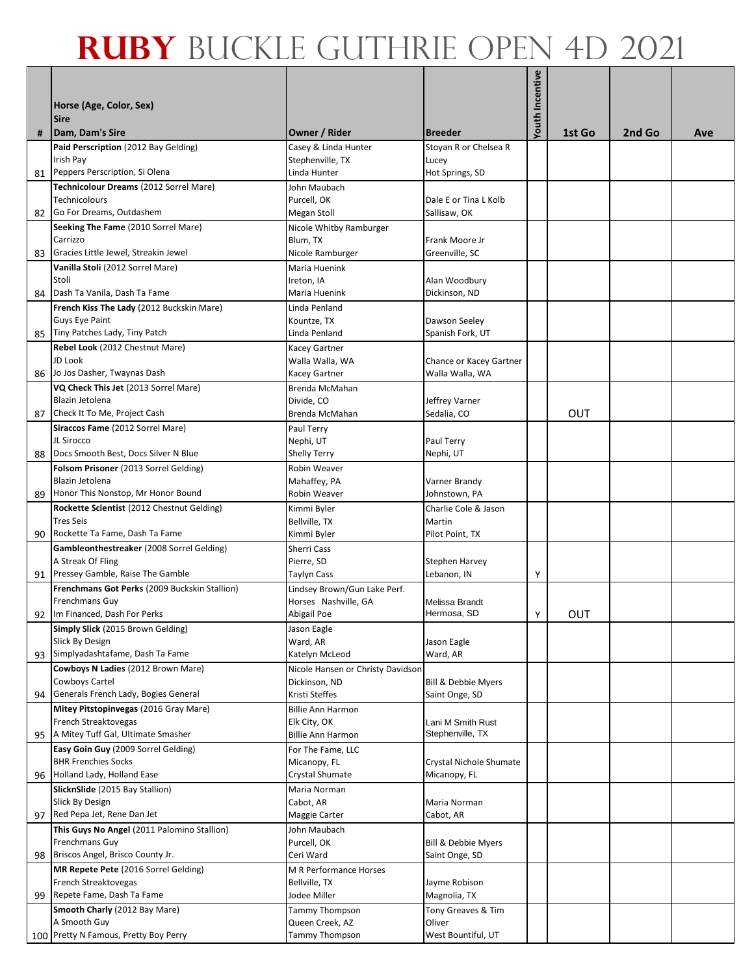|    | Horse (Age, Color, Sex)<br><b>Sire</b>                |                                                    |                           | Youth Incentive |        |        |     |
|----|-------------------------------------------------------|----------------------------------------------------|---------------------------|-----------------|--------|--------|-----|
| #  | Dam, Dam's Sire                                       | <b>Owner / Rider</b>                               | <b>Breeder</b>            |                 | 1st Go | 2nd Go | Ave |
|    | Paid Perscription (2012 Bay Gelding)                  | Casey & Linda Hunter                               | Stoyan R or Chelsea R     |                 |        |        |     |
| 81 | Irish Pay<br>Peppers Perscription, Si Olena           | Stephenville, TX<br>Linda Hunter                   | Lucey<br>Hot Springs, SD  |                 |        |        |     |
|    | Technicolour Dreams (2012 Sorrel Mare)                | John Maubach                                       |                           |                 |        |        |     |
|    | <b>Technicolours</b>                                  | Purcell, OK                                        | Dale E or Tina L Kolb     |                 |        |        |     |
| 82 | Go For Dreams, Outdashem                              | Megan Stoll                                        | Sallisaw, OK              |                 |        |        |     |
|    | Seeking The Fame (2010 Sorrel Mare)                   | Nicole Whitby Ramburger                            |                           |                 |        |        |     |
|    | Carrizzo                                              | Blum, TX                                           | Frank Moore Jr            |                 |        |        |     |
| 83 | Gracies Little Jewel, Streakin Jewel                  | Nicole Ramburger                                   | Greenville, SC            |                 |        |        |     |
|    | Vanilla Stoli (2012 Sorrel Mare)                      | Maria Huenink                                      |                           |                 |        |        |     |
|    | Stoli                                                 | Ireton, IA                                         | Alan Woodbury             |                 |        |        |     |
| 84 | Dash Ta Vanila, Dash Ta Fame                          | Maria Huenink                                      | Dickinson, ND             |                 |        |        |     |
|    | French Kiss The Lady (2012 Buckskin Mare)             | Linda Penland                                      |                           |                 |        |        |     |
|    | Guys Eye Paint                                        | Kountze, TX                                        | Dawson Seeley             |                 |        |        |     |
| 85 | Tiny Patches Lady, Tiny Patch                         | Linda Penland                                      | Spanish Fork, UT          |                 |        |        |     |
|    | Rebel Look (2012 Chestnut Mare)                       | Kacey Gartner                                      |                           |                 |        |        |     |
|    | JD Look<br>Jo Jos Dasher, Twaynas Dash                | Walla Walla, WA                                    | Chance or Kacey Gartner   |                 |        |        |     |
| 86 | VQ Check This Jet (2013 Sorrel Mare)                  | Kacey Gartner                                      | Walla Walla, WA           |                 |        |        |     |
|    | Blazin Jetolena                                       | Brenda McMahan<br>Divide, CO                       | Jeffrey Varner            |                 |        |        |     |
| 87 | Check It To Me, Project Cash                          | Brenda McMahan                                     | Sedalia, CO               |                 | OUT    |        |     |
|    | Siraccos Fame (2012 Sorrel Mare)                      | Paul Terry                                         |                           |                 |        |        |     |
|    | JL Sirocco                                            | Nephi, UT                                          | Paul Terry                |                 |        |        |     |
| 88 | Docs Smooth Best, Docs Silver N Blue                  | <b>Shelly Terry</b>                                | Nephi, UT                 |                 |        |        |     |
|    | Folsom Prisoner (2013 Sorrel Gelding)                 | Robin Weaver                                       |                           |                 |        |        |     |
|    | Blazin Jetolena                                       | Mahaffey, PA                                       | Varner Brandy             |                 |        |        |     |
| 89 | Honor This Nonstop, Mr Honor Bound                    | Robin Weaver                                       | Johnstown, PA             |                 |        |        |     |
|    | Rockette Scientist (2012 Chestnut Gelding)            | Kimmi Byler                                        | Charlie Cole & Jason      |                 |        |        |     |
|    | <b>Tres Seis</b><br>Rockette Ta Fame, Dash Ta Fame    | Bellville, TX                                      | Martin<br>Pilot Point, TX |                 |        |        |     |
| 90 | Gambleonthestreaker (2008 Sorrel Gelding)             | Kimmi Byler<br><b>Sherri Cass</b>                  |                           |                 |        |        |     |
|    | A Streak Of Fling                                     | Pierre, SD                                         | <b>Stephen Harvey</b>     |                 |        |        |     |
| 91 | Pressey Gamble, Raise The Gamble                      | Taylyn Cass                                        | Lebanon, IN               | Υ               |        |        |     |
|    | Frenchmans Got Perks (2009 Buckskin Stallion)         | Lindsey Brown/Gun Lake Perf.                       |                           |                 |        |        |     |
|    | Frenchmans Guy                                        | Horses Nashville, GA                               | Melissa Brandt            |                 |        |        |     |
|    | 92 Im Financed, Dash For Perks                        | Abigail Poe                                        | Hermosa, SD               | Υ               | OUT    |        |     |
|    | Simply Slick (2015 Brown Gelding)                     | Jason Eagle                                        |                           |                 |        |        |     |
|    | Slick By Design                                       | Ward, AR                                           | Jason Eagle               |                 |        |        |     |
| 93 | Simplyadashtafame, Dash Ta Fame                       | Katelyn McLeod                                     | Ward, AR                  |                 |        |        |     |
|    | Cowboys N Ladies (2012 Brown Mare)<br>Cowboys Cartel  | Nicole Hansen or Christy Davidson<br>Dickinson, ND | Bill & Debbie Myers       |                 |        |        |     |
| 94 | Generals French Lady, Bogies General                  | Kristi Steffes                                     | Saint Onge, SD            |                 |        |        |     |
|    | Mitey Pitstopinvegas (2016 Gray Mare)                 | <b>Billie Ann Harmon</b>                           |                           |                 |        |        |     |
|    | French Streaktovegas                                  | Elk City, OK                                       | Lani M Smith Rust         |                 |        |        |     |
| 95 | A Mitey Tuff Gal, Ultimate Smasher                    | <b>Billie Ann Harmon</b>                           | Stephenville, TX          |                 |        |        |     |
|    | Easy Goin Guy (2009 Sorrel Gelding)                   | For The Fame, LLC                                  |                           |                 |        |        |     |
|    | <b>BHR Frenchies Socks</b>                            | Micanopy, FL                                       | Crystal Nichole Shumate   |                 |        |        |     |
| 96 | Holland Lady, Holland Ease                            | Crystal Shumate                                    | Micanopy, FL              |                 |        |        |     |
|    | SlicknSlide (2015 Bay Stallion)<br>Slick By Design    | Maria Norman                                       |                           |                 |        |        |     |
| 97 | Red Pepa Jet, Rene Dan Jet                            | Cabot, AR<br>Maggie Carter                         | Maria Norman<br>Cabot, AR |                 |        |        |     |
|    | This Guys No Angel (2011 Palomino Stallion)           | John Maubach                                       |                           |                 |        |        |     |
|    | Frenchmans Guy                                        | Purcell, OK                                        | Bill & Debbie Myers       |                 |        |        |     |
| 98 | Briscos Angel, Brisco County Jr.                      | Ceri Ward                                          | Saint Onge, SD            |                 |        |        |     |
|    | MR Repete Pete (2016 Sorrel Gelding)                  | M R Performance Horses                             |                           |                 |        |        |     |
|    | French Streaktovegas                                  | Bellville, TX                                      | Jayme Robison             |                 |        |        |     |
| 99 | Repete Fame, Dash Ta Fame                             | Jodee Miller                                       | Magnolia, TX              |                 |        |        |     |
|    | Smooth Charly (2012 Bay Mare)                         | Tammy Thompson                                     | Tony Greaves & Tim        |                 |        |        |     |
|    | A Smooth Guy<br>100 Pretty N Famous, Pretty Boy Perry | Queen Creek, AZ                                    | Oliver                    |                 |        |        |     |
|    |                                                       | <b>Tammy Thompson</b>                              | West Bountiful, UT        |                 |        |        |     |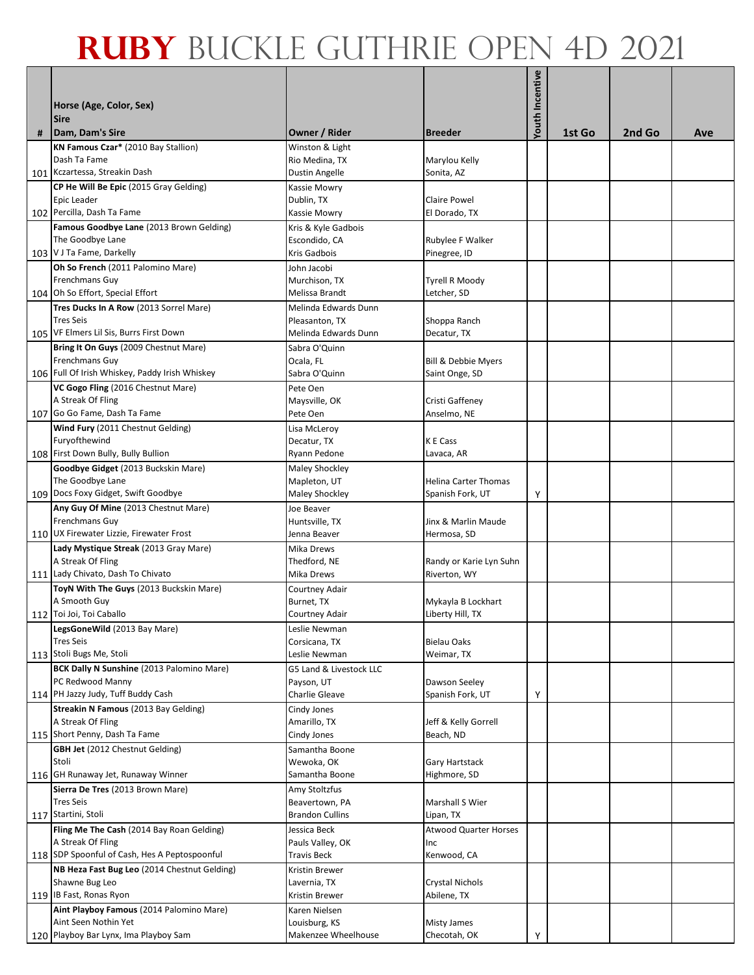| # | Horse (Age, Color, Sex)<br><b>Sire</b><br>Dam, Dam's Sire        | Owner / Rider                     | <b>Breeder</b>                          | Youth Incentive | 1st Go | 2nd Go | Ave |
|---|------------------------------------------------------------------|-----------------------------------|-----------------------------------------|-----------------|--------|--------|-----|
|   | KN Famous Czar* (2010 Bay Stallion)                              |                                   |                                         |                 |        |        |     |
|   | Dash Ta Fame                                                     | Winston & Light<br>Rio Medina, TX | Marylou Kelly                           |                 |        |        |     |
|   | 101 Kczartessa, Streakin Dash                                    | Dustin Angelle                    | Sonita, AZ                              |                 |        |        |     |
|   | CP He Will Be Epic (2015 Gray Gelding)                           | Kassie Mowry                      |                                         |                 |        |        |     |
|   | Epic Leader                                                      | Dublin, TX                        | <b>Claire Powel</b>                     |                 |        |        |     |
|   | 102 Percilla, Dash Ta Fame                                       | Kassie Mowry                      | El Dorado, TX                           |                 |        |        |     |
|   | Famous Goodbye Lane (2013 Brown Gelding)                         | Kris & Kyle Gadbois               |                                         |                 |        |        |     |
|   | The Goodbye Lane                                                 | Escondido, CA                     | Rubylee F Walker                        |                 |        |        |     |
|   | 103 V J Ta Fame, Darkelly                                        | Kris Gadbois                      | Pinegree, ID                            |                 |        |        |     |
|   | Oh So French (2011 Palomino Mare)                                | John Jacobi                       |                                         |                 |        |        |     |
|   | Frenchmans Guy                                                   | Murchison, TX                     | <b>Tyrell R Moody</b>                   |                 |        |        |     |
|   | 104 Oh So Effort, Special Effort                                 | Melissa Brandt                    | Letcher, SD                             |                 |        |        |     |
|   | Tres Ducks In A Row (2013 Sorrel Mare)                           | Melinda Edwards Dunn              |                                         |                 |        |        |     |
|   | <b>Tres Seis</b>                                                 | Pleasanton, TX                    | Shoppa Ranch                            |                 |        |        |     |
|   | 105 VF Elmers Lil Sis, Burrs First Down                          | Melinda Edwards Dunn              | Decatur, TX                             |                 |        |        |     |
|   | Bring It On Guys (2009 Chestnut Mare)<br>Frenchmans Guy          | Sabra O'Quinn                     |                                         |                 |        |        |     |
|   | 106 Full Of Irish Whiskey, Paddy Irish Whiskey                   | Ocala, FL<br>Sabra O'Quinn        | Bill & Debbie Myers<br>Saint Onge, SD   |                 |        |        |     |
|   | VC Gogo Fling (2016 Chestnut Mare)                               | Pete Oen                          |                                         |                 |        |        |     |
|   | A Streak Of Fling                                                | Maysville, OK                     | Cristi Gaffeney                         |                 |        |        |     |
|   | 107 Go Go Fame, Dash Ta Fame                                     | Pete Oen                          | Anselmo, NE                             |                 |        |        |     |
|   | Wind Fury (2011 Chestnut Gelding)                                | Lisa McLeroy                      |                                         |                 |        |        |     |
|   | Furyofthewind                                                    | Decatur, TX                       | K E Cass                                |                 |        |        |     |
|   | 108 First Down Bully, Bully Bullion                              | Ryann Pedone                      | Lavaca, AR                              |                 |        |        |     |
|   | Goodbye Gidget (2013 Buckskin Mare)                              | Maley Shockley                    |                                         |                 |        |        |     |
|   | The Goodbye Lane                                                 | Mapleton, UT                      | Helina Carter Thomas                    |                 |        |        |     |
|   | 109 Docs Foxy Gidget, Swift Goodbye                              | <b>Maley Shockley</b>             | Spanish Fork, UT                        | Υ               |        |        |     |
|   | Any Guy Of Mine (2013 Chestnut Mare)                             | Joe Beaver                        |                                         |                 |        |        |     |
|   | <b>Frenchmans Guy</b>                                            | Huntsville, TX                    | Jinx & Marlin Maude                     |                 |        |        |     |
|   | 110 UX Firewater Lizzie, Firewater Frost                         | Jenna Beaver                      | Hermosa, SD                             |                 |        |        |     |
|   | Lady Mystique Streak (2013 Gray Mare)<br>A Streak Of Fling       | Mika Drews                        |                                         |                 |        |        |     |
|   | 111 Lady Chivato, Dash To Chivato                                | Thedford, NE<br>Mika Drews        | Randy or Karie Lyn Suhn<br>Riverton, WY |                 |        |        |     |
|   | ToyN With The Guys (2013 Buckskin Mare)                          | Courtney Adair                    |                                         |                 |        |        |     |
|   | A Smooth Guy                                                     | Burnet, TX                        | Mykayla B Lockhart                      |                 |        |        |     |
|   | 112 Toi Joi, Toi Caballo                                         | Courtney Adair                    | Liberty Hill, TX                        |                 |        |        |     |
|   | LegsGoneWild (2013 Bay Mare)                                     | Leslie Newman                     |                                         |                 |        |        |     |
|   | Tres Seis                                                        | Corsicana, TX                     | <b>Bielau Oaks</b>                      |                 |        |        |     |
|   | 113 Stoli Bugs Me, Stoli                                         | Leslie Newman                     | Weimar, TX                              |                 |        |        |     |
|   | BCK Dally N Sunshine (2013 Palomino Mare)                        | G5 Land & Livestock LLC           |                                         |                 |        |        |     |
|   | PC Redwood Manny                                                 | Payson, UT                        | Dawson Seeley                           |                 |        |        |     |
|   | 114 PH Jazzy Judy, Tuff Buddy Cash                               | <b>Charlie Gleave</b>             | Spanish Fork, UT                        | Υ               |        |        |     |
|   | Streakin N Famous (2013 Bay Gelding)<br>A Streak Of Fling        | Cindy Jones                       |                                         |                 |        |        |     |
|   | 115 Short Penny, Dash Ta Fame                                    | Amarillo, TX<br>Cindy Jones       | Jeff & Kelly Gorrell<br>Beach, ND       |                 |        |        |     |
|   | <b>GBH Jet</b> (2012 Chestnut Gelding)                           | Samantha Boone                    |                                         |                 |        |        |     |
|   | Stoli                                                            | Wewoka, OK                        | Gary Hartstack                          |                 |        |        |     |
|   | 116 GH Runaway Jet, Runaway Winner                               | Samantha Boone                    | Highmore, SD                            |                 |        |        |     |
|   | Sierra De Tres (2013 Brown Mare)                                 | Amy Stoltzfus                     |                                         |                 |        |        |     |
|   | <b>Tres Seis</b>                                                 | Beavertown, PA                    | Marshall S Wier                         |                 |        |        |     |
|   | 117 Startini, Stoli                                              | <b>Brandon Cullins</b>            | Lipan, TX                               |                 |        |        |     |
|   | Fling Me The Cash (2014 Bay Roan Gelding)                        | Jessica Beck                      | <b>Atwood Quarter Horses</b>            |                 |        |        |     |
|   | A Streak Of Fling                                                | Pauls Valley, OK                  | Inc                                     |                 |        |        |     |
|   | 118 SDP Spoonful of Cash, Hes A Peptospoonful                    | <b>Travis Beck</b>                | Kenwood, CA                             |                 |        |        |     |
|   | NB Heza Fast Bug Leo (2014 Chestnut Gelding)                     | Kristin Brewer                    |                                         |                 |        |        |     |
|   | Shawne Bug Leo                                                   | Lavernia, TX                      | <b>Crystal Nichols</b>                  |                 |        |        |     |
|   | 119 IB Fast, Ronas Ryon                                          | Kristin Brewer                    | Abilene, TX                             |                 |        |        |     |
|   | Aint Playboy Famous (2014 Palomino Mare)<br>Aint Seen Nothin Yet | Karen Nielsen<br>Louisburg, KS    | <b>Misty James</b>                      |                 |        |        |     |
|   | 120 Playboy Bar Lynx, Ima Playboy Sam                            | Makenzee Wheelhouse               | Checotah, OK                            | Υ               |        |        |     |
|   |                                                                  |                                   |                                         |                 |        |        |     |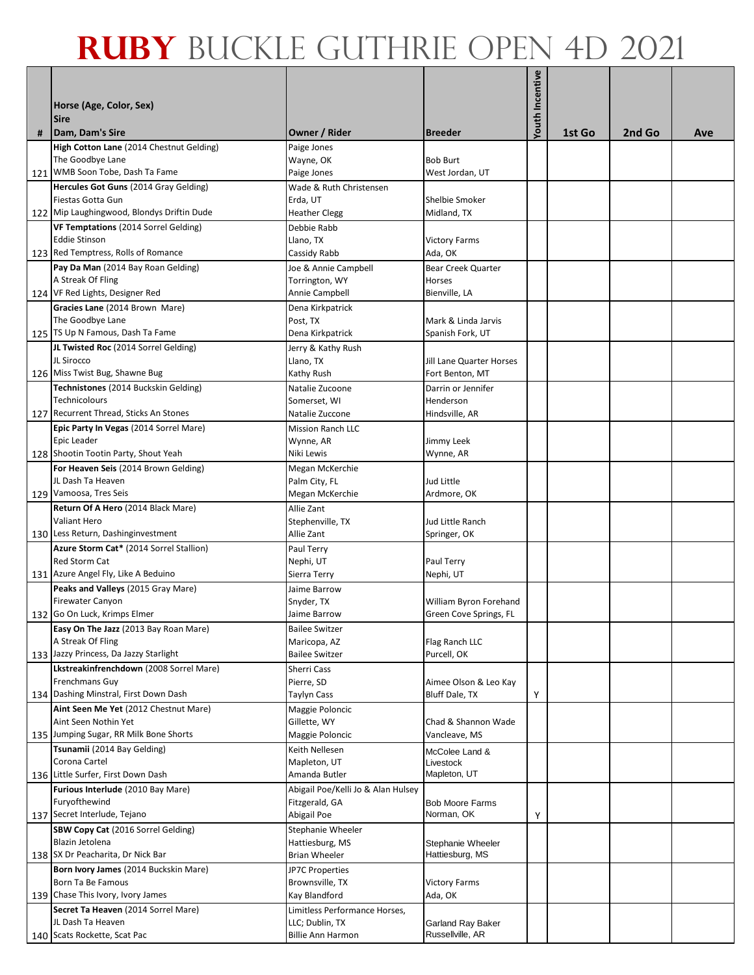|   | Horse (Age, Color, Sex)<br><b>Sire</b>                                                                   |                                                                       |                                                    | Youth Incentive |        |        |     |
|---|----------------------------------------------------------------------------------------------------------|-----------------------------------------------------------------------|----------------------------------------------------|-----------------|--------|--------|-----|
| # | Dam, Dam's Sire                                                                                          | Owner / Rider                                                         | <b>Breeder</b>                                     |                 | 1st Go | 2nd Go | Ave |
|   | High Cotton Lane (2014 Chestnut Gelding)<br>The Goodbye Lane<br>121 WMB Soon Tobe, Dash Ta Fame          | Paige Jones<br>Wayne, OK<br>Paige Jones                               | <b>Bob Burt</b><br>West Jordan, UT                 |                 |        |        |     |
|   | Hercules Got Guns (2014 Gray Gelding)<br>Fiestas Gotta Gun<br>122 Mip Laughingwood, Blondys Driftin Dude | Wade & Ruth Christensen<br>Erda, UT<br><b>Heather Clegg</b>           | Shelbie Smoker<br>Midland, TX                      |                 |        |        |     |
|   | VF Temptations (2014 Sorrel Gelding)<br><b>Eddie Stinson</b><br>123 Red Temptress, Rolls of Romance      | Debbie Rabb<br>Llano, TX<br>Cassidy Rabb                              | <b>Victory Farms</b><br>Ada, OK                    |                 |        |        |     |
|   | Pay Da Man (2014 Bay Roan Gelding)<br>A Streak Of Fling<br>124 VF Red Lights, Designer Red               | Joe & Annie Campbell<br>Torrington, WY<br>Annie Campbell              | Bear Creek Quarter<br>Horses<br>Bienville, LA      |                 |        |        |     |
|   | Gracies Lane (2014 Brown Mare)<br>The Goodbye Lane                                                       | Dena Kirkpatrick<br>Post, TX                                          | Mark & Linda Jarvis                                |                 |        |        |     |
|   | 125 TS Up N Famous, Dash Ta Fame<br>JL Twisted Roc (2014 Sorrel Gelding)<br>JL Sirocco                   | Dena Kirkpatrick<br>Jerry & Kathy Rush<br>Llano, TX                   | Spanish Fork, UT<br>Jill Lane Quarter Horses       |                 |        |        |     |
|   | 126 Miss Twist Bug, Shawne Bug<br>Technistones (2014 Buckskin Gelding)<br><b>Technicolours</b>           | Kathy Rush<br>Natalie Zucoone<br>Somerset, WI                         | Fort Benton, MT<br>Darrin or Jennifer<br>Henderson |                 |        |        |     |
|   | 127 Recurrent Thread, Sticks An Stones<br>Epic Party In Vegas (2014 Sorrel Mare)<br>Epic Leader          | Natalie Zuccone<br><b>Mission Ranch LLC</b><br>Wynne, AR              | Hindsville, AR<br>Jimmy Leek                       |                 |        |        |     |
|   | 128 Shootin Tootin Party, Shout Yeah<br>For Heaven Seis (2014 Brown Gelding)<br>JL Dash Ta Heaven        | Niki Lewis<br>Megan McKerchie<br>Palm City, FL                        | Wynne, AR<br>Jud Little                            |                 |        |        |     |
|   | 129 Vamoosa, Tres Seis                                                                                   | Megan McKerchie                                                       | Ardmore, OK                                        |                 |        |        |     |
|   | Return Of A Hero (2014 Black Mare)<br>Valiant Hero<br>130 Less Return, Dashinginvestment                 | Allie Zant<br>Stephenville, TX<br>Allie Zant                          | Jud Little Ranch<br>Springer, OK                   |                 |        |        |     |
|   | Azure Storm Cat* (2014 Sorrel Stallion)<br><b>Red Storm Cat</b><br>131 Azure Angel Fly, Like A Beduino   | Paul Terry<br>Nephi, UT<br>Sierra Terry                               | Paul Terry<br>Nephi, UT                            |                 |        |        |     |
|   | Peaks and Valleys (2015 Gray Mare)<br><b>Firewater Canyon</b><br>132 Go On Luck, Krimps Elmer            | Jaime Barrow<br>Snyder, TX<br>Jaime Barrow                            | William Byron Forehand<br>Green Cove Springs, FL   |                 |        |        |     |
|   | Easy On The Jazz (2013 Bay Roan Mare)<br>A Streak Of Fling<br>133 Jazzy Princess, Da Jazzy Starlight     | <b>Bailee Switzer</b><br>Maricopa, AZ<br><b>Bailee Switzer</b>        | Flag Ranch LLC<br>Purcell, OK                      |                 |        |        |     |
|   | Lkstreakinfrenchdown (2008 Sorrel Mare)<br>Frenchmans Guy<br>134 Dashing Minstral, First Down Dash       | Sherri Cass<br>Pierre, SD<br>Taylyn Cass                              | Aimee Olson & Leo Kay<br>Bluff Dale, TX            | Υ               |        |        |     |
|   | Aint Seen Me Yet (2012 Chestnut Mare)<br>Aint Seen Nothin Yet<br>135 Jumping Sugar, RR Milk Bone Shorts  | Maggie Poloncic<br>Gillette, WY<br>Maggie Poloncic                    | Chad & Shannon Wade<br>Vancleave, MS               |                 |        |        |     |
|   | Tsunamii (2014 Bay Gelding)<br>Corona Cartel<br>136 Little Surfer, First Down Dash                       | Keith Nellesen<br>Mapleton, UT<br>Amanda Butler                       | McColee Land &<br>Livestock<br>Mapleton, UT        |                 |        |        |     |
|   | Furious Interlude (2010 Bay Mare)<br>Furyofthewind<br>137 Secret Interlude, Tejano                       | Abigail Poe/Kelli Jo & Alan Hulsey<br>Fitzgerald, GA<br>Abigail Poe   | <b>Bob Moore Farms</b><br>Norman, OK               | Υ               |        |        |     |
|   | SBW Copy Cat (2016 Sorrel Gelding)<br>Blazin Jetolena<br>138 SX Dr Peacharita, Dr Nick Bar               | Stephanie Wheeler<br>Hattiesburg, MS<br><b>Brian Wheeler</b>          | Stephanie Wheeler<br>Hattiesburg, MS               |                 |        |        |     |
|   | Born Ivory James (2014 Buckskin Mare)<br>Born Ta Be Famous<br>139 Chase This Ivory, Ivory James          | JP7C Properties<br>Brownsville, TX<br>Kay Blandford                   | <b>Victory Farms</b><br>Ada, OK                    |                 |        |        |     |
|   | Secret Ta Heaven (2014 Sorrel Mare)<br>JL Dash Ta Heaven<br>140 Scats Rockette, Scat Pac                 | Limitless Performance Horses,<br>LLC; Dublin, TX<br>Billie Ann Harmon | Garland Ray Baker<br>Russellville, AR              |                 |        |        |     |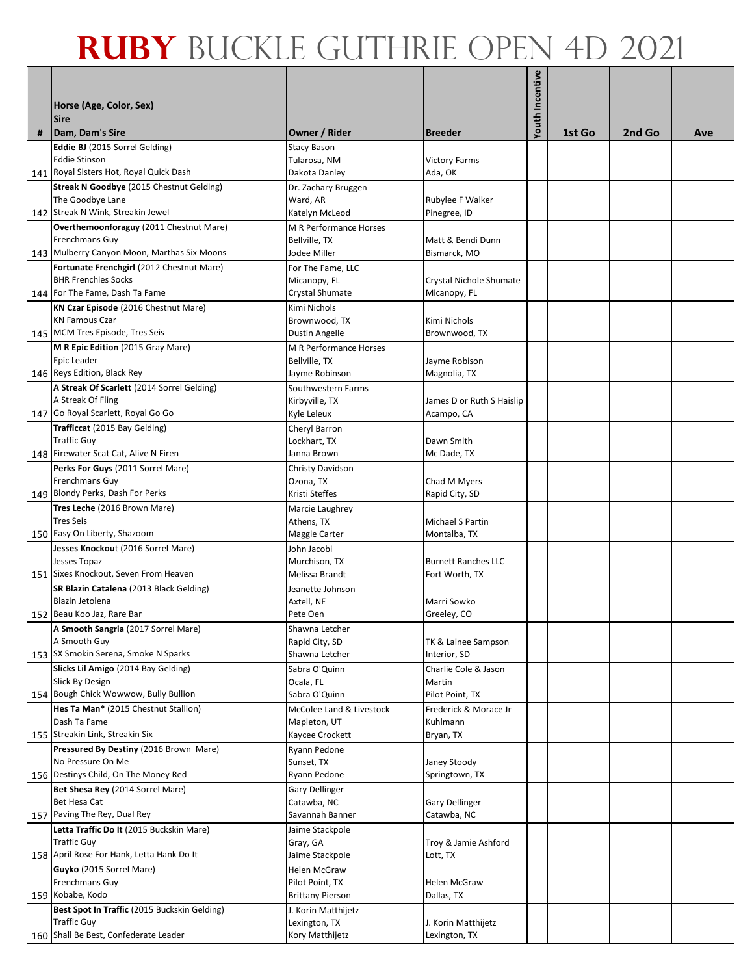| # | Horse (Age, Color, Sex)<br><b>Sire</b><br>Dam, Dam's Sire | Owner / Rider                                  | <b>Breeder</b>                           | <b>Youth Incentive</b> | 1st Go | 2nd Go | Ave |
|---|-----------------------------------------------------------|------------------------------------------------|------------------------------------------|------------------------|--------|--------|-----|
|   | Eddie BJ (2015 Sorrel Gelding)                            | <b>Stacy Bason</b>                             |                                          |                        |        |        |     |
|   | <b>Eddie Stinson</b>                                      | Tularosa, NM                                   | <b>Victory Farms</b>                     |                        |        |        |     |
|   | 141 Royal Sisters Hot, Royal Quick Dash                   | Dakota Danley                                  | Ada, OK                                  |                        |        |        |     |
|   | Streak N Goodbye (2015 Chestnut Gelding)                  | Dr. Zachary Bruggen                            |                                          |                        |        |        |     |
|   | The Goodbye Lane                                          | Ward, AR                                       | Rubylee F Walker                         |                        |        |        |     |
|   | 142 Streak N Wink, Streakin Jewel                         | Katelyn McLeod                                 | Pinegree, ID                             |                        |        |        |     |
|   | Overthemoonforaguy (2011 Chestnut Mare)                   | M R Performance Horses                         |                                          |                        |        |        |     |
|   | Frenchmans Guy                                            | Bellville, TX                                  | Matt & Bendi Dunn                        |                        |        |        |     |
|   | 143 Mulberry Canyon Moon, Marthas Six Moons               | Jodee Miller                                   | Bismarck, MO                             |                        |        |        |     |
|   | Fortunate Frenchgirl (2012 Chestnut Mare)                 | For The Fame, LLC                              |                                          |                        |        |        |     |
|   | <b>BHR Frenchies Socks</b>                                | Micanopy, FL                                   | Crystal Nichole Shumate                  |                        |        |        |     |
|   | 144 For The Fame, Dash Ta Fame                            | Crystal Shumate                                | Micanopy, FL                             |                        |        |        |     |
|   | KN Czar Episode (2016 Chestnut Mare)                      | Kimi Nichols                                   |                                          |                        |        |        |     |
|   | <b>KN Famous Czar</b>                                     | Brownwood, TX                                  | Kimi Nichols                             |                        |        |        |     |
|   | 145 MCM Tres Episode, Tres Seis                           | <b>Dustin Angelle</b>                          | Brownwood, TX                            |                        |        |        |     |
|   | M R Epic Edition (2015 Gray Mare)<br>Epic Leader          | <b>M R Performance Horses</b><br>Bellville, TX | Jayme Robison                            |                        |        |        |     |
|   | 146 Reys Edition, Black Rey                               | Jayme Robinson                                 | Magnolia, TX                             |                        |        |        |     |
|   | A Streak Of Scarlett (2014 Sorrel Gelding)                | Southwestern Farms                             |                                          |                        |        |        |     |
|   | A Streak Of Fling                                         | Kirbyville, TX                                 | James D or Ruth S Haislip                |                        |        |        |     |
|   | 147 Go Royal Scarlett, Royal Go Go                        | Kyle Leleux                                    | Acampo, CA                               |                        |        |        |     |
|   | Trafficcat (2015 Bay Gelding)                             | Cheryl Barron                                  |                                          |                        |        |        |     |
|   | <b>Traffic Guy</b>                                        | Lockhart, TX                                   | Dawn Smith                               |                        |        |        |     |
|   | 148 Firewater Scat Cat, Alive N Firen                     | Janna Brown                                    | Mc Dade, TX                              |                        |        |        |     |
|   | Perks For Guys (2011 Sorrel Mare)                         | Christy Davidson                               |                                          |                        |        |        |     |
|   | Frenchmans Guy                                            | Ozona, TX                                      | Chad M Myers                             |                        |        |        |     |
|   | 149 Blondy Perks, Dash For Perks                          | Kristi Steffes                                 | Rapid City, SD                           |                        |        |        |     |
|   | Tres Leche (2016 Brown Mare)                              | Marcie Laughrey                                |                                          |                        |        |        |     |
|   | <b>Tres Seis</b><br>150 Easy On Liberty, Shazoom          | Athens, TX<br>Maggie Carter                    | Michael S Partin<br>Montalba, TX         |                        |        |        |     |
|   | Jesses Knockout (2016 Sorrel Mare)                        | John Jacobi                                    |                                          |                        |        |        |     |
|   | Jesses Topaz                                              | Murchison, TX                                  | <b>Burnett Ranches LLC</b>               |                        |        |        |     |
|   | 151 Sixes Knockout, Seven From Heaven                     | Melissa Brandt                                 | Fort Worth, TX                           |                        |        |        |     |
|   | SR Blazin Catalena (2013 Black Gelding)                   | Jeanette Johnson                               |                                          |                        |        |        |     |
|   | Blazin Jetolena                                           | Axtell, NE                                     | Marri Sowko                              |                        |        |        |     |
|   | 152 Beau Koo Jaz, Rare Bar                                | Pete Oen                                       | Greeley, CO                              |                        |        |        |     |
|   | A Smooth Sangria (2017 Sorrel Mare)                       | Shawna Letcher                                 |                                          |                        |        |        |     |
|   | A Smooth Guy                                              | Rapid City, SD                                 | TK & Lainee Sampson                      |                        |        |        |     |
|   | 153 SX Smokin Serena, Smoke N Sparks                      | Shawna Letcher                                 | Interior, SD                             |                        |        |        |     |
|   | Slicks Lil Amigo (2014 Bay Gelding)                       | Sabra O'Quinn                                  | Charlie Cole & Jason                     |                        |        |        |     |
|   | Slick By Design<br>154 Bough Chick Wowwow, Bully Bullion  | Ocala, FL                                      | Martin                                   |                        |        |        |     |
|   | Hes Ta Man* (2015 Chestnut Stallion)                      | Sabra O'Quinn<br>McColee Land & Livestock      | Pilot Point, TX<br>Frederick & Morace Jr |                        |        |        |     |
|   | Dash Ta Fame                                              | Mapleton, UT                                   | Kuhlmann                                 |                        |        |        |     |
|   | 155 Streakin Link, Streakin Six                           | Kaycee Crockett                                | Bryan, TX                                |                        |        |        |     |
|   | Pressured By Destiny (2016 Brown Mare)                    | Ryann Pedone                                   |                                          |                        |        |        |     |
|   | No Pressure On Me                                         | Sunset, TX                                     | Janey Stoody                             |                        |        |        |     |
|   | 156 Destinys Child, On The Money Red                      | Ryann Pedone                                   | Springtown, TX                           |                        |        |        |     |
|   | Bet Shesa Rey (2014 Sorrel Mare)                          | Gary Dellinger                                 |                                          |                        |        |        |     |
|   | Bet Hesa Cat                                              | Catawba, NC                                    | <b>Gary Dellinger</b>                    |                        |        |        |     |
|   | 157 Paving The Rey, Dual Rey                              | Savannah Banner                                | Catawba, NC                              |                        |        |        |     |
|   | Letta Traffic Do It (2015 Buckskin Mare)                  | Jaime Stackpole                                |                                          |                        |        |        |     |
|   | <b>Traffic Guy</b>                                        | Gray, GA                                       | Troy & Jamie Ashford                     |                        |        |        |     |
|   | 158 April Rose For Hank, Letta Hank Do It                 | Jaime Stackpole                                | Lott, TX                                 |                        |        |        |     |
|   | Guyko (2015 Sorrel Mare)<br>Frenchmans Guy                | <b>Helen McGraw</b>                            |                                          |                        |        |        |     |
|   | 159 Kobabe, Kodo                                          | Pilot Point, TX<br><b>Brittany Pierson</b>     | <b>Helen McGraw</b><br>Dallas, TX        |                        |        |        |     |
|   | Best Spot In Traffic (2015 Buckskin Gelding)              | J. Korin Matthijetz                            |                                          |                        |        |        |     |
|   | <b>Traffic Guy</b>                                        | Lexington, TX                                  | J. Korin Matthijetz                      |                        |        |        |     |
|   | 160 Shall Be Best, Confederate Leader                     | Kory Matthijetz                                | Lexington, TX                            |                        |        |        |     |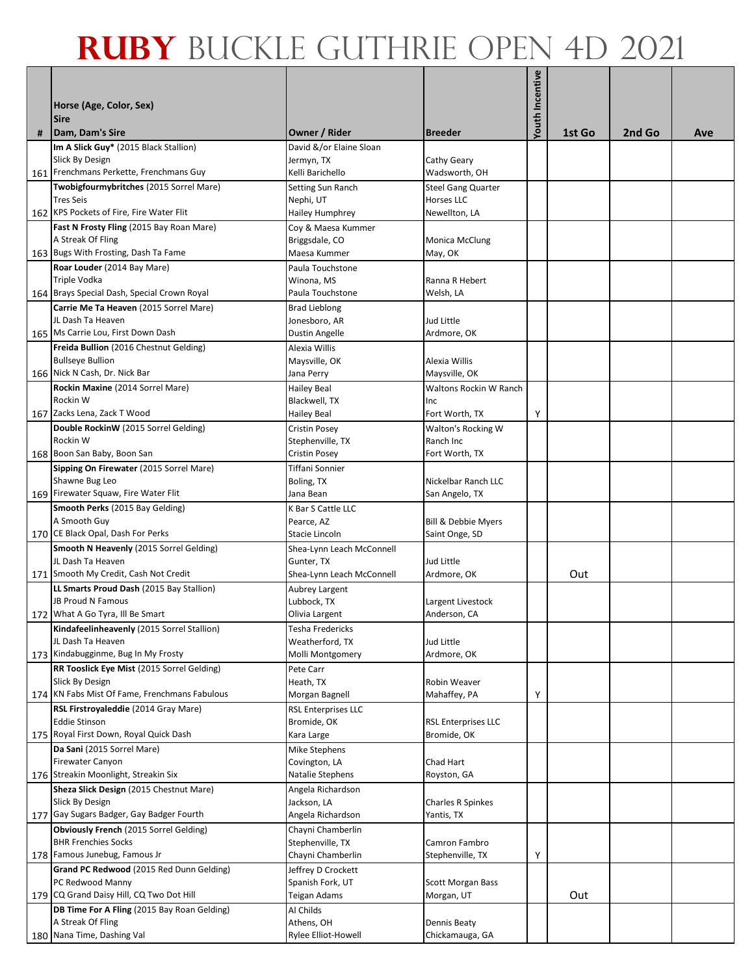|   | Horse (Age, Color, Sex)<br><b>Sire</b>                           |                                         |                             | Youth Incentive |        |        |     |
|---|------------------------------------------------------------------|-----------------------------------------|-----------------------------|-----------------|--------|--------|-----|
| # | Dam, Dam's Sire                                                  | Owner / Rider                           | <b>Breeder</b>              |                 | 1st Go | 2nd Go | Ave |
|   | Im A Slick Guy* (2015 Black Stallion)<br>Slick By Design         | David &/or Elaine Sloan<br>Jermyn, TX   | Cathy Geary                 |                 |        |        |     |
|   | 161 Frenchmans Perkette, Frenchmans Guy                          | Kelli Barichello                        | Wadsworth, OH               |                 |        |        |     |
|   | Twobigfourmybritches (2015 Sorrel Mare)                          | Setting Sun Ranch                       | <b>Steel Gang Quarter</b>   |                 |        |        |     |
|   | <b>Tres Seis</b>                                                 | Nephi, UT                               | Horses LLC                  |                 |        |        |     |
|   | 162 KPS Pockets of Fire, Fire Water Flit                         | Hailey Humphrey                         | Newellton, LA               |                 |        |        |     |
|   | Fast N Frosty Fling (2015 Bay Roan Mare)                         | Coy & Maesa Kummer                      |                             |                 |        |        |     |
|   | A Streak Of Fling                                                | Briggsdale, CO                          | <b>Monica McClung</b>       |                 |        |        |     |
|   | 163 Bugs With Frosting, Dash Ta Fame                             | Maesa Kummer                            | May, OK                     |                 |        |        |     |
|   | Roar Louder (2014 Bay Mare)                                      | Paula Touchstone                        |                             |                 |        |        |     |
|   | Triple Vodka                                                     | Winona, MS                              | Ranna R Hebert              |                 |        |        |     |
|   | 164 Brays Special Dash, Special Crown Royal                      | Paula Touchstone                        | Welsh, LA                   |                 |        |        |     |
|   | Carrie Me Ta Heaven (2015 Sorrel Mare)<br>JL Dash Ta Heaven      | <b>Brad Lieblong</b><br>Jonesboro, AR   | Jud Little                  |                 |        |        |     |
|   | 165 Ms Carrie Lou, First Down Dash                               | <b>Dustin Angelle</b>                   | Ardmore, OK                 |                 |        |        |     |
|   | Freida Bullion (2016 Chestnut Gelding)                           | Alexia Willis                           |                             |                 |        |        |     |
|   | <b>Bullseye Bullion</b>                                          | Maysville, OK                           | Alexia Willis               |                 |        |        |     |
|   | 166 Nick N Cash, Dr. Nick Bar                                    | Jana Perry                              | Maysville, OK               |                 |        |        |     |
|   | Rockin Maxine (2014 Sorrel Mare)                                 | Hailey Beal                             | Waltons Rockin W Ranch      |                 |        |        |     |
|   | Rockin W                                                         | Blackwell, TX                           | Inc                         |                 |        |        |     |
|   | 167 Zacks Lena, Zack T Wood                                      | Hailey Beal                             | Fort Worth, TX              | Υ               |        |        |     |
|   | Double RockinW (2015 Sorrel Gelding)                             | <b>Cristin Posey</b>                    | Walton's Rocking W          |                 |        |        |     |
|   | Rockin W<br>168 Boon San Baby, Boon San                          | Stephenville, TX<br>Cristin Posey       | Ranch Inc<br>Fort Worth, TX |                 |        |        |     |
|   | Sipping On Firewater (2015 Sorrel Mare)                          | Tiffani Sonnier                         |                             |                 |        |        |     |
|   | Shawne Bug Leo                                                   | Boling, TX                              | Nickelbar Ranch LLC         |                 |        |        |     |
|   | 169 Firewater Squaw, Fire Water Flit                             | Jana Bean                               | San Angelo, TX              |                 |        |        |     |
|   | Smooth Perks (2015 Bay Gelding)                                  | K Bar S Cattle LLC                      |                             |                 |        |        |     |
|   | A Smooth Guy                                                     | Pearce, AZ                              | Bill & Debbie Myers         |                 |        |        |     |
|   | 170 CE Black Opal, Dash For Perks                                | Stacie Lincoln                          | Saint Onge, SD              |                 |        |        |     |
|   | <b>Smooth N Heavenly (2015 Sorrel Gelding)</b>                   | Shea-Lynn Leach McConnell               |                             |                 |        |        |     |
|   | JL Dash Ta Heaven<br>171 Smooth My Credit, Cash Not Credit       | Gunter, TX<br>Shea-Lynn Leach McConnell | Jud Little<br>Ardmore, OK   |                 | Out    |        |     |
|   | LL Smarts Proud Dash (2015 Bay Stallion)                         | Aubrey Largent                          |                             |                 |        |        |     |
|   | JB Proud N Famous                                                | Lubbock, TX                             | Largent Livestock           |                 |        |        |     |
|   | 172 What A Go Tyra, Ill Be Smart                                 | Olivia Largent                          | Anderson, CA                |                 |        |        |     |
|   | Kindafeelinheavenly (2015 Sorrel Stallion)                       | Tesha Fredericks                        |                             |                 |        |        |     |
|   | JL Dash Ta Heaven                                                | Weatherford, TX                         | Jud Little                  |                 |        |        |     |
|   | 173 Kindabugginme, Bug In My Frosty                              | Molli Montgomery                        | Ardmore, OK                 |                 |        |        |     |
|   | RR Tooslick Eye Mist (2015 Sorrel Gelding)<br>Slick By Design    | Pete Carr                               | <b>Robin Weaver</b>         |                 |        |        |     |
|   | 174 KN Fabs Mist Of Fame, Frenchmans Fabulous                    | Heath, TX<br>Morgan Bagnell             | Mahaffey, PA                | Υ               |        |        |     |
|   | RSL Firstroyaleddie (2014 Gray Mare)                             | <b>RSL Enterprises LLC</b>              |                             |                 |        |        |     |
|   | <b>Eddie Stinson</b>                                             | Bromide, OK                             | <b>RSL Enterprises LLC</b>  |                 |        |        |     |
|   | 175 Royal First Down, Royal Quick Dash                           | Kara Large                              | Bromide, OK                 |                 |        |        |     |
|   | Da Sani (2015 Sorrel Mare)                                       | Mike Stephens                           |                             |                 |        |        |     |
|   | <b>Firewater Canyon</b>                                          | Covington, LA                           | Chad Hart                   |                 |        |        |     |
|   | 176 Streakin Moonlight, Streakin Six                             | Natalie Stephens                        | Royston, GA                 |                 |        |        |     |
|   | Sheza Slick Design (2015 Chestnut Mare)<br>Slick By Design       | Angela Richardson<br>Jackson, LA        | Charles R Spinkes           |                 |        |        |     |
|   | 177 Gay Sugars Badger, Gay Badger Fourth                         | Angela Richardson                       | Yantis, TX                  |                 |        |        |     |
|   | Obviously French (2015 Sorrel Gelding)                           | Chayni Chamberlin                       |                             |                 |        |        |     |
|   | <b>BHR Frenchies Socks</b>                                       | Stephenville, TX                        | Camron Fambro               |                 |        |        |     |
|   | 178 Famous Junebug, Famous Jr                                    | Chayni Chamberlin                       | Stephenville, TX            | Υ               |        |        |     |
|   | Grand PC Redwood (2015 Red Dunn Gelding)                         | Jeffrey D Crockett                      |                             |                 |        |        |     |
|   | PC Redwood Manny                                                 | Spanish Fork, UT                        | <b>Scott Morgan Bass</b>    |                 |        |        |     |
|   | 179 CQ Grand Daisy Hill, CQ Two Dot Hill                         | Teigan Adams                            | Morgan, UT                  |                 | Out    |        |     |
|   | DB Time For A Fling (2015 Bay Roan Gelding)<br>A Streak Of Fling | Al Childs<br>Athens, OH                 | Dennis Beaty                |                 |        |        |     |
|   | 180 Nana Time, Dashing Val                                       | Rylee Elliot-Howell                     | Chickamauga, GA             |                 |        |        |     |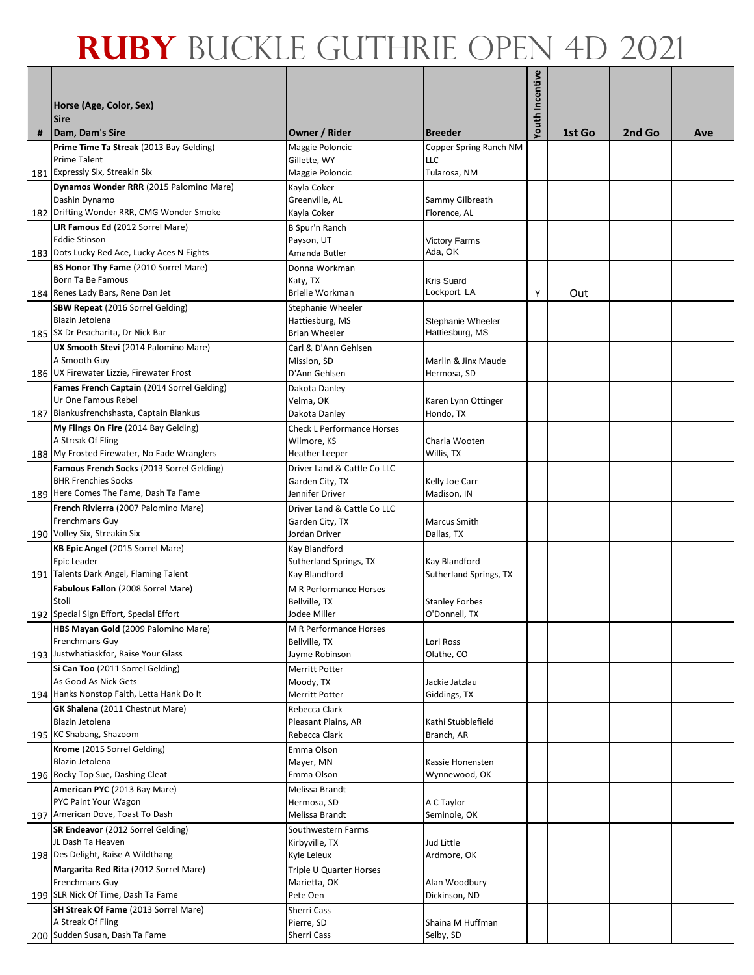|   | Horse (Age, Color, Sex)<br><b>Sire</b><br>Dam, Dam's Sire           | Owner / Rider                        | <b>Breeder</b>                         | Youth Incentive | 1st Go | 2nd Go | Ave |
|---|---------------------------------------------------------------------|--------------------------------------|----------------------------------------|-----------------|--------|--------|-----|
| # | Prime Time Ta Streak (2013 Bay Gelding)                             |                                      |                                        |                 |        |        |     |
|   | <b>Prime Talent</b>                                                 | Maggie Poloncic<br>Gillette, WY      | Copper Spring Ranch NM<br><b>LLC</b>   |                 |        |        |     |
|   | 181 Expressly Six, Streakin Six                                     | Maggie Poloncic                      | Tularosa, NM                           |                 |        |        |     |
|   | Dynamos Wonder RRR (2015 Palomino Mare)                             | Kayla Coker                          |                                        |                 |        |        |     |
|   | Dashin Dynamo                                                       | Greenville, AL                       | Sammy Gilbreath                        |                 |        |        |     |
|   | 182 Drifting Wonder RRR, CMG Wonder Smoke                           | Kayla Coker                          | Florence, AL                           |                 |        |        |     |
|   | <b>LJR Famous Ed (2012 Sorrel Mare)</b>                             | B Spur'n Ranch                       |                                        |                 |        |        |     |
|   | <b>Eddie Stinson</b>                                                | Payson, UT                           | <b>Victory Farms</b>                   |                 |        |        |     |
|   | 183 Dots Lucky Red Ace, Lucky Aces N Eights                         | Amanda Butler                        | Ada, OK                                |                 |        |        |     |
|   | <b>BS Honor Thy Fame</b> (2010 Sorrel Mare)                         | Donna Workman                        |                                        |                 |        |        |     |
|   | Born Ta Be Famous                                                   | Katy, TX                             | <b>Kris Suard</b>                      |                 |        |        |     |
|   | 184 Renes Lady Bars, Rene Dan Jet                                   | Brielle Workman                      | Lockport, LA                           | Υ               | Out    |        |     |
|   | SBW Repeat (2016 Sorrel Gelding)                                    | Stephanie Wheeler                    |                                        |                 |        |        |     |
|   | Blazin Jetolena                                                     | Hattiesburg, MS                      | Stephanie Wheeler                      |                 |        |        |     |
|   | 185 SX Dr Peacharita, Dr Nick Bar                                   | <b>Brian Wheeler</b>                 | Hattiesburg, MS                        |                 |        |        |     |
|   | UX Smooth Stevi (2014 Palomino Mare)<br>A Smooth Guy                | Carl & D'Ann Gehlsen<br>Mission, SD  | Marlin & Jinx Maude                    |                 |        |        |     |
|   | 186 UX Firewater Lizzie, Firewater Frost                            | D'Ann Gehlsen                        | Hermosa, SD                            |                 |        |        |     |
|   | Fames French Captain (2014 Sorrel Gelding)                          | Dakota Danley                        |                                        |                 |        |        |     |
|   | Ur One Famous Rebel                                                 | Velma, OK                            | Karen Lynn Ottinger                    |                 |        |        |     |
|   | 187 Biankusfrenchshasta, Captain Biankus                            | Dakota Danley                        | Hondo, TX                              |                 |        |        |     |
|   | My Flings On Fire (2014 Bay Gelding)                                | <b>Check L Performance Horses</b>    |                                        |                 |        |        |     |
|   | A Streak Of Fling                                                   | Wilmore, KS                          | Charla Wooten                          |                 |        |        |     |
|   | 188 My Frosted Firewater, No Fade Wranglers                         | <b>Heather Leeper</b>                | Willis, TX                             |                 |        |        |     |
|   | Famous French Socks (2013 Sorrel Gelding)                           | Driver Land & Cattle Co LLC          |                                        |                 |        |        |     |
|   | <b>BHR Frenchies Socks</b><br>189 Here Comes The Fame, Dash Ta Fame | Garden City, TX<br>Jennifer Driver   | Kelly Joe Carr<br>Madison, IN          |                 |        |        |     |
|   | French Rivierra (2007 Palomino Mare)                                | Driver Land & Cattle Co LLC          |                                        |                 |        |        |     |
|   | Frenchmans Guy                                                      | Garden City, TX                      | <b>Marcus Smith</b>                    |                 |        |        |     |
|   | 190 Volley Six, Streakin Six                                        | Jordan Driver                        | Dallas, TX                             |                 |        |        |     |
|   | KB Epic Angel (2015 Sorrel Mare)                                    | Kay Blandford                        |                                        |                 |        |        |     |
|   | Epic Leader                                                         | Sutherland Springs, TX               | Kay Blandford                          |                 |        |        |     |
|   | 191 Talents Dark Angel, Flaming Talent                              | Kay Blandford                        | Sutherland Springs, TX                 |                 |        |        |     |
|   | Fabulous Fallon (2008 Sorrel Mare)                                  | M R Performance Horses               |                                        |                 |        |        |     |
|   | Stoli<br>192 Special Sign Effort, Special Effort                    | Bellville, TX<br>Jodee Miller        | <b>Stanley Forbes</b><br>O'Donnell, TX |                 |        |        |     |
|   | HBS Mayan Gold (2009 Palomino Mare)                                 | M R Performance Horses               |                                        |                 |        |        |     |
|   | Frenchmans Guy                                                      | Bellville, TX                        | Lori Ross                              |                 |        |        |     |
|   | 193 Justwhatiaskfor, Raise Your Glass                               | Jayme Robinson                       | Olathe, CO                             |                 |        |        |     |
|   | Si Can Too (2011 Sorrel Gelding)                                    | Merritt Potter                       |                                        |                 |        |        |     |
|   | As Good As Nick Gets                                                | Moody, TX                            | Jackie Jatzlau                         |                 |        |        |     |
|   | 194 Hanks Nonstop Faith, Letta Hank Do It                           | Merritt Potter                       | Giddings, TX                           |                 |        |        |     |
|   | GK Shalena (2011 Chestnut Mare)<br>Blazin Jetolena                  | Rebecca Clark                        |                                        |                 |        |        |     |
|   | 195 KC Shabang, Shazoom                                             | Pleasant Plains, AR<br>Rebecca Clark | Kathi Stubblefield<br>Branch, AR       |                 |        |        |     |
|   | Krome (2015 Sorrel Gelding)                                         | Emma Olson                           |                                        |                 |        |        |     |
|   | Blazin Jetolena                                                     | Mayer, MN                            | Kassie Honensten                       |                 |        |        |     |
|   | 196 Rocky Top Sue, Dashing Cleat                                    | Emma Olson                           | Wynnewood, OK                          |                 |        |        |     |
|   | American PYC (2013 Bay Mare)                                        | Melissa Brandt                       |                                        |                 |        |        |     |
|   | PYC Paint Your Wagon                                                | Hermosa, SD                          | A C Taylor                             |                 |        |        |     |
|   | 197 American Dove, Toast To Dash                                    | Melissa Brandt                       | Seminole, OK                           |                 |        |        |     |
|   | SR Endeavor (2012 Sorrel Gelding)                                   | Southwestern Farms                   |                                        |                 |        |        |     |
|   | JL Dash Ta Heaven<br>198 Des Delight, Raise A Wildthang             | Kirbyville, TX<br>Kyle Leleux        | Jud Little<br>Ardmore, OK              |                 |        |        |     |
|   | Margarita Red Rita (2012 Sorrel Mare)                               | Triple U Quarter Horses              |                                        |                 |        |        |     |
|   | Frenchmans Guy                                                      | Marietta, OK                         | Alan Woodbury                          |                 |        |        |     |
|   | 199 SLR Nick Of Time, Dash Ta Fame                                  | Pete Oen                             | Dickinson, ND                          |                 |        |        |     |
|   | SH Streak Of Fame (2013 Sorrel Mare)                                | Sherri Cass                          |                                        |                 |        |        |     |
|   | A Streak Of Fling                                                   | Pierre, SD                           | Shaina M Huffman                       |                 |        |        |     |
|   | 200 Sudden Susan, Dash Ta Fame                                      | Sherri Cass                          | Selby, SD                              |                 |        |        |     |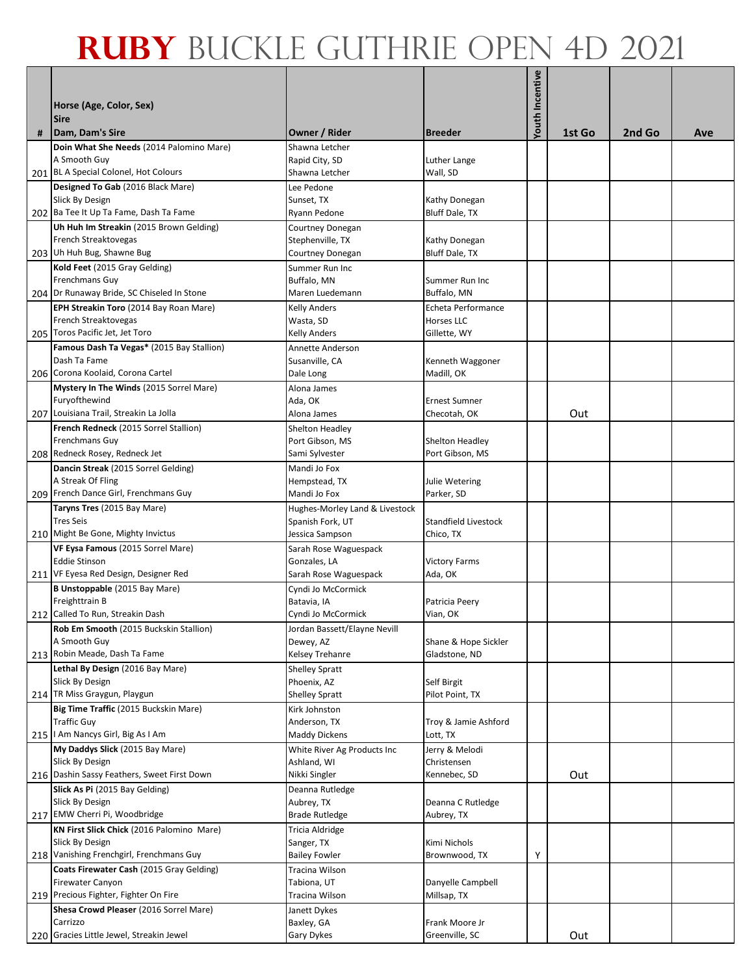|   | Horse (Age, Color, Sex)<br><b>Sire</b>                                                                   |                                                                    |                                                         | <b>Youth Incentive</b> |        |        |     |
|---|----------------------------------------------------------------------------------------------------------|--------------------------------------------------------------------|---------------------------------------------------------|------------------------|--------|--------|-----|
| # | Dam, Dam's Sire                                                                                          | Owner / Rider                                                      | <b>Breeder</b>                                          |                        | 1st Go | 2nd Go | Ave |
|   | Doin What She Needs (2014 Palomino Mare)<br>A Smooth Guy<br>201 BL A Special Colonel, Hot Colours        | Shawna Letcher<br>Rapid City, SD<br>Shawna Letcher                 | Luther Lange<br>Wall, SD                                |                        |        |        |     |
|   | Designed To Gab (2016 Black Mare)<br>Slick By Design<br>202 Ba Tee It Up Ta Fame, Dash Ta Fame           | Lee Pedone<br>Sunset, TX<br>Ryann Pedone                           | Kathy Donegan<br><b>Bluff Dale, TX</b>                  |                        |        |        |     |
|   | Uh Huh Im Streakin (2015 Brown Gelding)<br>French Streaktovegas<br>203 Uh Huh Bug, Shawne Bug            | Courtney Donegan<br>Stephenville, TX<br>Courtney Donegan           | Kathy Donegan<br>Bluff Dale, TX                         |                        |        |        |     |
|   | Kold Feet (2015 Gray Gelding)<br><b>Frenchmans Guy</b><br>204 Dr Runaway Bride, SC Chiseled In Stone     | Summer Run Inc<br>Buffalo, MN<br>Maren Luedemann                   | Summer Run Inc<br>Buffalo, MN                           |                        |        |        |     |
|   | EPH Streakin Toro (2014 Bay Roan Mare)<br>French Streaktovegas<br>205 Toros Pacific Jet, Jet Toro        | <b>Kelly Anders</b><br>Wasta, SD<br><b>Kelly Anders</b>            | Echeta Performance<br><b>Horses LLC</b><br>Gillette, WY |                        |        |        |     |
|   | Famous Dash Ta Vegas* (2015 Bay Stallion)<br>Dash Ta Fame<br>206 Corona Koolaid, Corona Cartel           | Annette Anderson<br>Susanville, CA<br>Dale Long                    | Kenneth Waggoner<br>Madill, OK                          |                        |        |        |     |
|   | Mystery In The Winds (2015 Sorrel Mare)<br>Furyofthewind<br>207 Louisiana Trail, Streakin La Jolla       | Alona James<br>Ada, OK<br>Alona James                              | <b>Ernest Sumner</b><br>Checotah, OK                    |                        | Out    |        |     |
|   | French Redneck (2015 Sorrel Stallion)<br><b>Frenchmans Guy</b>                                           | Shelton Headley<br>Port Gibson, MS                                 | Shelton Headley                                         |                        |        |        |     |
|   | 208 Redneck Rosey, Redneck Jet<br>Dancin Streak (2015 Sorrel Gelding)<br>A Streak Of Fling               | Sami Sylvester<br>Mandi Jo Fox<br>Hempstead, TX                    | Port Gibson, MS<br>Julie Wetering                       |                        |        |        |     |
|   | 209 French Dance Girl, Frenchmans Guy<br>Taryns Tres (2015 Bay Mare)<br><b>Tres Seis</b>                 | Mandi Jo Fox<br>Hughes-Morley Land & Livestock<br>Spanish Fork, UT | Parker, SD<br>Standfield Livestock                      |                        |        |        |     |
|   | 210 Might Be Gone, Mighty Invictus<br>VF Eysa Famous (2015 Sorrel Mare)<br><b>Eddie Stinson</b>          | Jessica Sampson<br>Sarah Rose Waguespack<br>Gonzales, LA           | Chico, TX<br><b>Victory Farms</b>                       |                        |        |        |     |
|   | 211 VF Eyesa Red Design, Designer Red<br>B Unstoppable (2015 Bay Mare)<br>Freighttrain B                 | Sarah Rose Waguespack<br>Cyndi Jo McCormick<br>Batavia, IA         | Ada, OK<br>Patricia Peery                               |                        |        |        |     |
|   | 212 Called To Run, Streakin Dash<br>Rob Em Smooth (2015 Buckskin Stallion)<br>A Smooth Guy               | Cyndi Jo McCormick<br>Jordan Bassett/Elayne Nevill<br>Dewey, AZ    | Vian, OK<br>Shane & Hope Sickler                        |                        |        |        |     |
|   | 213 Robin Meade, Dash Ta Fame<br>Lethal By Design (2016 Bay Mare)                                        | Kelsey Trehanre<br><b>Shelley Spratt</b>                           | Gladstone, ND                                           |                        |        |        |     |
|   | Slick By Design<br>214 TR Miss Graygun, Playgun<br>Big Time Traffic (2015 Buckskin Mare)                 | Phoenix, AZ<br><b>Shelley Spratt</b><br>Kirk Johnston              | Self Birgit<br>Pilot Point, TX                          |                        |        |        |     |
|   | <b>Traffic Guy</b><br>215   Am Nancys Girl, Big As I Am                                                  | Anderson, TX<br>Maddy Dickens                                      | Troy & Jamie Ashford<br>Lott, TX                        |                        |        |        |     |
|   | My Daddys Slick (2015 Bay Mare)<br>Slick By Design<br>216 Dashin Sassy Feathers, Sweet First Down        | White River Ag Products Inc<br>Ashland, WI<br>Nikki Singler        | Jerry & Melodi<br>Christensen<br>Kennebec, SD           |                        | Out    |        |     |
|   | Slick As Pi (2015 Bay Gelding)<br>Slick By Design<br>217 EMW Cherri Pi, Woodbridge                       | Deanna Rutledge<br>Aubrey, TX<br><b>Brade Rutledge</b>             | Deanna C Rutledge<br>Aubrey, TX                         |                        |        |        |     |
|   | KN First Slick Chick (2016 Palomino Mare)<br>Slick By Design<br>218 Vanishing Frenchgirl, Frenchmans Guy | Tricia Aldridge<br>Sanger, TX<br><b>Bailey Fowler</b>              | Kimi Nichols<br>Brownwood, TX                           | Υ                      |        |        |     |
|   | Coats Firewater Cash (2015 Gray Gelding)<br>Firewater Canyon<br>219 Precious Fighter, Fighter On Fire    | Tracina Wilson<br>Tabiona, UT<br>Tracina Wilson                    | Danyelle Campbell<br>Millsap, TX                        |                        |        |        |     |
|   | Shesa Crowd Pleaser (2016 Sorrel Mare)<br>Carrizzo<br>220 Gracies Little Jewel, Streakin Jewel           | Janett Dykes<br>Baxley, GA<br>Gary Dykes                           | Frank Moore Jr<br>Greenville, SC                        |                        | Out    |        |     |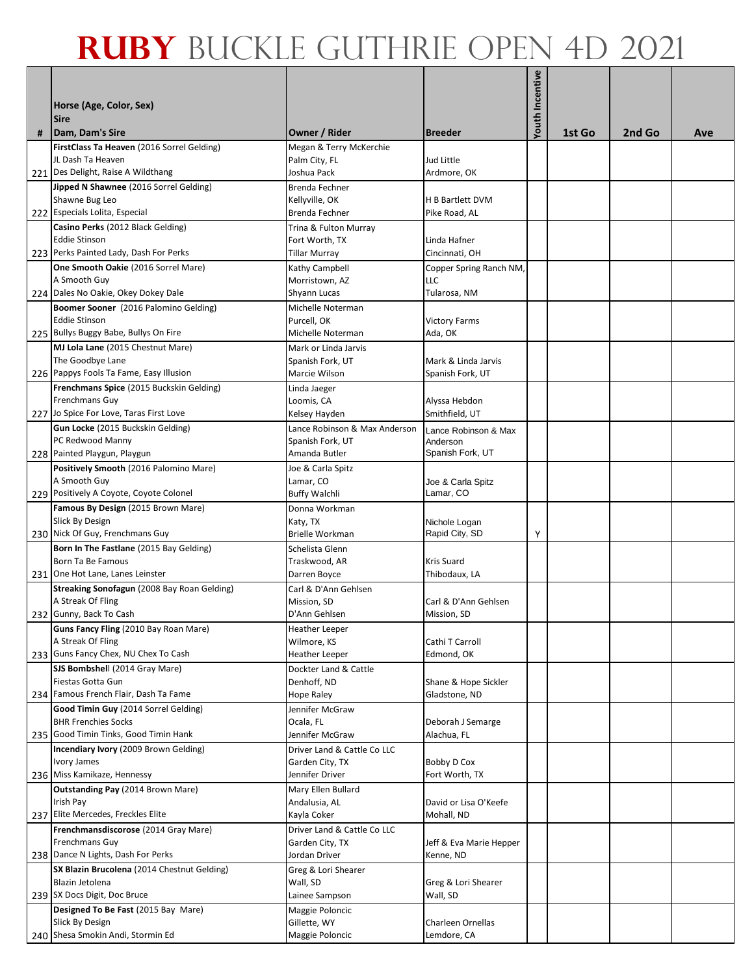|   | Horse (Age, Color, Sex)<br><b>Sire</b>                             |                                     |                                    | <b>Youth Incentive</b> |        |        |     |
|---|--------------------------------------------------------------------|-------------------------------------|------------------------------------|------------------------|--------|--------|-----|
| # | Dam, Dam's Sire                                                    | Owner / Rider                       | <b>Breeder</b>                     |                        | 1st Go | 2nd Go | Ave |
|   | FirstClass Ta Heaven (2016 Sorrel Gelding)<br>JL Dash Ta Heaven    | Megan & Terry McKerchie             |                                    |                        |        |        |     |
|   | 221 Des Delight, Raise A Wildthang                                 | Palm City, FL<br>Joshua Pack        | Jud Little<br>Ardmore, OK          |                        |        |        |     |
|   | Jipped N Shawnee (2016 Sorrel Gelding)                             | Brenda Fechner                      |                                    |                        |        |        |     |
|   | Shawne Bug Leo                                                     | Kellyville, OK                      | H B Bartlett DVM                   |                        |        |        |     |
|   | 222 Especials Lolita, Especial                                     | Brenda Fechner                      | Pike Road, AL                      |                        |        |        |     |
|   | Casino Perks (2012 Black Gelding)                                  | Trina & Fulton Murray               |                                    |                        |        |        |     |
|   | <b>Eddie Stinson</b><br>223 Perks Painted Lady, Dash For Perks     | Fort Worth, TX<br>Tillar Murray     | Linda Hafner<br>Cincinnati, OH     |                        |        |        |     |
|   | One Smooth Oakie (2016 Sorrel Mare)                                | Kathy Campbell                      | Copper Spring Ranch NM,            |                        |        |        |     |
|   | A Smooth Guy                                                       | Morristown, AZ                      | LLC                                |                        |        |        |     |
|   | 224 Dales No Oakie, Okey Dokey Dale                                | Shyann Lucas                        | Tularosa, NM                       |                        |        |        |     |
|   | Boomer Sooner (2016 Palomino Gelding)<br><b>Eddie Stinson</b>      | Michelle Noterman                   |                                    |                        |        |        |     |
|   | 225 Bullys Buggy Babe, Bullys On Fire                              | Purcell, OK<br>Michelle Noterman    | <b>Victory Farms</b><br>Ada, OK    |                        |        |        |     |
|   | MJ Lola Lane (2015 Chestnut Mare)                                  | Mark or Linda Jarvis                |                                    |                        |        |        |     |
|   | The Goodbye Lane                                                   | Spanish Fork, UT                    | Mark & Linda Jarvis                |                        |        |        |     |
|   | 226 Pappys Fools Ta Fame, Easy Illusion                            | Marcie Wilson                       | Spanish Fork, UT                   |                        |        |        |     |
|   | Frenchmans Spice (2015 Buckskin Gelding)                           | Linda Jaeger                        |                                    |                        |        |        |     |
|   | <b>Frenchmans Guy</b><br>227 Jo Spice For Love, Taras First Love   | Loomis, CA<br>Kelsey Hayden         | Alyssa Hebdon<br>Smithfield, UT    |                        |        |        |     |
|   | Gun Locke (2015 Buckskin Gelding)                                  | Lance Robinson & Max Anderson       | Lance Robinson & Max               |                        |        |        |     |
|   | PC Redwood Manny                                                   | Spanish Fork, UT                    | Anderson                           |                        |        |        |     |
|   | 228 Painted Playgun, Playgun                                       | Amanda Butler                       | Spanish Fork, UT                   |                        |        |        |     |
|   | Positively Smooth (2016 Palomino Mare)                             | Joe & Carla Spitz                   |                                    |                        |        |        |     |
|   | A Smooth Guy<br>229 Positively A Coyote, Coyote Colonel            | Lamar, CO<br><b>Buffy Walchli</b>   | Joe & Carla Spitz<br>Lamar, CO     |                        |        |        |     |
|   | Famous By Design (2015 Brown Mare)                                 | Donna Workman                       |                                    |                        |        |        |     |
|   | Slick By Design                                                    | Katy, TX                            | Nichole Logan                      |                        |        |        |     |
|   | 230 Nick Of Guy, Frenchmans Guy                                    | <b>Brielle Workman</b>              | Rapid City, SD                     | Υ                      |        |        |     |
|   | Born In The Fastlane (2015 Bay Gelding)<br>Born Ta Be Famous       | Schelista Glenn                     |                                    |                        |        |        |     |
|   | 231 One Hot Lane, Lanes Leinster                                   | Traskwood, AR<br>Darren Boyce       | <b>Kris Suard</b><br>Thibodaux, LA |                        |        |        |     |
|   | Streaking Sonofagun (2008 Bay Roan Gelding)                        | Carl & D'Ann Gehlsen                |                                    |                        |        |        |     |
|   | A Streak Of Fling                                                  | Mission, SD                         | Carl & D'Ann Gehlsen               |                        |        |        |     |
|   | 232 Gunny, Back To Cash                                            | D'Ann Gehlsen                       | Mission, SD                        |                        |        |        |     |
|   | Guns Fancy Fling (2010 Bay Roan Mare)<br>A Streak Of Fling         | <b>Heather Leeper</b>               | Cathi T Carroll                    |                        |        |        |     |
|   | 233 Guns Fancy Chex, NU Chex To Cash                               | Wilmore, KS<br>Heather Leeper       | Edmond, OK                         |                        |        |        |     |
|   | SJS Bombshell (2014 Gray Mare)                                     | Dockter Land & Cattle               |                                    |                        |        |        |     |
|   | Fiestas Gotta Gun                                                  | Denhoff, ND                         | Shane & Hope Sickler               |                        |        |        |     |
|   | 234 Famous French Flair, Dash Ta Fame                              | Hope Raley                          | Gladstone, ND                      |                        |        |        |     |
|   | Good Timin Guy (2014 Sorrel Gelding)<br><b>BHR Frenchies Socks</b> | Jennifer McGraw<br>Ocala, FL        | Deborah J Semarge                  |                        |        |        |     |
|   | 235 Good Timin Tinks, Good Timin Hank                              | Jennifer McGraw                     | Alachua, FL                        |                        |        |        |     |
|   | Incendiary Ivory (2009 Brown Gelding)                              | Driver Land & Cattle Co LLC         |                                    |                        |        |        |     |
|   | Ivory James                                                        | Garden City, TX                     | Bobby D Cox                        |                        |        |        |     |
|   | 236 Miss Kamikaze, Hennessy                                        | Jennifer Driver                     | Fort Worth, TX                     |                        |        |        |     |
|   | <b>Outstanding Pay (2014 Brown Mare)</b><br>Irish Pay              | Mary Ellen Bullard<br>Andalusia, AL | David or Lisa O'Keefe              |                        |        |        |     |
|   | 237 Elite Mercedes, Freckles Elite                                 | Kayla Coker                         | Mohall, ND                         |                        |        |        |     |
|   | Frenchmansdiscorose (2014 Gray Mare)                               | Driver Land & Cattle Co LLC         |                                    |                        |        |        |     |
|   | <b>Frenchmans Guy</b>                                              | Garden City, TX                     | Jeff & Eva Marie Hepper            |                        |        |        |     |
|   | 238 Dance N Lights, Dash For Perks                                 | Jordan Driver                       | Kenne, ND                          |                        |        |        |     |
|   | SX Blazin Brucolena (2014 Chestnut Gelding)<br>Blazin Jetolena     | Greg & Lori Shearer<br>Wall, SD     | Greg & Lori Shearer                |                        |        |        |     |
|   | 239 SX Docs Digit, Doc Bruce                                       | Lainee Sampson                      | Wall, SD                           |                        |        |        |     |
|   | Designed To Be Fast (2015 Bay Mare)                                | Maggie Poloncic                     |                                    |                        |        |        |     |
|   | Slick By Design                                                    | Gillette, WY                        | <b>Charleen Ornellas</b>           |                        |        |        |     |
|   | 240 Shesa Smokin Andi, Stormin Ed                                  | Maggie Poloncic                     | Lemdore, CA                        |                        |        |        |     |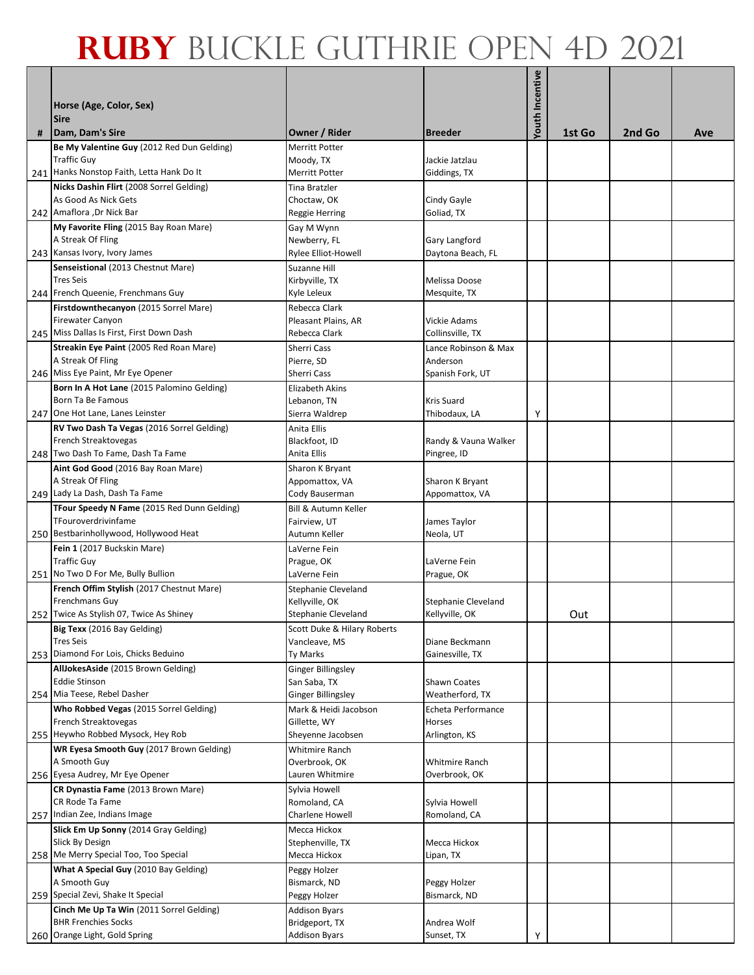| # | Horse (Age, Color, Sex)<br><b>Sire</b><br>Dam, Dam's Sire       | Owner / Rider                                | <b>Breeder</b>               | <b>Youth Incentive</b> | 1st Go | 2nd Go | Ave |
|---|-----------------------------------------------------------------|----------------------------------------------|------------------------------|------------------------|--------|--------|-----|
|   | Be My Valentine Guy (2012 Red Dun Gelding)                      | <b>Merritt Potter</b>                        |                              |                        |        |        |     |
|   | <b>Traffic Guv</b>                                              | Moody, TX                                    | Jackie Jatzlau               |                        |        |        |     |
|   | 241 Hanks Nonstop Faith, Letta Hank Do It                       | <b>Merritt Potter</b>                        | Giddings, TX                 |                        |        |        |     |
|   | Nicks Dashin Flirt (2008 Sorrel Gelding)                        | Tina Bratzler                                |                              |                        |        |        |     |
|   | As Good As Nick Gets                                            | Choctaw, OK                                  | Cindy Gayle                  |                        |        |        |     |
|   | 242 Amaflora , Dr Nick Bar                                      | Reggie Herring                               | Goliad, TX                   |                        |        |        |     |
|   | My Favorite Fling (2015 Bay Roan Mare)                          | Gay M Wynn                                   |                              |                        |        |        |     |
|   | A Streak Of Fling                                               | Newberry, FL                                 | Gary Langford                |                        |        |        |     |
|   | 243 Kansas Ivory, Ivory James                                   | Rylee Elliot-Howell                          | Daytona Beach, FL            |                        |        |        |     |
|   | Senseistional (2013 Chestnut Mare)                              | Suzanne Hill                                 |                              |                        |        |        |     |
|   | <b>Tres Seis</b>                                                | Kirbyville, TX                               | Melissa Doose                |                        |        |        |     |
|   | 244 French Queenie, Frenchmans Guy                              | Kyle Leleux                                  | Mesquite, TX                 |                        |        |        |     |
|   | Firstdownthecanyon (2015 Sorrel Mare)                           | Rebecca Clark                                |                              |                        |        |        |     |
|   | <b>Firewater Canyon</b>                                         | Pleasant Plains, AR                          | Vickie Adams                 |                        |        |        |     |
|   | 245 Miss Dallas Is First, First Down Dash                       | Rebecca Clark                                | Collinsville, TX             |                        |        |        |     |
|   | Streakin Eye Paint (2005 Red Roan Mare)                         | Sherri Cass                                  | Lance Robinson & Max         |                        |        |        |     |
|   | A Streak Of Fling                                               | Pierre, SD                                   | Anderson                     |                        |        |        |     |
|   | 246 Miss Eye Paint, Mr Eye Opener                               | Sherri Cass                                  | Spanish Fork, UT             |                        |        |        |     |
|   | Born In A Hot Lane (2015 Palomino Gelding)<br>Born Ta Be Famous | <b>Elizabeth Akins</b>                       | <b>Kris Suard</b>            |                        |        |        |     |
|   | 247 One Hot Lane, Lanes Leinster                                | Lebanon, TN<br>Sierra Waldrep                | Thibodaux, LA                | Υ                      |        |        |     |
|   | RV Two Dash Ta Vegas (2016 Sorrel Gelding)                      | Anita Ellis                                  |                              |                        |        |        |     |
|   | French Streaktovegas                                            | Blackfoot, ID                                | Randy & Vauna Walker         |                        |        |        |     |
|   | 248 Two Dash To Fame, Dash Ta Fame                              | Anita Ellis                                  | Pingree, ID                  |                        |        |        |     |
|   | Aint God Good (2016 Bay Roan Mare)                              | Sharon K Bryant                              |                              |                        |        |        |     |
|   | A Streak Of Fling                                               | Appomattox, VA                               | Sharon K Bryant              |                        |        |        |     |
|   | 249 Lady La Dash, Dash Ta Fame                                  | Cody Bauserman                               | Appomattox, VA               |                        |        |        |     |
|   | TFour Speedy N Fame (2015 Red Dunn Gelding)                     | <b>Bill &amp; Autumn Keller</b>              |                              |                        |        |        |     |
|   | TFouroverdrivinfame                                             | Fairview, UT                                 | James Taylor                 |                        |        |        |     |
|   | 250 Bestbarinhollywood, Hollywood Heat                          | Autumn Keller                                | Neola, UT                    |                        |        |        |     |
|   | Fein 1 (2017 Buckskin Mare)                                     | LaVerne Fein                                 |                              |                        |        |        |     |
|   | <b>Traffic Guy</b>                                              | Prague, OK                                   | LaVerne Fein                 |                        |        |        |     |
|   | 251 No Two D For Me, Bully Bullion                              | LaVerne Fein                                 | Prague, OK                   |                        |        |        |     |
|   | French Offim Stylish (2017 Chestnut Mare)                       | <b>Stephanie Cleveland</b>                   |                              |                        |        |        |     |
|   | Frenchmans Guy                                                  | Kellyville, OK                               | <b>Stephanie Cleveland</b>   |                        |        |        |     |
|   | 252 Twice As Stylish 07, Twice As Shiney                        | Stephanie Cleveland                          | Kellyville, OK               |                        | Out    |        |     |
|   | Big Texx (2016 Bay Gelding)<br><b>Tres Seis</b>                 | Scott Duke & Hilary Roberts<br>Vancleave, MS | Diane Beckmann               |                        |        |        |     |
|   | 253 Diamond For Lois, Chicks Beduino                            | Ty Marks                                     | Gainesville, TX              |                        |        |        |     |
|   | AllJokesAside (2015 Brown Gelding)                              | Ginger Billingsley                           |                              |                        |        |        |     |
|   | <b>Eddie Stinson</b>                                            | San Saba, TX                                 | <b>Shawn Coates</b>          |                        |        |        |     |
|   | 254 Mia Teese, Rebel Dasher                                     | <b>Ginger Billingsley</b>                    | Weatherford, TX              |                        |        |        |     |
|   | Who Robbed Vegas (2015 Sorrel Gelding)                          | Mark & Heidi Jacobson                        | Echeta Performance           |                        |        |        |     |
|   | French Streaktovegas                                            | Gillette, WY                                 | <b>Horses</b>                |                        |        |        |     |
|   | 255 Heywho Robbed Mysock, Hey Rob                               | Sheyenne Jacobsen                            | Arlington, KS                |                        |        |        |     |
|   | WR Eyesa Smooth Guy (2017 Brown Gelding)                        | Whitmire Ranch                               |                              |                        |        |        |     |
|   | A Smooth Guy                                                    | Overbrook, OK                                | <b>Whitmire Ranch</b>        |                        |        |        |     |
|   | 256 Eyesa Audrey, Mr Eye Opener                                 | Lauren Whitmire                              | Overbrook, OK                |                        |        |        |     |
|   | CR Dynastia Fame (2013 Brown Mare)                              | Sylvia Howell                                |                              |                        |        |        |     |
|   | CR Rode Ta Fame                                                 | Romoland, CA                                 | Sylvia Howell                |                        |        |        |     |
|   | 257 Indian Zee, Indians Image                                   | Charlene Howell                              | Romoland, CA                 |                        |        |        |     |
|   | Slick Em Up Sonny (2014 Gray Gelding)                           | Mecca Hickox                                 |                              |                        |        |        |     |
|   | Slick By Design                                                 | Stephenville, TX                             | Mecca Hickox                 |                        |        |        |     |
|   | 258 Me Merry Special Too, Too Special                           | Mecca Hickox                                 | Lipan, TX                    |                        |        |        |     |
|   | What A Special Guy (2010 Bay Gelding)                           | Peggy Holzer                                 |                              |                        |        |        |     |
|   | A Smooth Guy<br>259 Special Zevi, Shake It Special              | Bismarck, ND<br>Peggy Holzer                 | Peggy Holzer<br>Bismarck, ND |                        |        |        |     |
|   | Cinch Me Up Ta Win (2011 Sorrel Gelding)                        |                                              |                              |                        |        |        |     |
|   | <b>BHR Frenchies Socks</b>                                      | <b>Addison Byars</b><br>Bridgeport, TX       | Andrea Wolf                  |                        |        |        |     |
|   | 260 Orange Light, Gold Spring                                   | <b>Addison Byars</b>                         | Sunset, TX                   | Υ                      |        |        |     |
|   |                                                                 |                                              |                              |                        |        |        |     |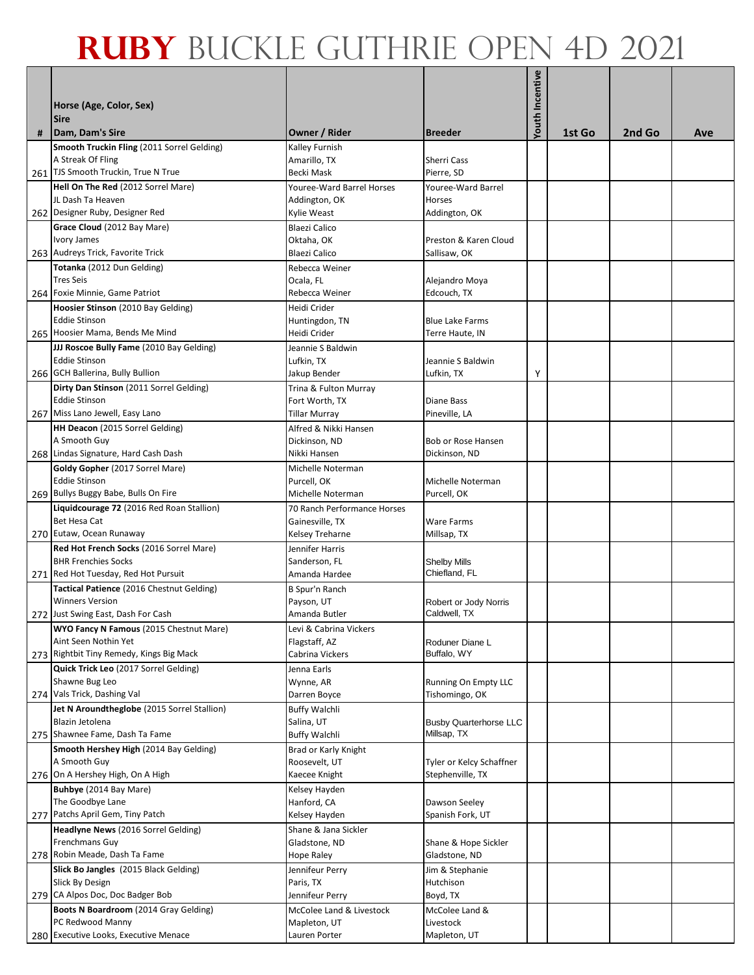|   | Horse (Age, Color, Sex)<br><b>Sire</b>                              |                                        |                                              | Youth Incentive |        |        |     |
|---|---------------------------------------------------------------------|----------------------------------------|----------------------------------------------|-----------------|--------|--------|-----|
| # | Dam, Dam's Sire                                                     | Owner / Rider                          | <b>Breeder</b>                               |                 | 1st Go | 2nd Go | Ave |
|   | Smooth Truckin Fling (2011 Sorrel Gelding)<br>A Streak Of Fling     | Kalley Furnish<br>Amarillo, TX         | <b>Sherri Cass</b>                           |                 |        |        |     |
|   | 261 TJS Smooth Truckin, True N True                                 | Becki Mask                             | Pierre, SD                                   |                 |        |        |     |
|   | Hell On The Red (2012 Sorrel Mare)                                  | Youree-Ward Barrel Horses              | Youree-Ward Barrel                           |                 |        |        |     |
|   | JL Dash Ta Heaven                                                   | Addington, OK                          | Horses                                       |                 |        |        |     |
|   | 262 Designer Ruby, Designer Red                                     | Kylie Weast                            | Addington, OK                                |                 |        |        |     |
|   | Grace Cloud (2012 Bay Mare)                                         | <b>Blaezi Calico</b>                   |                                              |                 |        |        |     |
|   | Ivory James                                                         | Oktaha, OK                             | Preston & Karen Cloud                        |                 |        |        |     |
|   | 263 Audreys Trick, Favorite Trick                                   | Blaezi Calico                          | Sallisaw, OK                                 |                 |        |        |     |
|   | Totanka (2012 Dun Gelding)                                          | Rebecca Weiner                         |                                              |                 |        |        |     |
|   | <b>Tres Seis</b><br>264 Foxie Minnie, Game Patriot                  | Ocala, FL<br>Rebecca Weiner            | Alejandro Moya<br>Edcouch, TX                |                 |        |        |     |
|   | Hoosier Stinson (2010 Bay Gelding)                                  | Heidi Crider                           |                                              |                 |        |        |     |
|   | <b>Eddie Stinson</b>                                                | Huntingdon, TN                         | <b>Blue Lake Farms</b>                       |                 |        |        |     |
|   | 265 Hoosier Mama, Bends Me Mind                                     | Heidi Crider                           | Terre Haute, IN                              |                 |        |        |     |
|   | JJJ Roscoe Bully Fame (2010 Bay Gelding)                            | Jeannie S Baldwin                      |                                              |                 |        |        |     |
|   | <b>Eddie Stinson</b>                                                | Lufkin, TX                             | Jeannie S Baldwin                            |                 |        |        |     |
|   | 266 GCH Ballerina, Bully Bullion                                    | Jakup Bender                           | Lufkin, TX                                   | Υ               |        |        |     |
|   | Dirty Dan Stinson (2011 Sorrel Gelding)                             | Trina & Fulton Murray                  |                                              |                 |        |        |     |
|   | <b>Eddie Stinson</b>                                                | Fort Worth, TX                         | Diane Bass                                   |                 |        |        |     |
|   | 267 Miss Lano Jewell, Easy Lano                                     | <b>Tillar Murray</b>                   | Pineville, LA                                |                 |        |        |     |
|   | HH Deacon (2015 Sorrel Gelding)<br>A Smooth Guy                     | Alfred & Nikki Hansen<br>Dickinson, ND | Bob or Rose Hansen                           |                 |        |        |     |
|   | 268 Lindas Signature, Hard Cash Dash                                | Nikki Hansen                           | Dickinson, ND                                |                 |        |        |     |
|   | Goldy Gopher (2017 Sorrel Mare)                                     | Michelle Noterman                      |                                              |                 |        |        |     |
|   | Eddie Stinson                                                       | Purcell, OK                            | Michelle Noterman                            |                 |        |        |     |
|   | 269 Bullys Buggy Babe, Bulls On Fire                                | Michelle Noterman                      | Purcell, OK                                  |                 |        |        |     |
|   | Liquidcourage 72 (2016 Red Roan Stallion)                           | 70 Ranch Performance Horses            |                                              |                 |        |        |     |
|   | Bet Hesa Cat                                                        | Gainesville, TX                        | Ware Farms                                   |                 |        |        |     |
|   | 270 Eutaw, Ocean Runaway<br>Red Hot French Socks (2016 Sorrel Mare) | Kelsey Treharne                        | Millsap, TX                                  |                 |        |        |     |
|   | <b>BHR Frenchies Socks</b>                                          | Jennifer Harris<br>Sanderson, FL       | <b>Shelby Mills</b>                          |                 |        |        |     |
|   | 271 Red Hot Tuesday, Red Hot Pursuit                                | Amanda Hardee                          | Chiefland, FL                                |                 |        |        |     |
|   | Tactical Patience (2016 Chestnut Gelding)                           | <b>B Spur'n Ranch</b>                  |                                              |                 |        |        |     |
|   | <b>Winners Version</b>                                              | Payson, UT                             | Robert or Jody Norris                        |                 |        |        |     |
|   | 272 Just Swing East, Dash For Cash                                  | Amanda Butler                          | Caldwell, TX                                 |                 |        |        |     |
|   | WYO Fancy N Famous (2015 Chestnut Mare)                             | Levi & Cabrina Vickers                 |                                              |                 |        |        |     |
|   | Aint Seen Nothin Yet<br>273 Rightbit Tiny Remedy, Kings Big Mack    | Flagstaff, AZ<br>Cabrina Vickers       | Roduner Diane L<br>Buffalo, WY               |                 |        |        |     |
|   | Quick Trick Leo (2017 Sorrel Gelding)                               | Jenna Earls                            |                                              |                 |        |        |     |
|   | Shawne Bug Leo                                                      | Wynne, AR                              | Running On Empty LLC                         |                 |        |        |     |
|   | 274 Vals Trick, Dashing Val                                         | Darren Boyce                           | Tishomingo, OK                               |                 |        |        |     |
|   | Jet N Aroundtheglobe (2015 Sorrel Stallion)                         | <b>Buffy Walchli</b>                   |                                              |                 |        |        |     |
|   | Blazin Jetolena                                                     | Salina, UT                             | <b>Busby Quarterhorse LLC</b>                |                 |        |        |     |
|   | 275 Shawnee Fame, Dash Ta Fame                                      | <b>Buffy Walchli</b>                   | Millsap, TX                                  |                 |        |        |     |
|   | Smooth Hershey High (2014 Bay Gelding)                              | Brad or Karly Knight                   |                                              |                 |        |        |     |
|   | A Smooth Guy<br>276 On A Hershey High, On A High                    | Roosevelt, UT<br>Kaecee Knight         | Tyler or Kelcy Schaffner<br>Stephenville, TX |                 |        |        |     |
|   | Buhbye (2014 Bay Mare)                                              | Kelsey Hayden                          |                                              |                 |        |        |     |
|   | The Goodbye Lane                                                    | Hanford, CA                            | Dawson Seeley                                |                 |        |        |     |
|   | 277 Patchs April Gem, Tiny Patch                                    | Kelsey Hayden                          | Spanish Fork, UT                             |                 |        |        |     |
|   | Headlyne News (2016 Sorrel Gelding)                                 | Shane & Jana Sickler                   |                                              |                 |        |        |     |
|   | Frenchmans Guy                                                      | Gladstone, ND                          | Shane & Hope Sickler                         |                 |        |        |     |
|   | 278 Robin Meade, Dash Ta Fame                                       | Hope Raley                             | Gladstone, ND                                |                 |        |        |     |
|   | Slick Bo Jangles (2015 Black Gelding)                               | Jennifeur Perry                        | Jim & Stephanie                              |                 |        |        |     |
|   | Slick By Design<br>279 CA Alpos Doc, Doc Badger Bob                 | Paris, TX<br>Jennifeur Perry           | Hutchison<br>Boyd, TX                        |                 |        |        |     |
|   | Boots N Boardroom (2014 Gray Gelding)                               | McColee Land & Livestock               | McColee Land &                               |                 |        |        |     |
|   | PC Redwood Manny                                                    | Mapleton, UT                           | Livestock                                    |                 |        |        |     |
|   | 280 Executive Looks, Executive Menace                               | Lauren Porter                          | Mapleton, UT                                 |                 |        |        |     |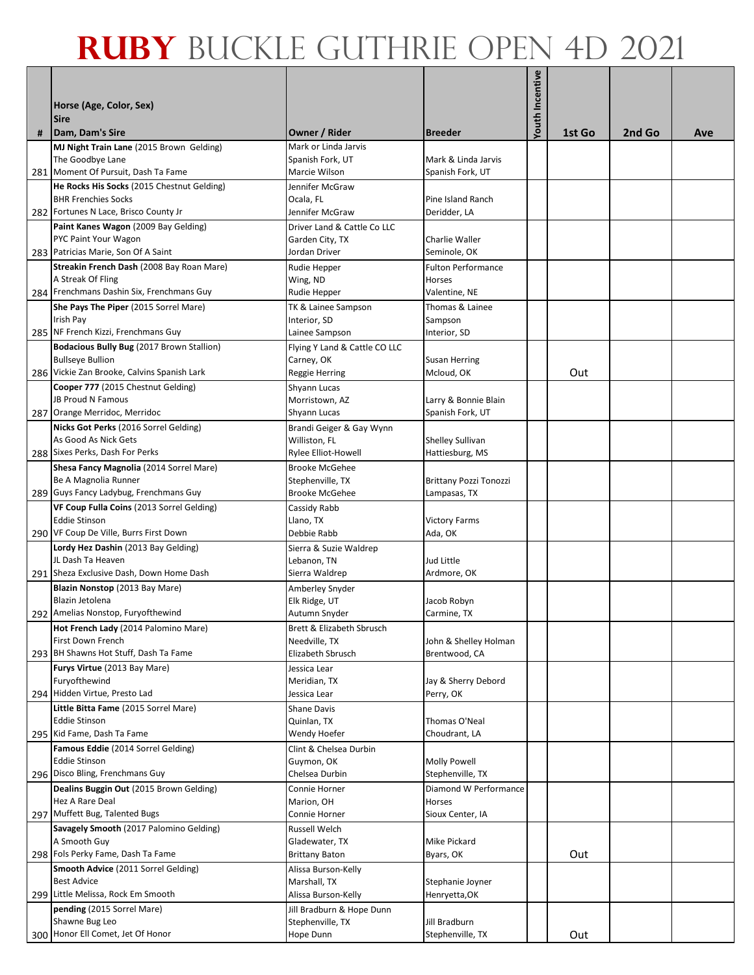|     | Horse (Age, Color, Sex)<br><b>Sire</b>                                                                              |                                                                    |                                                                  | Youth Incentive |        |        |     |
|-----|---------------------------------------------------------------------------------------------------------------------|--------------------------------------------------------------------|------------------------------------------------------------------|-----------------|--------|--------|-----|
| #   | Dam, Dam's Sire                                                                                                     | <b>Owner / Rider</b>                                               | <b>Breeder</b>                                                   |                 | 1st Go | 2nd Go | Ave |
|     | MJ Night Train Lane (2015 Brown Gelding)<br>The Goodbye Lane<br>281 Moment Of Pursuit, Dash Ta Fame                 | Mark or Linda Jarvis<br>Spanish Fork, UT<br>Marcie Wilson          | Mark & Linda Jarvis<br>Spanish Fork, UT                          |                 |        |        |     |
| 282 | He Rocks His Socks (2015 Chestnut Gelding)<br><b>BHR Frenchies Socks</b><br>Fortunes N Lace, Brisco County Jr       | Jennifer McGraw<br>Ocala, FL<br>Jennifer McGraw                    | Pine Island Ranch<br>Deridder, LA                                |                 |        |        |     |
|     | Paint Kanes Wagon (2009 Bay Gelding)<br>PYC Paint Your Wagon<br>283 Patricias Marie, Son Of A Saint                 | Driver Land & Cattle Co LLC<br>Garden City, TX<br>Jordan Driver    | Charlie Waller<br>Seminole, OK                                   |                 |        |        |     |
|     | Streakin French Dash (2008 Bay Roan Mare)<br>A Streak Of Fling<br>284 Frenchmans Dashin Six, Frenchmans Guy         | Rudie Hepper<br>Wing, ND<br>Rudie Hepper                           | <b>Fulton Performance</b><br>Horses<br>Valentine, NE             |                 |        |        |     |
|     | She Pays The Piper (2015 Sorrel Mare)<br>Irish Pay<br>285 NF French Kizzi, Frenchmans Guy                           | TK & Lainee Sampson<br>Interior, SD<br>Lainee Sampson              | Thomas & Lainee<br>Sampson<br>Interior, SD                       |                 |        |        |     |
|     | Bodacious Bully Bug (2017 Brown Stallion)<br><b>Bullseye Bullion</b><br>286 Vickie Zan Brooke, Calvins Spanish Lark | Flying Y Land & Cattle CO LLC<br>Carney, OK<br>Reggie Herring      | <b>Susan Herring</b><br>Mcloud, OK                               |                 | Out    |        |     |
|     | Cooper 777 (2015 Chestnut Gelding)<br>JB Proud N Famous<br>287 Orange Merridoc, Merridoc                            | Shyann Lucas<br>Morristown, AZ<br>Shyann Lucas                     | Larry & Bonnie Blain<br>Spanish Fork, UT                         |                 |        |        |     |
|     | Nicks Got Perks (2016 Sorrel Gelding)<br>As Good As Nick Gets<br>288 Sixes Perks, Dash For Perks                    | Brandi Geiger & Gay Wynn<br>Williston, FL<br>Rylee Elliot-Howell   | Shelley Sullivan<br>Hattiesburg, MS                              |                 |        |        |     |
|     | Shesa Fancy Magnolia (2014 Sorrel Mare)<br>Be A Magnolia Runner                                                     | <b>Brooke McGehee</b><br>Stephenville, TX<br><b>Brooke McGehee</b> | Brittany Pozzi Tonozzi                                           |                 |        |        |     |
|     | 289 Guys Fancy Ladybug, Frenchmans Guy<br>VF Coup Fulla Coins (2013 Sorrel Gelding)<br><b>Eddie Stinson</b>         | Cassidy Rabb<br>Llano, TX                                          | Lampasas, TX<br><b>Victory Farms</b>                             |                 |        |        |     |
|     | 290 VF Coup De Ville, Burrs First Down<br>Lordy Hez Dashin (2013 Bay Gelding)<br>JL Dash Ta Heaven                  | Debbie Rabb<br>Sierra & Suzie Waldrep<br>Lebanon, TN               | Ada, OK<br>Jud Little                                            |                 |        |        |     |
|     | 291 Sheza Exclusive Dash, Down Home Dash<br>Blazin Nonstop (2013 Bay Mare)<br>Blazin Jetolena                       | Sierra Waldrep<br>Amberley Snyder<br>Elk Ridge, UT                 | Ardmore, OK<br>Jacob Robyn                                       |                 |        |        |     |
|     | 292 Amelias Nonstop, Furyofthewind<br>Hot French Lady (2014 Palomino Mare)<br>First Down French                     | Autumn Snyder<br>Brett & Elizabeth Sbrusch<br>Needville, TX        | Carmine, TX<br>John & Shelley Holman                             |                 |        |        |     |
|     | 293 BH Shawns Hot Stuff, Dash Ta Fame<br>Furys Virtue (2013 Bay Mare)<br>Furyofthewind                              | Elizabeth Sbrusch<br>Jessica Lear<br>Meridian, TX                  | Brentwood, CA<br>Jay & Sherry Debord                             |                 |        |        |     |
|     | 294 Hidden Virtue, Presto Lad<br>Little Bitta Fame (2015 Sorrel Mare)<br><b>Eddie Stinson</b>                       | Jessica Lear<br><b>Shane Davis</b>                                 | Perry, OK<br>Thomas O'Neal                                       |                 |        |        |     |
|     | 295 Kid Fame, Dash Ta Fame<br>Famous Eddie (2014 Sorrel Gelding)                                                    | Quinlan, TX<br>Wendy Hoefer<br>Clint & Chelsea Durbin              | Choudrant, LA                                                    |                 |        |        |     |
|     | <b>Eddie Stinson</b><br>296 Disco Bling, Frenchmans Guy<br>Dealins Buggin Out (2015 Brown Gelding)                  | Guymon, OK<br>Chelsea Durbin<br>Connie Horner                      | <b>Molly Powell</b><br>Stephenville, TX<br>Diamond W Performance |                 |        |        |     |
|     | Hez A Rare Deal<br>297 Muffett Bug, Talented Bugs<br>Savagely Smooth (2017 Palomino Gelding)                        | Marion, OH<br>Connie Horner<br>Russell Welch                       | Horses<br>Sioux Center, IA                                       |                 |        |        |     |
|     | A Smooth Guy<br>298 Fols Perky Fame, Dash Ta Fame                                                                   | Gladewater, TX<br><b>Brittany Baton</b>                            | Mike Pickard<br>Byars, OK                                        |                 | Out    |        |     |
|     | Smooth Advice (2011 Sorrel Gelding)<br><b>Best Advice</b><br>299 Little Melissa, Rock Em Smooth                     | Alissa Burson-Kelly<br>Marshall, TX<br>Alissa Burson-Kelly         | Stephanie Joyner<br>Henryetta, OK                                |                 |        |        |     |
|     | pending (2015 Sorrel Mare)<br>Shawne Bug Leo<br>300 Honor Ell Comet, Jet Of Honor                                   | Jill Bradburn & Hope Dunn<br>Stephenville, TX<br>Hope Dunn         | Jill Bradburn<br>Stephenville, TX                                |                 | Out    |        |     |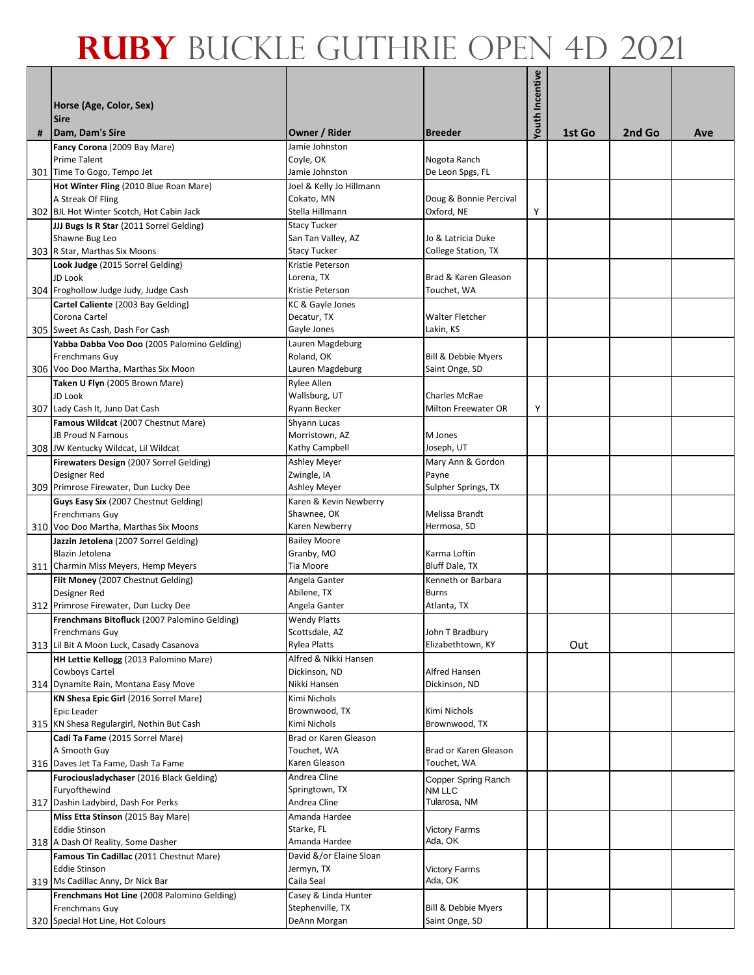|   | Horse (Age, Color, Sex)<br><b>Sire</b>                                          |                                           |                                  | Youth Incentive |        |        |     |
|---|---------------------------------------------------------------------------------|-------------------------------------------|----------------------------------|-----------------|--------|--------|-----|
| # | Dam, Dam's Sire                                                                 | Owner / Rider                             | <b>Breeder</b>                   |                 | 1st Go | 2nd Go | Ave |
|   | Fancy Corona (2009 Bay Mare)                                                    | Jamie Johnston                            |                                  |                 |        |        |     |
|   | <b>Prime Talent</b><br>301 Time To Gogo, Tempo Jet                              | Coyle, OK<br>Jamie Johnston               | Nogota Ranch<br>De Leon Spgs, FL |                 |        |        |     |
|   | Hot Winter Fling (2010 Blue Roan Mare)                                          | Joel & Kelly Jo Hillmann                  |                                  |                 |        |        |     |
|   | A Streak Of Fling                                                               | Cokato, MN                                | Doug & Bonnie Percival           |                 |        |        |     |
|   | 302 BJL Hot Winter Scotch, Hot Cabin Jack                                       | Stella Hillmann                           | Oxford, NE                       | Υ               |        |        |     |
|   | JJJ Bugs Is R Star (2011 Sorrel Gelding)                                        | <b>Stacy Tucker</b>                       |                                  |                 |        |        |     |
|   | Shawne Bug Leo                                                                  | San Tan Valley, AZ<br><b>Stacy Tucker</b> | Jo & Latricia Duke               |                 |        |        |     |
|   | 303 R Star, Marthas Six Moons<br>Look Judge (2015 Sorrel Gelding)               | Kristie Peterson                          | College Station, TX              |                 |        |        |     |
|   | JD Look                                                                         | Lorena, TX                                | Brad & Karen Gleason             |                 |        |        |     |
|   | 304 Froghollow Judge Judy, Judge Cash                                           | Kristie Peterson                          | Touchet, WA                      |                 |        |        |     |
|   | Cartel Caliente (2003 Bay Gelding)                                              | KC & Gayle Jones                          |                                  |                 |        |        |     |
|   | Corona Cartel                                                                   | Decatur, TX                               | Walter Fletcher                  |                 |        |        |     |
|   | 305 Sweet As Cash, Dash For Cash                                                | Gayle Jones                               | Lakin, KS                        |                 |        |        |     |
|   | Yabba Dabba Voo Doo (2005 Palomino Gelding)<br>Frenchmans Guy                   | Lauren Magdeburg<br>Roland, OK            | Bill & Debbie Myers              |                 |        |        |     |
|   | 306 Voo Doo Martha, Marthas Six Moon                                            | Lauren Magdeburg                          | Saint Onge, SD                   |                 |        |        |     |
|   | Taken U Flyn (2005 Brown Mare)                                                  | Rylee Allen                               |                                  |                 |        |        |     |
|   | JD Look                                                                         | Wallsburg, UT                             | <b>Charles McRae</b>             |                 |        |        |     |
|   | 307 Lady Cash It, Juno Dat Cash                                                 | Ryann Becker                              | Milton Freewater OR              | Υ               |        |        |     |
|   | Famous Wildcat (2007 Chestnut Mare)<br>JB Proud N Famous                        | Shyann Lucas<br>Morristown, AZ            | M Jones                          |                 |        |        |     |
|   | 308 JW Kentucky Wildcat, Lil Wildcat                                            | Kathy Campbell                            | Joseph, UT                       |                 |        |        |     |
|   | Firewaters Design (2007 Sorrel Gelding)                                         | Ashley Meyer                              | Mary Ann & Gordon                |                 |        |        |     |
|   | Designer Red                                                                    | Zwingle, IA                               | Payne                            |                 |        |        |     |
|   | 309 Primrose Firewater, Dun Lucky Dee                                           | Ashley Meyer                              | Sulpher Springs, TX              |                 |        |        |     |
|   | Guys Easy Six (2007 Chestnut Gelding)                                           | Karen & Kevin Newberry                    | Melissa Brandt                   |                 |        |        |     |
|   | Frenchmans Guy<br>310 Voo Doo Martha, Marthas Six Moons                         | Shawnee, OK<br>Karen Newberry             | Hermosa, SD                      |                 |        |        |     |
|   | Jazzin Jetolena (2007 Sorrel Gelding)                                           | <b>Bailey Moore</b>                       |                                  |                 |        |        |     |
|   | Blazin Jetolena                                                                 | Granby, MO                                | Karma Loftin                     |                 |        |        |     |
|   | 311 Charmin Miss Meyers, Hemp Meyers                                            | Tia Moore                                 | Bluff Dale, TX                   |                 |        |        |     |
|   | Flit Money (2007 Chestnut Gelding)                                              | Angela Ganter                             | Kenneth or Barbara               |                 |        |        |     |
|   | Designer Red<br>312 Primrose Firewater, Dun Lucky Dee                           | Abilene, TX<br>Angela Ganter              | <b>Burns</b><br>Atlanta, TX      |                 |        |        |     |
|   | Frenchmans Bitofluck (2007 Palomino Gelding)                                    | <b>Wendy Platts</b>                       |                                  |                 |        |        |     |
|   | Frenchmans Guy                                                                  | Scottsdale, AZ                            | John T Bradbury                  |                 |        |        |     |
|   | 313 Lil Bit A Moon Luck, Casady Casanova                                        | Rylea Platts                              | Elizabethtown, KY                |                 | Out    |        |     |
|   | HH Lettie Kellogg (2013 Palomino Mare)                                          | Alfred & Nikki Hansen                     |                                  |                 |        |        |     |
|   | Cowboys Cartel<br>314 Dynamite Rain, Montana Easy Move                          | Dickinson, ND<br>Nikki Hansen             | Alfred Hansen<br>Dickinson, ND   |                 |        |        |     |
|   | KN Shesa Epic Girl (2016 Sorrel Mare)                                           | Kimi Nichols                              |                                  |                 |        |        |     |
|   | Epic Leader                                                                     | Brownwood, TX                             | Kimi Nichols                     |                 |        |        |     |
|   | 315 KN Shesa Regulargirl, Nothin But Cash                                       | Kimi Nichols                              | Brownwood, TX                    |                 |        |        |     |
|   | Cadi Ta Fame (2015 Sorrel Mare)                                                 | Brad or Karen Gleason                     |                                  |                 |        |        |     |
|   | A Smooth Guy                                                                    | Touchet, WA                               | Brad or Karen Gleason            |                 |        |        |     |
|   | 316 Daves Jet Ta Fame, Dash Ta Fame<br>Furociousladychaser (2016 Black Gelding) | Karen Gleason<br>Andrea Cline             | Touchet, WA                      |                 |        |        |     |
|   | Furyofthewind                                                                   | Springtown, TX                            | Copper Spring Ranch<br>NM LLC    |                 |        |        |     |
|   | 317 Dashin Ladybird, Dash For Perks                                             | Andrea Cline                              | Tularosa, NM                     |                 |        |        |     |
|   | Miss Etta Stinson (2015 Bay Mare)                                               | Amanda Hardee                             |                                  |                 |        |        |     |
|   | <b>Eddie Stinson</b>                                                            | Starke, FL                                | <b>Victory Farms</b>             |                 |        |        |     |
|   | 318 A Dash Of Reality, Some Dasher                                              | Amanda Hardee                             | Ada, OK                          |                 |        |        |     |
|   | Famous Tin Cadillac (2011 Chestnut Mare)<br><b>Eddie Stinson</b>                | David &/or Elaine Sloan<br>Jermyn, TX     | <b>Victory Farms</b>             |                 |        |        |     |
|   | 319 Ms Cadillac Anny, Dr Nick Bar                                               | Caila Seal                                | Ada, OK                          |                 |        |        |     |
|   | Frenchmans Hot Line (2008 Palomino Gelding)                                     | Casey & Linda Hunter                      |                                  |                 |        |        |     |
|   | Frenchmans Guy                                                                  | Stephenville, TX                          | Bill & Debbie Myers              |                 |        |        |     |
|   | 320 Special Hot Line, Hot Colours                                               | DeAnn Morgan                              | Saint Onge, SD                   |                 |        |        |     |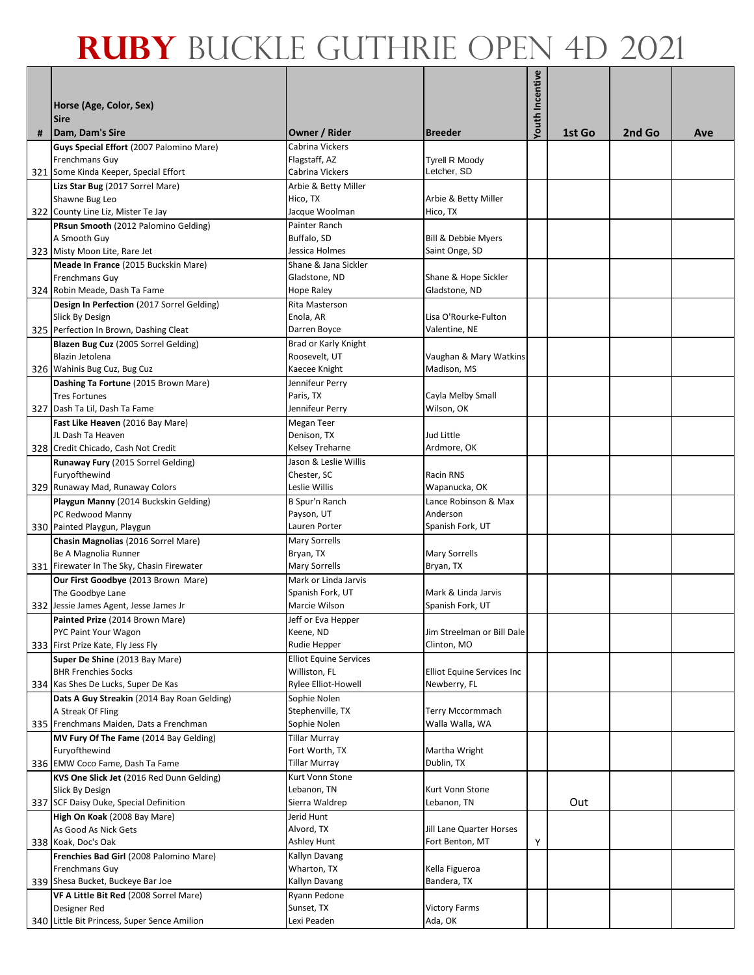|     | Horse (Age, Color, Sex)<br><b>Sire</b>                                    |                                                     |                                             | Youth Incentive |        |        |     |
|-----|---------------------------------------------------------------------------|-----------------------------------------------------|---------------------------------------------|-----------------|--------|--------|-----|
| #   | Dam, Dam's Sire                                                           | <b>Owner / Rider</b>                                | <b>Breeder</b>                              |                 | 1st Go | 2nd Go | Ave |
|     | Guys Special Effort (2007 Palomino Mare)<br>Frenchmans Guy                | Cabrina Vickers<br>Flagstaff, AZ<br>Cabrina Vickers | <b>Tyrell R Moody</b><br>Letcher, SD        |                 |        |        |     |
|     | 321 Some Kinda Keeper, Special Effort<br>Lizs Star Bug (2017 Sorrel Mare) | Arbie & Betty Miller                                |                                             |                 |        |        |     |
|     | Shawne Bug Leo<br>322 County Line Liz, Mister Te Jay                      | Hico, TX<br>Jacque Woolman                          | Arbie & Betty Miller<br>Hico, TX            |                 |        |        |     |
|     | PRsun Smooth (2012 Palomino Gelding)                                      | Painter Ranch                                       |                                             |                 |        |        |     |
|     | A Smooth Guy                                                              | Buffalo, SD                                         | <b>Bill &amp; Debbie Myers</b>              |                 |        |        |     |
|     | 323 Misty Moon Lite, Rare Jet                                             | Jessica Holmes                                      | Saint Onge, SD                              |                 |        |        |     |
|     | Meade In France (2015 Buckskin Mare)                                      | Shane & Jana Sickler                                |                                             |                 |        |        |     |
|     | Frenchmans Guy<br>324 Robin Meade, Dash Ta Fame                           | Gladstone, ND<br>Hope Raley                         | Shane & Hope Sickler<br>Gladstone, ND       |                 |        |        |     |
|     | Design In Perfection (2017 Sorrel Gelding)                                | Rita Masterson                                      |                                             |                 |        |        |     |
|     | Slick By Design                                                           | Enola, AR                                           | Lisa O'Rourke-Fulton                        |                 |        |        |     |
|     | 325 Perfection In Brown, Dashing Cleat                                    | Darren Boyce                                        | Valentine, NE                               |                 |        |        |     |
|     | Blazen Bug Cuz (2005 Sorrel Gelding)                                      | Brad or Karly Knight                                |                                             |                 |        |        |     |
|     | Blazin Jetolena                                                           | Roosevelt, UT                                       | Vaughan & Mary Watkins                      |                 |        |        |     |
|     | 326 Wahinis Bug Cuz, Bug Cuz                                              | Kaecee Knight                                       | Madison, MS                                 |                 |        |        |     |
|     | Dashing Ta Fortune (2015 Brown Mare)                                      | Jennifeur Perry                                     |                                             |                 |        |        |     |
|     | <b>Tres Fortunes</b>                                                      | Paris, TX                                           | Cayla Melby Small                           |                 |        |        |     |
|     | 327 Dash Ta Lil, Dash Ta Fame                                             | Jennifeur Perry                                     | Wilson, OK                                  |                 |        |        |     |
|     | Fast Like Heaven (2016 Bay Mare)                                          | Megan Teer                                          |                                             |                 |        |        |     |
|     | JL Dash Ta Heaven<br>328 Credit Chicado, Cash Not Credit                  | Denison, TX<br>Kelsey Treharne                      | Jud Little<br>Ardmore, OK                   |                 |        |        |     |
|     | Runaway Fury (2015 Sorrel Gelding)                                        | Jason & Leslie Willis                               |                                             |                 |        |        |     |
|     | Furyofthewind                                                             | Chester, SC                                         | Racin RNS                                   |                 |        |        |     |
|     | 329 Runaway Mad, Runaway Colors                                           | Leslie Willis                                       | Wapanucka, OK                               |                 |        |        |     |
|     | Playgun Manny (2014 Buckskin Gelding)                                     | B Spur'n Ranch                                      | Lance Robinson & Max                        |                 |        |        |     |
|     | PC Redwood Manny                                                          | Payson, UT                                          | Anderson                                    |                 |        |        |     |
|     | 330 Painted Playgun, Playgun                                              | Lauren Porter                                       | Spanish Fork, UT                            |                 |        |        |     |
|     | Chasin Magnolias (2016 Sorrel Mare)                                       | <b>Mary Sorrells</b>                                |                                             |                 |        |        |     |
|     | Be A Magnolia Runner                                                      | Bryan, TX                                           | <b>Mary Sorrells</b>                        |                 |        |        |     |
|     | 331 Firewater In The Sky, Chasin Firewater                                | <b>Mary Sorrells</b><br>Mark or Linda Jarvis        | Bryan, TX                                   |                 |        |        |     |
|     | Our First Goodbye (2013 Brown Mare)<br>The Goodbye Lane                   | Spanish Fork, UT                                    | Mark & Linda Jarvis                         |                 |        |        |     |
| 332 | Jessie James Agent, Jesse James Jr                                        | Marcie Wilson                                       | Spanish Fork, UT                            |                 |        |        |     |
|     | Painted Prize (2014 Brown Mare)                                           | Jeff or Eva Hepper                                  |                                             |                 |        |        |     |
|     | PYC Paint Your Wagon                                                      | Keene, ND                                           | Jim Streelman or Bill Dale                  |                 |        |        |     |
|     | 333 First Prize Kate, Fly Jess Fly                                        | Rudie Hepper                                        | Clinton, MO                                 |                 |        |        |     |
|     | Super De Shine (2013 Bay Mare)                                            | <b>Elliot Equine Services</b>                       |                                             |                 |        |        |     |
|     | <b>BHR Frenchies Socks</b>                                                | Williston, FL                                       | Elliot Equine Services Inc                  |                 |        |        |     |
|     | 334 Kas Shes De Lucks, Super De Kas                                       | Rylee Elliot-Howell                                 | Newberry, FL                                |                 |        |        |     |
|     | Dats A Guy Streakin (2014 Bay Roan Gelding)<br>A Streak Of Fling          | Sophie Nolen<br>Stephenville, TX                    | Terry Mccormmach                            |                 |        |        |     |
|     | 335 Frenchmans Maiden, Dats a Frenchman                                   | Sophie Nolen                                        | Walla Walla, WA                             |                 |        |        |     |
|     | MV Fury Of The Fame (2014 Bay Gelding)                                    | <b>Tillar Murray</b>                                |                                             |                 |        |        |     |
|     | Furyofthewind                                                             | Fort Worth, TX                                      | Martha Wright                               |                 |        |        |     |
|     | 336 EMW Coco Fame, Dash Ta Fame                                           | <b>Tillar Murray</b>                                | Dublin, TX                                  |                 |        |        |     |
|     | KVS One Slick Jet (2016 Red Dunn Gelding)                                 | Kurt Vonn Stone                                     |                                             |                 |        |        |     |
|     | Slick By Design                                                           | Lebanon, TN                                         | Kurt Vonn Stone                             |                 |        |        |     |
|     | 337 SCF Daisy Duke, Special Definition                                    | Sierra Waldrep                                      | Lebanon, TN                                 |                 | Out    |        |     |
|     | High On Koak (2008 Bay Mare)                                              | Jerid Hunt                                          |                                             |                 |        |        |     |
|     | As Good As Nick Gets<br>338 Koak, Doc's Oak                               | Alvord, TX<br>Ashley Hunt                           | Jill Lane Quarter Horses<br>Fort Benton, MT | Υ               |        |        |     |
|     | Frenchies Bad Girl (2008 Palomino Mare)                                   | Kallyn Davang                                       |                                             |                 |        |        |     |
|     | Frenchmans Guy                                                            | Wharton, TX                                         | Kella Figueroa                              |                 |        |        |     |
|     | 339 Shesa Bucket, Buckeye Bar Joe                                         | Kallyn Davang                                       | Bandera, TX                                 |                 |        |        |     |
|     | VF A Little Bit Red (2008 Sorrel Mare)                                    | Ryann Pedone                                        |                                             |                 |        |        |     |
|     | Designer Red                                                              | Sunset, TX                                          | <b>Victory Farms</b>                        |                 |        |        |     |
|     | 340 Little Bit Princess, Super Sence Amilion                              | Lexi Peaden                                         | Ada, OK                                     |                 |        |        |     |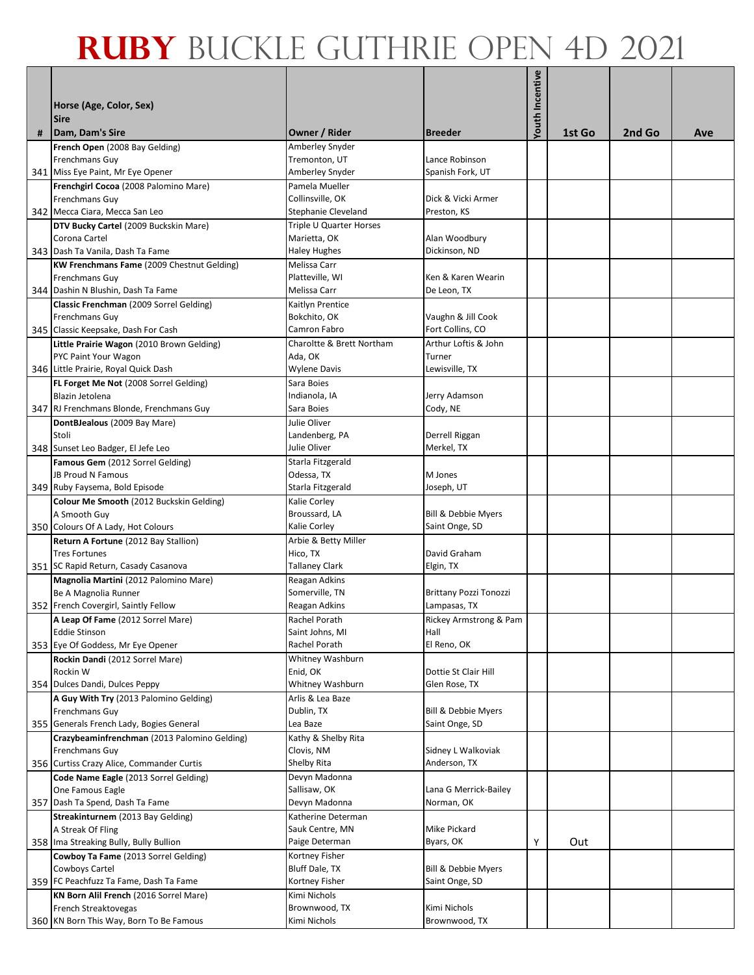|   | Horse (Age, Color, Sex)<br><b>Sire</b>                          |                                         |                        | <b>Youth Incentive</b> |        |        |     |
|---|-----------------------------------------------------------------|-----------------------------------------|------------------------|------------------------|--------|--------|-----|
| # | Dam, Dam's Sire                                                 | Owner / Rider                           | <b>Breeder</b>         |                        | 1st Go | 2nd Go | Ave |
|   | French Open (2008 Bay Gelding)                                  | Amberley Snyder                         |                        |                        |        |        |     |
|   | Frenchmans Guy                                                  | Tremonton, UT                           | Lance Robinson         |                        |        |        |     |
|   | 341 Miss Eye Paint, Mr Eye Opener                               | Amberley Snyder                         | Spanish Fork, UT       |                        |        |        |     |
|   | Frenchgirl Cocoa (2008 Palomino Mare)                           | Pamela Mueller                          |                        |                        |        |        |     |
|   | Frenchmans Guy                                                  | Collinsville, OK                        | Dick & Vicki Armer     |                        |        |        |     |
|   | 342 Mecca Ciara, Mecca San Leo                                  | <b>Stephanie Cleveland</b>              | Preston, KS            |                        |        |        |     |
|   | DTV Bucky Cartel (2009 Buckskin Mare)<br>Corona Cartel          | Triple U Quarter Horses<br>Marietta, OK | Alan Woodbury          |                        |        |        |     |
|   | 343 Dash Ta Vanila, Dash Ta Fame                                | Haley Hughes                            | Dickinson, ND          |                        |        |        |     |
|   | <b>KW Frenchmans Fame (2009 Chestnut Gelding)</b>               | Melissa Carr                            |                        |                        |        |        |     |
|   | <b>Frenchmans Guy</b>                                           | Platteville, WI                         | Ken & Karen Wearin     |                        |        |        |     |
|   | 344 Dashin N Blushin, Dash Ta Fame                              | Melissa Carr                            | De Leon, TX            |                        |        |        |     |
|   | Classic Frenchman (2009 Sorrel Gelding)                         | Kaitlyn Prentice                        |                        |                        |        |        |     |
|   | Frenchmans Guy                                                  | Bokchito, OK                            | Vaughn & Jill Cook     |                        |        |        |     |
|   | 345 Classic Keepsake, Dash For Cash                             | Camron Fabro                            | Fort Collins, CO       |                        |        |        |     |
|   | Little Prairie Wagon (2010 Brown Gelding)                       | Charoltte & Brett Northam               | Arthur Loftis & John   |                        |        |        |     |
|   | PYC Paint Your Wagon                                            | Ada, OK                                 | Turner                 |                        |        |        |     |
|   | 346 Little Prairie, Royal Quick Dash                            | Wylene Davis                            | Lewisville, TX         |                        |        |        |     |
|   | FL Forget Me Not (2008 Sorrel Gelding)                          | Sara Boies                              |                        |                        |        |        |     |
|   | Blazin Jetolena                                                 | Indianola, IA                           | Jerry Adamson          |                        |        |        |     |
|   | 347 RJ Frenchmans Blonde, Frenchmans Guy                        | Sara Boies<br>Julie Oliver              | Cody, NE               |                        |        |        |     |
|   | DontBJealous (2009 Bay Mare)<br>Stoli                           | Landenberg, PA                          | Derrell Riggan         |                        |        |        |     |
|   | 348 Sunset Leo Badger, El Jefe Leo                              | Julie Oliver                            | Merkel, TX             |                        |        |        |     |
|   | Famous Gem (2012 Sorrel Gelding)                                | Starla Fitzgerald                       |                        |                        |        |        |     |
|   | JB Proud N Famous                                               | Odessa, TX                              | M Jones                |                        |        |        |     |
|   | 349 Ruby Faysema, Bold Episode                                  | Starla Fitzgerald                       | Joseph, UT             |                        |        |        |     |
|   | Colour Me Smooth (2012 Buckskin Gelding)                        | Kalie Corley                            |                        |                        |        |        |     |
|   | A Smooth Guy                                                    | Broussard, LA                           | Bill & Debbie Myers    |                        |        |        |     |
|   | 350 Colours Of A Lady, Hot Colours                              | Kalie Corley                            | Saint Onge, SD         |                        |        |        |     |
|   | Return A Fortune (2012 Bay Stallion)                            | Arbie & Betty Miller                    |                        |                        |        |        |     |
|   | <b>Tres Fortunes</b>                                            | Hico, TX                                | David Graham           |                        |        |        |     |
|   | 351 SC Rapid Return, Casady Casanova                            | <b>Tallaney Clark</b>                   | Elgin, TX              |                        |        |        |     |
|   | Magnolia Martini (2012 Palomino Mare)<br>Be A Magnolia Runner   | Reagan Adkins<br>Somerville, TN         | Brittany Pozzi Tonozzi |                        |        |        |     |
|   | 352 French Covergirl, Saintly Fellow                            | Reagan Adkins                           | Lampasas, TX           |                        |        |        |     |
|   | A Leap Of Fame (2012 Sorrel Mare)                               | Rachel Porath                           | Rickey Armstrong & Pam |                        |        |        |     |
|   | <b>Eddie Stinson</b>                                            | Saint Johns, MI                         | Hall                   |                        |        |        |     |
|   | 353 Eye Of Goddess, Mr Eye Opener                               | Rachel Porath                           | El Reno, OK            |                        |        |        |     |
|   | Rockin Dandi (2012 Sorrel Mare)                                 | Whitney Washburn                        |                        |                        |        |        |     |
|   | Rockin W                                                        | Enid, OK                                | Dottie St Clair Hill   |                        |        |        |     |
|   | 354 Dulces Dandi, Dulces Peppy                                  | Whitney Washburn                        | Glen Rose, TX          |                        |        |        |     |
|   | A Guy With Try (2013 Palomino Gelding)                          | Arlis & Lea Baze                        |                        |                        |        |        |     |
|   | Frenchmans Guy                                                  | Dublin, TX                              | Bill & Debbie Myers    |                        |        |        |     |
|   | 355 Generals French Lady, Bogies General                        | Lea Baze                                | Saint Onge, SD         |                        |        |        |     |
|   | Crazybeaminfrenchman (2013 Palomino Gelding)<br>Frenchmans Guy  | Kathy & Shelby Rita<br>Clovis, NM       | Sidney L Walkoviak     |                        |        |        |     |
|   | 356 Curtiss Crazy Alice, Commander Curtis                       | Shelby Rita                             | Anderson, TX           |                        |        |        |     |
|   | Code Name Eagle (2013 Sorrel Gelding)                           | Devyn Madonna                           |                        |                        |        |        |     |
|   | One Famous Eagle                                                | Sallisaw, OK                            | Lana G Merrick-Bailey  |                        |        |        |     |
|   | 357 Dash Ta Spend, Dash Ta Fame                                 | Devyn Madonna                           | Norman, OK             |                        |        |        |     |
|   | Streakinturnem (2013 Bay Gelding)                               | Katherine Determan                      |                        |                        |        |        |     |
|   | A Streak Of Fling                                               | Sauk Centre, MN                         | Mike Pickard           |                        |        |        |     |
|   | 358 Ima Streaking Bully, Bully Bullion                          | Paige Determan                          | Byars, OK              | Υ                      | Out    |        |     |
|   | Cowboy Ta Fame (2013 Sorrel Gelding)                            | Kortney Fisher                          |                        |                        |        |        |     |
|   | Cowboys Cartel                                                  | Bluff Dale, TX                          | Bill & Debbie Myers    |                        |        |        |     |
|   | 359 FC Peachfuzz Ta Fame, Dash Ta Fame                          | Kortney Fisher                          | Saint Onge, SD         |                        |        |        |     |
|   | KN Born Alil French (2016 Sorrel Mare)                          | Kimi Nichols                            | Kimi Nichols           |                        |        |        |     |
|   | French Streaktovegas<br>360 KN Born This Way, Born To Be Famous | Brownwood, TX<br>Kimi Nichols           | Brownwood, TX          |                        |        |        |     |
|   |                                                                 |                                         |                        |                        |        |        |     |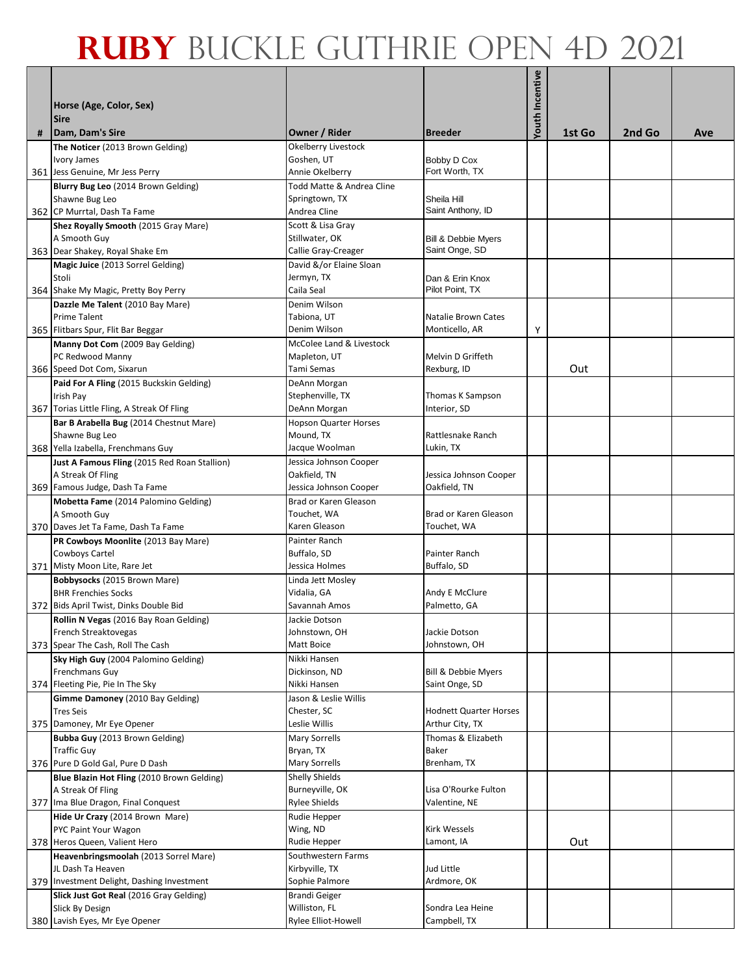|   | Horse (Age, Color, Sex)<br><b>Sire</b>                                     |                                              |                                | <b>Youth Incentive</b> |        |        |     |
|---|----------------------------------------------------------------------------|----------------------------------------------|--------------------------------|------------------------|--------|--------|-----|
| # | Dam, Dam's Sire                                                            | Owner / Rider                                | <b>Breeder</b>                 |                        | 1st Go | 2nd Go | Ave |
|   | The Noticer (2013 Brown Gelding)                                           | Okelberry Livestock                          |                                |                        |        |        |     |
|   | <b>Ivory James</b>                                                         | Goshen, UT                                   | Bobby D Cox                    |                        |        |        |     |
|   | 361 Jess Genuine, Mr Jess Perry<br>Blurry Bug Leo (2014 Brown Gelding)     | Annie Okelberry<br>Todd Matte & Andrea Cline | Fort Worth, TX                 |                        |        |        |     |
|   | Shawne Bug Leo                                                             | Springtown, TX                               | Sheila Hill                    |                        |        |        |     |
|   | 362 CP Murrtal, Dash Ta Fame                                               | Andrea Cline                                 | Saint Anthony, ID              |                        |        |        |     |
|   | Shez Royally Smooth (2015 Gray Mare)                                       | Scott & Lisa Gray                            |                                |                        |        |        |     |
|   | A Smooth Guy                                                               | Stillwater, OK                               | <b>Bill &amp; Debbie Myers</b> |                        |        |        |     |
|   | 363 Dear Shakey, Royal Shake Em                                            | Callie Gray-Creager                          | Saint Onge, SD                 |                        |        |        |     |
|   | Magic Juice (2013 Sorrel Gelding)<br>Stoli                                 | David &/or Elaine Sloan<br>Jermyn, TX        | Dan & Erin Knox                |                        |        |        |     |
|   | 364 Shake My Magic, Pretty Boy Perry                                       | Caila Seal                                   | Pilot Point, TX                |                        |        |        |     |
|   | Dazzle Me Talent (2010 Bay Mare)                                           | Denim Wilson                                 |                                |                        |        |        |     |
|   | <b>Prime Talent</b>                                                        | Tabiona, UT                                  | Natalie Brown Cates            |                        |        |        |     |
|   | 365 Flitbars Spur, Flit Bar Beggar                                         | Denim Wilson                                 | Monticello, AR                 | Υ                      |        |        |     |
|   | Manny Dot Com (2009 Bay Gelding)<br>PC Redwood Manny                       | McColee Land & Livestock<br>Mapleton, UT     | Melvin D Griffeth              |                        |        |        |     |
|   | 366 Speed Dot Com, Sixarun                                                 | Tami Semas                                   | Rexburg, ID                    |                        | Out    |        |     |
|   | Paid For A Fling (2015 Buckskin Gelding)                                   | DeAnn Morgan                                 |                                |                        |        |        |     |
|   | Irish Pay                                                                  | Stephenville, TX                             | Thomas K Sampson               |                        |        |        |     |
|   | 367 Torias Little Fling, A Streak Of Fling                                 | DeAnn Morgan                                 | Interior, SD                   |                        |        |        |     |
|   | Bar B Arabella Bug (2014 Chestnut Mare)                                    | <b>Hopson Quarter Horses</b>                 |                                |                        |        |        |     |
|   | Shawne Bug Leo<br>368 Yella Izabella, Frenchmans Guy                       | Mound, TX<br>Jacque Woolman                  | Rattlesnake Ranch<br>Lukin, TX |                        |        |        |     |
|   | Just A Famous Fling (2015 Red Roan Stallion)                               | Jessica Johnson Cooper                       |                                |                        |        |        |     |
|   | A Streak Of Fling                                                          | Oakfield, TN                                 | Jessica Johnson Cooper         |                        |        |        |     |
|   | 369 Famous Judge, Dash Ta Fame                                             | Jessica Johnson Cooper                       | Oakfield, TN                   |                        |        |        |     |
|   | Mobetta Fame (2014 Palomino Gelding)                                       | Brad or Karen Gleason                        |                                |                        |        |        |     |
|   | A Smooth Guy                                                               | Touchet, WA                                  | Brad or Karen Gleason          |                        |        |        |     |
|   | 370 Daves Jet Ta Fame, Dash Ta Fame<br>PR Cowboys Moonlite (2013 Bay Mare) | Karen Gleason<br>Painter Ranch               | Touchet, WA                    |                        |        |        |     |
|   | Cowboys Cartel                                                             | Buffalo, SD                                  | Painter Ranch                  |                        |        |        |     |
|   | 371 Misty Moon Lite, Rare Jet                                              | Jessica Holmes                               | Buffalo, SD                    |                        |        |        |     |
|   | Bobbysocks (2015 Brown Mare)                                               | Linda Jett Mosley                            |                                |                        |        |        |     |
|   | <b>BHR Frenchies Socks</b>                                                 | Vidalia, GA                                  | Andy E McClure                 |                        |        |        |     |
|   | 372 Bids April Twist, Dinks Double Bid                                     | Savannah Amos                                | Palmetto, GA                   |                        |        |        |     |
|   | Rollin N Vegas (2016 Bay Roan Gelding)<br>French Streaktovegas             | Jackie Dotson<br>Johnstown, OH               | Jackie Dotson                  |                        |        |        |     |
|   | 373 Spear The Cash, Roll The Cash                                          | Matt Boice                                   | Johnstown, OH                  |                        |        |        |     |
|   | Sky High Guy (2004 Palomino Gelding)                                       | Nikki Hansen                                 |                                |                        |        |        |     |
|   | Frenchmans Guy                                                             | Dickinson, ND                                | <b>Bill &amp; Debbie Mvers</b> |                        |        |        |     |
|   | 374 Fleeting Pie, Pie In The Sky                                           | Nikki Hansen                                 | Saint Onge, SD                 |                        |        |        |     |
|   | Gimme Damoney (2010 Bay Gelding)<br><b>Tres Seis</b>                       | Jason & Leslie Willis<br>Chester, SC         | <b>Hodnett Quarter Horses</b>  |                        |        |        |     |
|   | 375 Damoney, Mr Eye Opener                                                 | Leslie Willis                                | Arthur City, TX                |                        |        |        |     |
|   | Bubba Guy (2013 Brown Gelding)                                             | Mary Sorrells                                | Thomas & Elizabeth             |                        |        |        |     |
|   | <b>Traffic Guy</b>                                                         | Bryan, TX                                    | Baker                          |                        |        |        |     |
|   | 376 Pure D Gold Gal, Pure D Dash                                           | <b>Mary Sorrells</b>                         | Brenham, TX                    |                        |        |        |     |
|   | Blue Blazin Hot Fling (2010 Brown Gelding)<br>A Streak Of Fling            | <b>Shelly Shields</b><br>Burneyville, OK     | Lisa O'Rourke Fulton           |                        |        |        |     |
|   | 377 Ima Blue Dragon, Final Conquest                                        | Rylee Shields                                | Valentine, NE                  |                        |        |        |     |
|   | Hide Ur Crazy (2014 Brown Mare)                                            | Rudie Hepper                                 |                                |                        |        |        |     |
|   | PYC Paint Your Wagon                                                       | Wing, ND                                     | Kirk Wessels                   |                        |        |        |     |
|   | 378 Heros Queen, Valient Hero                                              | Rudie Hepper                                 | Lamont, IA                     |                        | Out    |        |     |
|   | Heavenbringsmoolah (2013 Sorrel Mare)                                      | Southwestern Farms                           |                                |                        |        |        |     |
|   | JL Dash Ta Heaven<br>379 Investment Delight, Dashing Investment            | Kirbyville, TX<br>Sophie Palmore             | Jud Little<br>Ardmore, OK      |                        |        |        |     |
|   | Slick Just Got Real (2016 Gray Gelding)                                    | <b>Brandi Geiger</b>                         |                                |                        |        |        |     |
|   | Slick By Design                                                            | Williston, FL                                | Sondra Lea Heine               |                        |        |        |     |
|   | 380 Lavish Eyes, Mr Eye Opener                                             | Rylee Elliot-Howell                          | Campbell, TX                   |                        |        |        |     |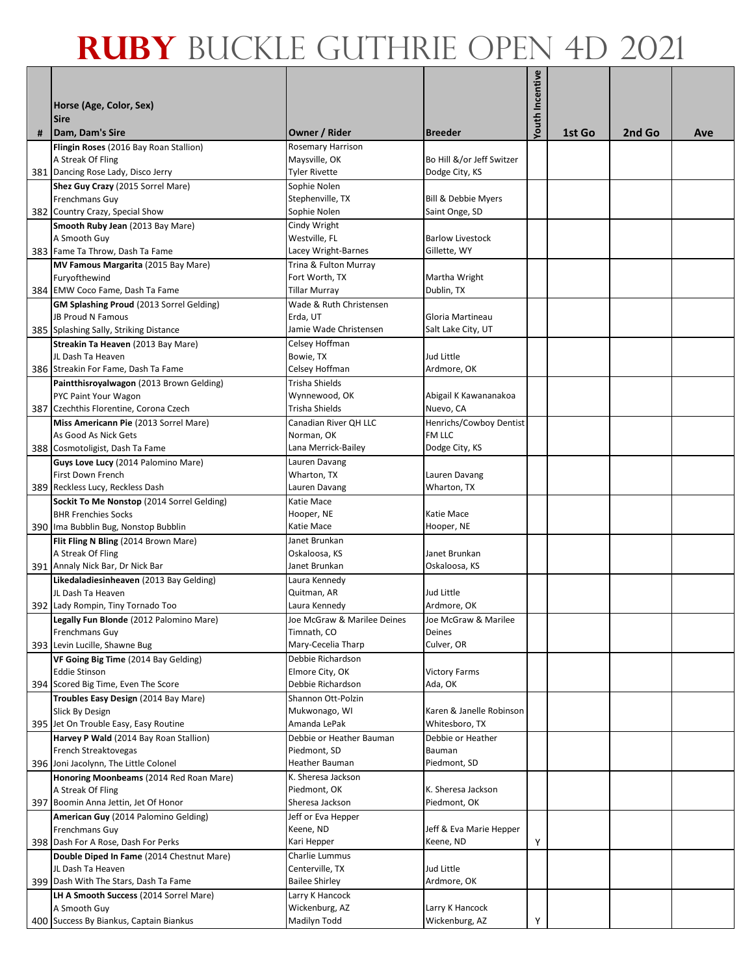| # | Horse (Age, Color, Sex)<br><b>Sire</b><br>Dam, Dam's Sire    | Owner / Rider                     | <b>Breeder</b>            | <b>Youth Incentive</b> | 1st Go | 2nd Go | Ave |
|---|--------------------------------------------------------------|-----------------------------------|---------------------------|------------------------|--------|--------|-----|
|   | Flingin Roses (2016 Bay Roan Stallion)                       | Rosemary Harrison                 |                           |                        |        |        |     |
|   | A Streak Of Fling                                            | Maysville, OK                     | Bo Hill &/or Jeff Switzer |                        |        |        |     |
|   | 381 Dancing Rose Lady, Disco Jerry                           | <b>Tyler Rivette</b>              | Dodge City, KS            |                        |        |        |     |
|   | Shez Guy Crazy (2015 Sorrel Mare)                            | Sophie Nolen                      |                           |                        |        |        |     |
|   | Frenchmans Guy                                               | Stephenville, TX                  | Bill & Debbie Myers       |                        |        |        |     |
|   | 382 Country Crazy, Special Show                              | Sophie Nolen                      | Saint Onge, SD            |                        |        |        |     |
|   | Smooth Ruby Jean (2013 Bay Mare)                             | Cindy Wright                      |                           |                        |        |        |     |
|   | A Smooth Guy                                                 | Westville, FL                     | <b>Barlow Livestock</b>   |                        |        |        |     |
|   | 383 Fame Ta Throw, Dash Ta Fame                              | Lacey Wright-Barnes               | Gillette, WY              |                        |        |        |     |
|   | MV Famous Margarita (2015 Bay Mare)                          | Trina & Fulton Murray             |                           |                        |        |        |     |
|   | Furyofthewind                                                | Fort Worth, TX                    | Martha Wright             |                        |        |        |     |
|   | 384 EMW Coco Fame, Dash Ta Fame                              | <b>Tillar Murray</b>              | Dublin, TX                |                        |        |        |     |
|   | GM Splashing Proud (2013 Sorrel Gelding)                     | Wade & Ruth Christensen           |                           |                        |        |        |     |
|   | <b>JB Proud N Famous</b>                                     | Erda, UT                          | Gloria Martineau          |                        |        |        |     |
|   | 385 Splashing Sally, Striking Distance                       | Jamie Wade Christensen            | Salt Lake City, UT        |                        |        |        |     |
|   | Streakin Ta Heaven (2013 Bay Mare)                           | Celsey Hoffman                    |                           |                        |        |        |     |
|   | JL Dash Ta Heaven                                            | Bowie, TX                         | Jud Little                |                        |        |        |     |
|   | 386 Streakin For Fame, Dash Ta Fame                          | Celsey Hoffman                    | Ardmore, OK               |                        |        |        |     |
|   | Paintthisroyalwagon (2013 Brown Gelding)                     | Trisha Shields                    |                           |                        |        |        |     |
|   | <b>PYC Paint Your Wagon</b>                                  | Wynnewood, OK                     | Abigail K Kawananakoa     |                        |        |        |     |
|   | 387 Czechthis Florentine, Corona Czech                       | Trisha Shields                    | Nuevo, CA                 |                        |        |        |     |
|   | Miss Americann Pie (2013 Sorrel Mare)                        | Canadian River OH LLC             | Henrichs/Cowboy Dentist   |                        |        |        |     |
|   | As Good As Nick Gets                                         | Norman, OK                        | FM LLC                    |                        |        |        |     |
|   | 388 Cosmotoligist, Dash Ta Fame                              | Lana Merrick-Bailey               | Dodge City, KS            |                        |        |        |     |
|   | Guys Love Lucy (2014 Palomino Mare)                          | Lauren Davang                     |                           |                        |        |        |     |
|   | First Down French                                            | Wharton, TX                       | Lauren Davang             |                        |        |        |     |
|   | 389 Reckless Lucy, Reckless Dash                             | Lauren Davang                     | Wharton, TX               |                        |        |        |     |
|   | Sockit To Me Nonstop (2014 Sorrel Gelding)                   | Katie Mace                        |                           |                        |        |        |     |
|   | <b>BHR Frenchies Socks</b>                                   | Hooper, NE                        | Katie Mace                |                        |        |        |     |
|   | 390 Ima Bubblin Bug, Nonstop Bubblin                         | Katie Mace                        | Hooper, NE                |                        |        |        |     |
|   | Flit Fling N Bling (2014 Brown Mare)                         | Janet Brunkan                     |                           |                        |        |        |     |
|   | A Streak Of Fling                                            | Oskaloosa, KS                     | Janet Brunkan             |                        |        |        |     |
|   | 391 Annaly Nick Bar, Dr Nick Bar                             | Janet Brunkan                     | Oskaloosa, KS             |                        |        |        |     |
|   | Likedaladiesinheaven (2013 Bay Gelding)<br>JL Dash Ta Heaven | Laura Kennedy<br>Quitman, AR      | Jud Little                |                        |        |        |     |
|   | 392 Lady Rompin, Tiny Tornado Too                            | Laura Kennedy                     | Ardmore, OK               |                        |        |        |     |
|   | Legally Fun Blonde (2012 Palomino Mare)                      | Joe McGraw & Marilee Deines       | Joe McGraw & Marilee      |                        |        |        |     |
|   | Frenchmans Guy                                               | Timnath, CO                       | Deines                    |                        |        |        |     |
|   | 393 Levin Lucille, Shawne Bug                                | Mary-Cecelia Tharp                | Culver, OR                |                        |        |        |     |
|   | VF Going Big Time (2014 Bay Gelding)                         | Debbie Richardson                 |                           |                        |        |        |     |
|   | <b>Eddie Stinson</b>                                         | Elmore City, OK                   | <b>Victory Farms</b>      |                        |        |        |     |
|   | 394 Scored Big Time, Even The Score                          | Debbie Richardson                 | Ada, OK                   |                        |        |        |     |
|   | Troubles Easy Design (2014 Bay Mare)                         | Shannon Ott-Polzin                |                           |                        |        |        |     |
|   | Slick By Design                                              | Mukwonago, WI                     | Karen & Janelle Robinson  |                        |        |        |     |
|   | 395 Jet On Trouble Easy, Easy Routine                        | Amanda LePak                      | Whitesboro, TX            |                        |        |        |     |
|   | Harvey P Wald (2014 Bay Roan Stallion)                       | Debbie or Heather Bauman          | Debbie or Heather         |                        |        |        |     |
|   | French Streaktovegas                                         | Piedmont, SD                      | Bauman                    |                        |        |        |     |
|   | 396 Joni Jacolynn, The Little Colonel                        | Heather Bauman                    | Piedmont, SD              |                        |        |        |     |
|   | Honoring Moonbeams (2014 Red Roan Mare)                      | K. Sheresa Jackson                |                           |                        |        |        |     |
|   | A Streak Of Fling                                            | Piedmont, OK                      | K. Sheresa Jackson        |                        |        |        |     |
|   | 397 Boomin Anna Jettin, Jet Of Honor                         | Sheresa Jackson                   | Piedmont, OK              |                        |        |        |     |
|   | American Guy (2014 Palomino Gelding)                         | Jeff or Eva Hepper                |                           |                        |        |        |     |
|   | Frenchmans Guy                                               | Keene, ND                         | Jeff & Eva Marie Hepper   |                        |        |        |     |
|   | 398 Dash For A Rose, Dash For Perks                          | Kari Hepper                       | Keene, ND                 | Υ                      |        |        |     |
|   | Double Diped In Fame (2014 Chestnut Mare)                    | Charlie Lummus                    |                           |                        |        |        |     |
|   | JL Dash Ta Heaven                                            | Centerville, TX                   | Jud Little                |                        |        |        |     |
|   | 399 Dash With The Stars, Dash Ta Fame                        | <b>Bailee Shirley</b>             | Ardmore, OK               |                        |        |        |     |
|   | LH A Smooth Success (2014 Sorrel Mare)<br>A Smooth Guy       | Larry K Hancock<br>Wickenburg, AZ | Larry K Hancock           |                        |        |        |     |
|   | 400 Success By Biankus, Captain Biankus                      | Madilyn Todd                      | Wickenburg, AZ            | Υ                      |        |        |     |
|   |                                                              |                                   |                           |                        |        |        |     |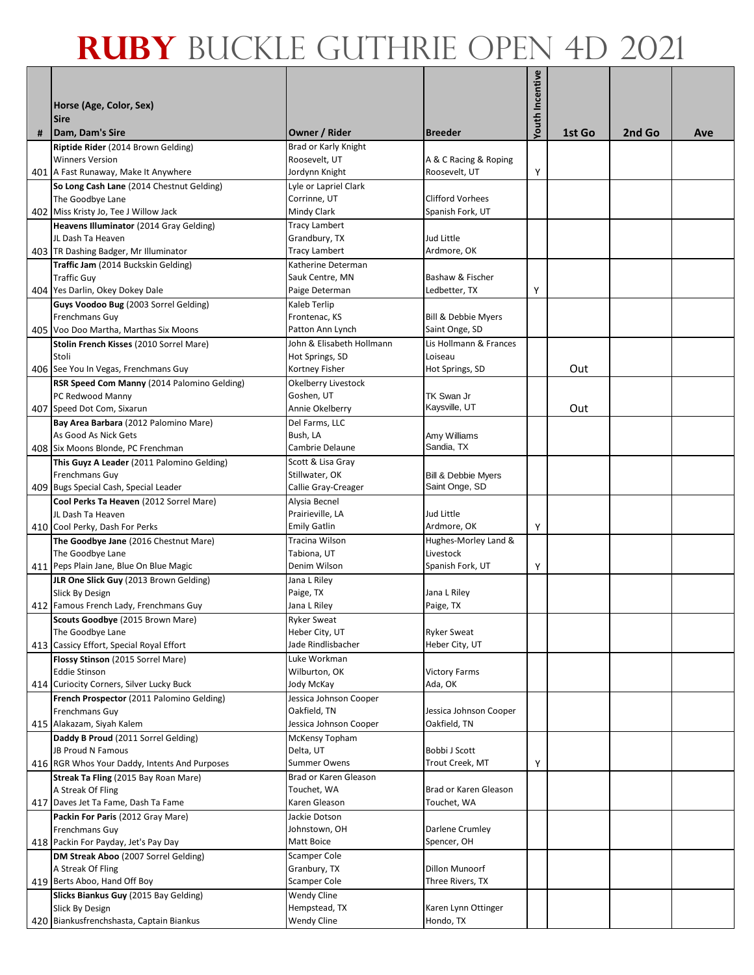|   | Horse (Age, Color, Sex)<br><b>Sire</b>                                                               |                                                         |                                                  | Youth Incentive |        |        |     |
|---|------------------------------------------------------------------------------------------------------|---------------------------------------------------------|--------------------------------------------------|-----------------|--------|--------|-----|
| # | Dam, Dam's Sire                                                                                      | Owner / Rider                                           | <b>Breeder</b>                                   |                 | 1st Go | 2nd Go | Ave |
|   | Riptide Rider (2014 Brown Gelding)<br><b>Winners Version</b><br>401 A Fast Runaway, Make It Anywhere | Brad or Karly Knight<br>Roosevelt, UT<br>Jordynn Knight | A & C Racing & Roping<br>Roosevelt, UT           | Υ               |        |        |     |
|   | So Long Cash Lane (2014 Chestnut Gelding)                                                            | Lyle or Lapriel Clark                                   |                                                  |                 |        |        |     |
|   | The Goodbye Lane                                                                                     | Corrinne, UT                                            | <b>Clifford Vorhees</b>                          |                 |        |        |     |
|   | 402 Miss Kristy Jo, Tee J Willow Jack                                                                | Mindy Clark                                             | Spanish Fork, UT                                 |                 |        |        |     |
|   | Heavens Illuminator (2014 Gray Gelding)                                                              | <b>Tracy Lambert</b>                                    |                                                  |                 |        |        |     |
|   | JL Dash Ta Heaven                                                                                    | Grandbury, TX                                           | Jud Little                                       |                 |        |        |     |
|   | 403 TR Dashing Badger, Mr Illuminator                                                                | <b>Tracy Lambert</b>                                    | Ardmore, OK                                      |                 |        |        |     |
|   | Traffic Jam (2014 Buckskin Gelding)                                                                  | Katherine Determan                                      |                                                  |                 |        |        |     |
|   | <b>Traffic Guy</b>                                                                                   | Sauk Centre, MN                                         | Bashaw & Fischer                                 |                 |        |        |     |
|   | 404 Yes Darlin, Okey Dokey Dale                                                                      | Paige Determan                                          | Ledbetter, TX                                    | Υ               |        |        |     |
|   | Guys Voodoo Bug (2003 Sorrel Gelding)                                                                | Kaleb Terlip                                            |                                                  |                 |        |        |     |
|   | Frenchmans Guy<br>405 Voo Doo Martha, Marthas Six Moons                                              | Frontenac, KS<br>Patton Ann Lynch                       | Bill & Debbie Myers<br>Saint Onge, SD            |                 |        |        |     |
|   | Stolin French Kisses (2010 Sorrel Mare)                                                              | John & Elisabeth Hollmann                               | Lis Hollmann & Frances                           |                 |        |        |     |
|   | Stoli                                                                                                | Hot Springs, SD                                         | Loiseau                                          |                 |        |        |     |
|   | 406 See You In Vegas, Frenchmans Guy                                                                 | Kortney Fisher                                          | Hot Springs, SD                                  |                 | Out    |        |     |
|   | RSR Speed Com Manny (2014 Palomino Gelding)                                                          | Okelberry Livestock                                     |                                                  |                 |        |        |     |
|   | PC Redwood Manny                                                                                     | Goshen, UT                                              | TK Swan Jr                                       |                 |        |        |     |
|   | 407 Speed Dot Com, Sixarun                                                                           | Annie Okelberry                                         | Kaysville, UT                                    |                 | Out    |        |     |
|   | Bay Area Barbara (2012 Palomino Mare)                                                                | Del Farms, LLC                                          |                                                  |                 |        |        |     |
|   | As Good As Nick Gets                                                                                 | Bush, LA                                                | Amy Williams                                     |                 |        |        |     |
|   | 408 Six Moons Blonde, PC Frenchman                                                                   | Cambrie Delaune                                         | Sandia, TX                                       |                 |        |        |     |
|   | This Guyz A Leader (2011 Palomino Gelding)<br>Frenchmans Guy                                         | Scott & Lisa Gray<br>Stillwater, OK                     |                                                  |                 |        |        |     |
|   | 409 Bugs Special Cash, Special Leader                                                                | Callie Gray-Creager                                     | <b>Bill &amp; Debbie Myers</b><br>Saint Onge, SD |                 |        |        |     |
|   | Cool Perks Ta Heaven (2012 Sorrel Mare)                                                              | Alysia Becnel                                           |                                                  |                 |        |        |     |
|   | JL Dash Ta Heaven                                                                                    | Prairieville, LA                                        | Jud Little                                       |                 |        |        |     |
|   | 410 Cool Perky, Dash For Perks                                                                       | <b>Emily Gatlin</b>                                     | Ardmore, OK                                      | Υ               |        |        |     |
|   | The Goodbye Jane (2016 Chestnut Mare)                                                                | Tracina Wilson                                          | Hughes-Morley Land &                             |                 |        |        |     |
|   | The Goodbye Lane                                                                                     | Tabiona, UT                                             | Livestock                                        |                 |        |        |     |
|   | 411 Peps Plain Jane, Blue On Blue Magic                                                              | Denim Wilson                                            | Spanish Fork, UT                                 | Υ               |        |        |     |
|   | JLR One Slick Guy (2013 Brown Gelding)                                                               | Jana L Riley                                            |                                                  |                 |        |        |     |
|   | Slick By Design<br>412 Famous French Lady, Frenchmans Guy                                            | Paige, TX<br>Jana L Riley                               | Jana L Riley<br>Paige, TX                        |                 |        |        |     |
|   | Scouts Goodbye (2015 Brown Mare)                                                                     | <b>Ryker Sweat</b>                                      |                                                  |                 |        |        |     |
|   | The Goodbye Lane                                                                                     | Heber City, UT                                          | <b>Ryker Sweat</b>                               |                 |        |        |     |
|   | 413 Cassicy Effort, Special Royal Effort                                                             | Jade Rindlisbacher                                      | Heber City, UT                                   |                 |        |        |     |
|   | Flossy Stinson (2015 Sorrel Mare)                                                                    | Luke Workman                                            |                                                  |                 |        |        |     |
|   | <b>Eddie Stinson</b>                                                                                 | Wilburton, OK                                           | <b>Victory Farms</b>                             |                 |        |        |     |
|   | 414 Curiocity Corners, Silver Lucky Buck                                                             | Jody McKay                                              | Ada, OK                                          |                 |        |        |     |
|   | French Prospector (2011 Palomino Gelding)                                                            | Jessica Johnson Cooper                                  |                                                  |                 |        |        |     |
|   | Frenchmans Guy<br>415 Alakazam, Siyah Kalem                                                          | Oakfield, TN<br>Jessica Johnson Cooper                  | Jessica Johnson Cooper<br>Oakfield, TN           |                 |        |        |     |
|   | Daddy B Proud (2011 Sorrel Gelding)                                                                  | McKensy Topham                                          |                                                  |                 |        |        |     |
|   | JB Proud N Famous                                                                                    | Delta, UT                                               | Bobbi J Scott                                    |                 |        |        |     |
|   | 416 RGR Whos Your Daddy, Intents And Purposes                                                        | <b>Summer Owens</b>                                     | Trout Creek, MT                                  | Υ               |        |        |     |
|   | Streak Ta Fling (2015 Bay Roan Mare)                                                                 | Brad or Karen Gleason                                   |                                                  |                 |        |        |     |
|   | A Streak Of Fling                                                                                    | Touchet, WA                                             | Brad or Karen Gleason                            |                 |        |        |     |
|   | 417 Daves Jet Ta Fame, Dash Ta Fame                                                                  | Karen Gleason                                           | Touchet, WA                                      |                 |        |        |     |
|   | Packin For Paris (2012 Gray Mare)                                                                    | Jackie Dotson                                           |                                                  |                 |        |        |     |
|   | Frenchmans Guy                                                                                       | Johnstown, OH<br>Matt Boice                             | Darlene Crumley<br>Spencer, OH                   |                 |        |        |     |
|   | 418 Packin For Payday, Jet's Pay Day<br>DM Streak Aboo (2007 Sorrel Gelding)                         | Scamper Cole                                            |                                                  |                 |        |        |     |
|   | A Streak Of Fling                                                                                    | Granbury, TX                                            | Dillon Munoorf                                   |                 |        |        |     |
|   | 419 Berts Aboo, Hand Off Boy                                                                         | Scamper Cole                                            | Three Rivers, TX                                 |                 |        |        |     |
|   | Slicks Biankus Guy (2015 Bay Gelding)                                                                | Wendy Cline                                             |                                                  |                 |        |        |     |
|   | Slick By Design                                                                                      | Hempstead, TX                                           | Karen Lynn Ottinger                              |                 |        |        |     |
|   | 420 Biankusfrenchshasta, Captain Biankus                                                             | <b>Wendy Cline</b>                                      | Hondo, TX                                        |                 |        |        |     |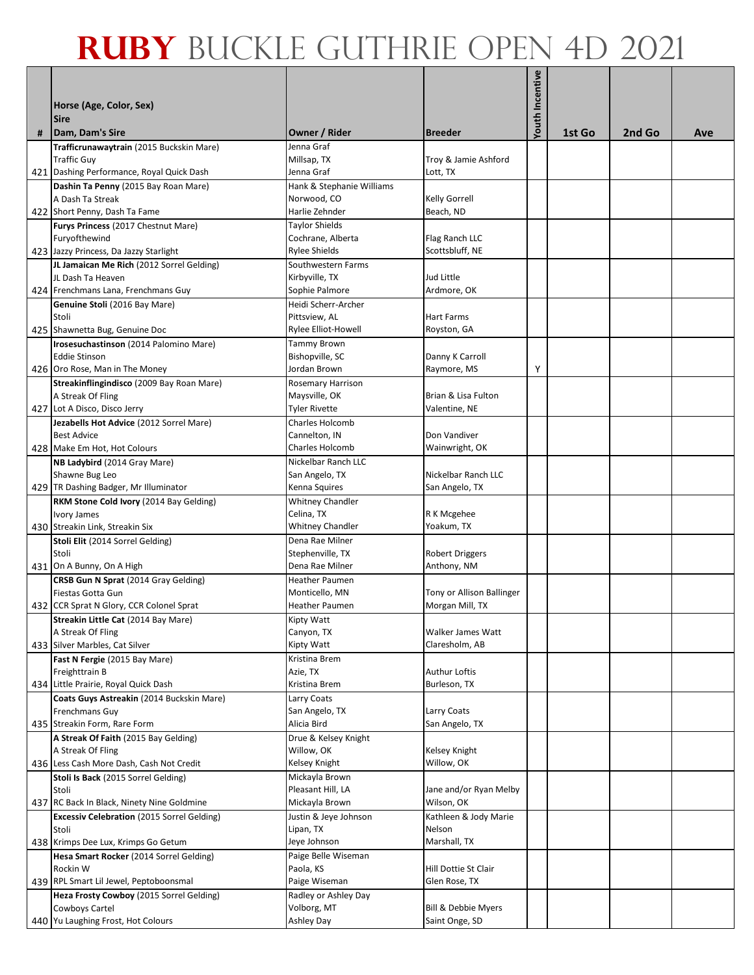|   | Horse (Age, Color, Sex)<br><b>Sire</b>                         |                                         |                                  | <b>Youth Incentive</b> |        |        |     |
|---|----------------------------------------------------------------|-----------------------------------------|----------------------------------|------------------------|--------|--------|-----|
| # | Dam, Dam's Sire                                                | Owner / Rider                           | <b>Breeder</b>                   |                        | 1st Go | 2nd Go | Ave |
|   | Trafficrunawaytrain (2015 Buckskin Mare)<br><b>Traffic Guy</b> | Jenna Graf<br>Millsap, TX<br>Jenna Graf | Troy & Jamie Ashford<br>Lott, TX |                        |        |        |     |
|   | 421 Dashing Performance, Royal Quick Dash                      | Hank & Stephanie Williams               |                                  |                        |        |        |     |
|   | Dashin Ta Penny (2015 Bay Roan Mare)<br>A Dash Ta Streak       | Norwood, CO                             | <b>Kelly Gorrell</b>             |                        |        |        |     |
|   | 422 Short Penny, Dash Ta Fame                                  | Harlie Zehnder                          | Beach, ND                        |                        |        |        |     |
|   | Furys Princess (2017 Chestnut Mare)                            | Taylor Shields                          |                                  |                        |        |        |     |
|   | Furyofthewind                                                  | Cochrane, Alberta                       | Flag Ranch LLC                   |                        |        |        |     |
|   | 423 Jazzy Princess, Da Jazzy Starlight                         | <b>Rylee Shields</b>                    | Scottsbluff, NE                  |                        |        |        |     |
|   | JL Jamaican Me Rich (2012 Sorrel Gelding)                      | Southwestern Farms                      |                                  |                        |        |        |     |
|   | JL Dash Ta Heaven                                              | Kirbyville, TX                          | Jud Little                       |                        |        |        |     |
|   | 424 Frenchmans Lana, Frenchmans Guy                            | Sophie Palmore                          | Ardmore, OK                      |                        |        |        |     |
|   | Genuine Stoli (2016 Bay Mare)                                  | Heidi Scherr-Archer                     |                                  |                        |        |        |     |
|   | Stoli                                                          | Pittsview, AL                           | <b>Hart Farms</b>                |                        |        |        |     |
|   | 425 Shawnetta Bug, Genuine Doc                                 | Rylee Elliot-Howell                     | Royston, GA                      |                        |        |        |     |
|   | Irosesuchastinson (2014 Palomino Mare)                         | Tammy Brown                             |                                  |                        |        |        |     |
|   | <b>Eddie Stinson</b>                                           | Bishopville, SC                         | Danny K Carroll                  |                        |        |        |     |
|   | 426 Oro Rose, Man in The Money                                 | Jordan Brown                            | Raymore, MS                      | Υ                      |        |        |     |
|   | Streakinflingindisco (2009 Bay Roan Mare)                      | Rosemary Harrison                       | Brian & Lisa Fulton              |                        |        |        |     |
|   | A Streak Of Fling<br>427 Lot A Disco, Disco Jerry              | Maysville, OK<br>Tyler Rivette          | Valentine, NE                    |                        |        |        |     |
|   | Jezabells Hot Advice (2012 Sorrel Mare)                        | Charles Holcomb                         |                                  |                        |        |        |     |
|   | <b>Best Advice</b>                                             | Cannelton, IN                           | Don Vandiver                     |                        |        |        |     |
|   | 428 Make Em Hot, Hot Colours                                   | Charles Holcomb                         | Wainwright, OK                   |                        |        |        |     |
|   | NB Ladybird (2014 Gray Mare)                                   | Nickelbar Ranch LLC                     |                                  |                        |        |        |     |
|   | Shawne Bug Leo                                                 | San Angelo, TX                          | Nickelbar Ranch LLC              |                        |        |        |     |
|   | 429 TR Dashing Badger, Mr Illuminator                          | Kenna Squires                           | San Angelo, TX                   |                        |        |        |     |
|   | RKM Stone Cold Ivory (2014 Bay Gelding)                        | <b>Whitney Chandler</b>                 |                                  |                        |        |        |     |
|   | <b>Ivory James</b>                                             | Celina, TX                              | R K Mcgehee                      |                        |        |        |     |
|   | 430 Streakin Link, Streakin Six                                | <b>Whitney Chandler</b>                 | Yoakum, TX                       |                        |        |        |     |
|   | Stoli Elit (2014 Sorrel Gelding)                               | Dena Rae Milner                         |                                  |                        |        |        |     |
|   | Stoli                                                          | Stephenville, TX                        | <b>Robert Driggers</b>           |                        |        |        |     |
|   | 431 On A Bunny, On A High                                      | Dena Rae Milner                         | Anthony, NM                      |                        |        |        |     |
|   | CRSB Gun N Sprat (2014 Gray Gelding)<br>Fiestas Gotta Gun      | <b>Heather Paumen</b><br>Monticello, MN | Tony or Allison Ballinger        |                        |        |        |     |
|   | 432 CCR Sprat N Glory, CCR Colonel Sprat                       | <b>Heather Paumen</b>                   | Morgan Mill, TX                  |                        |        |        |     |
|   | Streakin Little Cat (2014 Bay Mare)                            | Kipty Watt                              |                                  |                        |        |        |     |
|   | A Streak Of Fling                                              | Canyon, TX                              | Walker James Watt                |                        |        |        |     |
|   | 433 Silver Marbles, Cat Silver                                 | Kipty Watt                              | Claresholm, AB                   |                        |        |        |     |
|   | Fast N Fergie (2015 Bay Mare)                                  | Kristina Brem                           |                                  |                        |        |        |     |
|   | Freighttrain B                                                 | Azie, TX                                | <b>Authur Loftis</b>             |                        |        |        |     |
|   | 434 Little Prairie, Royal Quick Dash                           | Kristina Brem                           | Burleson, TX                     |                        |        |        |     |
|   | Coats Guys Astreakin (2014 Buckskin Mare)                      | Larry Coats                             |                                  |                        |        |        |     |
|   | <b>Frenchmans Guy</b>                                          | San Angelo, TX                          | Larry Coats                      |                        |        |        |     |
|   | 435 Streakin Form, Rare Form                                   | Alicia Bird                             | San Angelo, TX                   |                        |        |        |     |
|   | A Streak Of Faith (2015 Bay Gelding)                           | Drue & Kelsey Knight                    |                                  |                        |        |        |     |
|   | A Streak Of Fling                                              | Willow, OK                              | Kelsey Knight                    |                        |        |        |     |
|   | 436 Less Cash More Dash, Cash Not Credit                       | Kelsey Knight                           | Willow, OK                       |                        |        |        |     |
|   | Stoli Is Back (2015 Sorrel Gelding)<br>Stoli                   | Mickayla Brown<br>Pleasant Hill, LA     | Jane and/or Ryan Melby           |                        |        |        |     |
|   | 437 RC Back In Black, Ninety Nine Goldmine                     | Mickayla Brown                          | Wilson, OK                       |                        |        |        |     |
|   | <b>Excessiv Celebration (2015 Sorrel Gelding)</b>              | Justin & Jeye Johnson                   | Kathleen & Jody Marie            |                        |        |        |     |
|   | Stoli                                                          | Lipan, TX                               | Nelson                           |                        |        |        |     |
|   | 438 Krimps Dee Lux, Krimps Go Getum                            | Jeye Johnson                            | Marshall, TX                     |                        |        |        |     |
|   | Hesa Smart Rocker (2014 Sorrel Gelding)                        | Paige Belle Wiseman                     |                                  |                        |        |        |     |
|   | Rockin W                                                       | Paola, KS                               | Hill Dottie St Clair             |                        |        |        |     |
|   | 439 RPL Smart Lil Jewel, Peptoboonsmal                         | Paige Wiseman                           | Glen Rose, TX                    |                        |        |        |     |
|   | Heza Frosty Cowboy (2015 Sorrel Gelding)                       | Radley or Ashley Day                    |                                  |                        |        |        |     |
|   | Cowboys Cartel                                                 | Volborg, MT                             | Bill & Debbie Myers              |                        |        |        |     |
|   | 440 Yu Laughing Frost, Hot Colours                             | Ashley Day                              | Saint Onge, SD                   |                        |        |        |     |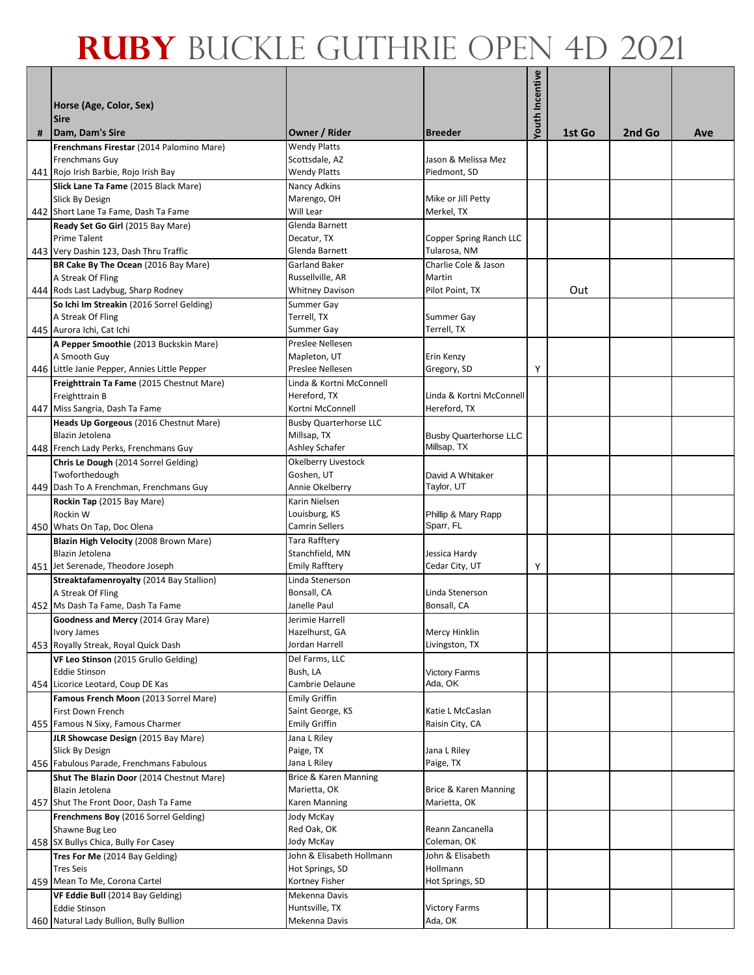| # | Horse (Age, Color, Sex)<br><b>Sire</b><br>Dam, Dam's Sire | Owner / Rider                 | <b>Breeder</b>                  | <b>Youth Incentive</b> | 1st Go | 2nd Go | Ave |
|---|-----------------------------------------------------------|-------------------------------|---------------------------------|------------------------|--------|--------|-----|
|   |                                                           |                               |                                 |                        |        |        |     |
|   | Frenchmans Firestar (2014 Palomino Mare)                  | <b>Wendy Platts</b>           |                                 |                        |        |        |     |
|   | <b>Frenchmans Guy</b>                                     | Scottsdale, AZ                | Jason & Melissa Mez             |                        |        |        |     |
|   | 441 Rojo Irish Barbie, Rojo Irish Bay                     | <b>Wendy Platts</b>           | Piedmont, SD                    |                        |        |        |     |
|   | Slick Lane Ta Fame (2015 Black Mare)                      | Nancy Adkins                  |                                 |                        |        |        |     |
|   | Slick By Design                                           | Marengo, OH                   | Mike or Jill Petty              |                        |        |        |     |
|   | 442 Short Lane Ta Fame, Dash Ta Fame                      | Will Lear                     | Merkel, TX                      |                        |        |        |     |
|   | Ready Set Go Girl (2015 Bay Mare)                         | Glenda Barnett                |                                 |                        |        |        |     |
|   | <b>Prime Talent</b>                                       | Decatur, TX                   | Copper Spring Ranch LLC         |                        |        |        |     |
|   | 443 Very Dashin 123, Dash Thru Traffic                    | Glenda Barnett                | Tularosa, NM                    |                        |        |        |     |
|   | BR Cake By The Ocean (2016 Bay Mare)                      | <b>Garland Baker</b>          | Charlie Cole & Jason            |                        |        |        |     |
|   | A Streak Of Fling                                         | Russellville, AR              | Martin                          |                        |        |        |     |
|   | 444 Rods Last Ladybug, Sharp Rodney                       | Whitney Davison               | Pilot Point, TX                 |                        | Out    |        |     |
|   | So Ichi Im Streakin (2016 Sorrel Gelding)                 | Summer Gay                    |                                 |                        |        |        |     |
|   | A Streak Of Fling                                         | Terrell, TX                   | Summer Gay                      |                        |        |        |     |
|   | 445 Aurora Ichi, Cat Ichi                                 | Summer Gay                    | Terrell, TX                     |                        |        |        |     |
|   | A Pepper Smoothie (2013 Buckskin Mare)                    | Preslee Nellesen              |                                 |                        |        |        |     |
|   | A Smooth Guy                                              | Mapleton, UT                  | Erin Kenzy                      |                        |        |        |     |
|   | 446 Little Janie Pepper, Annies Little Pepper             | Preslee Nellesen              | Gregory, SD                     | Υ                      |        |        |     |
|   | Freighttrain Ta Fame (2015 Chestnut Mare)                 | Linda & Kortni McConnell      |                                 |                        |        |        |     |
|   | Freighttrain B                                            | Hereford, TX                  | Linda & Kortni McConnell        |                        |        |        |     |
|   | 447 Miss Sangria, Dash Ta Fame                            | Kortni McConnell              | Hereford, TX                    |                        |        |        |     |
|   | Heads Up Gorgeous (2016 Chestnut Mare)                    | <b>Busby Quarterhorse LLC</b> |                                 |                        |        |        |     |
|   | Blazin Jetolena                                           | Millsap, TX                   | <b>Busby Quarterhorse LLC</b>   |                        |        |        |     |
|   | 448 French Lady Perks, Frenchmans Guy                     | Ashley Schafer                | Millsap, TX                     |                        |        |        |     |
|   | Chris Le Dough (2014 Sorrel Gelding)                      | Okelberry Livestock           |                                 |                        |        |        |     |
|   | Twoforthedough                                            | Goshen, UT                    | David A Whitaker                |                        |        |        |     |
|   | 449 Dash To A Frenchman, Frenchmans Guy                   | Annie Okelberry               | Taylor, UT                      |                        |        |        |     |
|   | Rockin Tap (2015 Bay Mare)                                | Karin Nielsen                 |                                 |                        |        |        |     |
|   | Rockin W                                                  | Louisburg, KS                 | Phillip & Mary Rapp             |                        |        |        |     |
|   | 450 Whats On Tap, Doc Olena                               | Camrin Sellers                | Sparr, FL                       |                        |        |        |     |
|   | Blazin High Velocity (2008 Brown Mare)                    | Tara Rafftery                 |                                 |                        |        |        |     |
|   | Blazin Jetolena                                           | Stanchfield, MN               | Jessica Hardy                   |                        |        |        |     |
|   | 451 Jet Serenade, Theodore Joseph                         | <b>Emily Rafftery</b>         | Cedar City, UT                  | Υ                      |        |        |     |
|   | Streaktafamenroyalty (2014 Bay Stallion)                  | Linda Stenerson               |                                 |                        |        |        |     |
|   | A Streak Of Fling                                         | Bonsall, CA                   | Linda Stenerson                 |                        |        |        |     |
|   | 452 Ms Dash Ta Fame, Dash Ta Fame                         | Janelle Paul                  | Bonsall, CA                     |                        |        |        |     |
|   | Goodness and Mercy (2014 Gray Mare)                       | Jerimie Harrell               |                                 |                        |        |        |     |
|   | Ivory James                                               | Hazelhurst, GA                | Mercy Hinklin                   |                        |        |        |     |
|   | 453 Royally Streak, Royal Quick Dash                      | Jordan Harrell                | Livingston, TX                  |                        |        |        |     |
|   | VF Leo Stinson (2015 Grullo Gelding)                      | Del Farms, LLC                |                                 |                        |        |        |     |
|   | <b>Eddie Stinson</b>                                      | Bush, LA                      | <b>Victory Farms</b><br>Ada, OK |                        |        |        |     |
|   | 454 Licorice Leotard, Coup DE Kas                         | Cambrie Delaune               |                                 |                        |        |        |     |
|   | Famous French Moon (2013 Sorrel Mare)                     | <b>Emily Griffin</b>          |                                 |                        |        |        |     |
|   | First Down French                                         | Saint George, KS              | Katie L McCaslan                |                        |        |        |     |
|   | 455 Famous N Sixy, Famous Charmer                         | <b>Emily Griffin</b>          | Raisin City, CA                 |                        |        |        |     |
|   | JLR Showcase Design (2015 Bay Mare)                       | Jana L Riley                  |                                 |                        |        |        |     |
|   | Slick By Design                                           | Paige, TX                     | Jana L Riley                    |                        |        |        |     |
|   | 456 Fabulous Parade, Frenchmans Fabulous                  | Jana L Riley                  | Paige, TX                       |                        |        |        |     |
|   | Shut The Blazin Door (2014 Chestnut Mare)                 | Brice & Karen Manning         |                                 |                        |        |        |     |
|   | Blazin Jetolena                                           | Marietta, OK                  | Brice & Karen Manning           |                        |        |        |     |
|   | 457 Shut The Front Door, Dash Ta Fame                     | Karen Manning                 | Marietta, OK                    |                        |        |        |     |
|   | Frenchmens Boy (2016 Sorrel Gelding)                      | Jody McKay                    |                                 |                        |        |        |     |
|   | Shawne Bug Leo                                            | Red Oak, OK                   | Reann Zancanella                |                        |        |        |     |
|   | 458 SX Bullys Chica, Bully For Casey                      | Jody McKay                    | Coleman, OK                     |                        |        |        |     |
|   | Tres For Me (2014 Bay Gelding)                            | John & Elisabeth Hollmann     | John & Elisabeth                |                        |        |        |     |
|   | <b>Tres Seis</b>                                          | Hot Springs, SD               | Hollmann                        |                        |        |        |     |
|   | 459 Mean To Me, Corona Cartel                             | Kortney Fisher                | Hot Springs, SD                 |                        |        |        |     |
|   | VF Eddie Bull (2014 Bay Gelding)                          | Mekenna Davis                 |                                 |                        |        |        |     |
|   | <b>Eddie Stinson</b>                                      | Huntsville, TX                | <b>Victory Farms</b>            |                        |        |        |     |
|   | 460 Natural Lady Bullion, Bully Bullion                   | Mekenna Davis                 | Ada, OK                         |                        |        |        |     |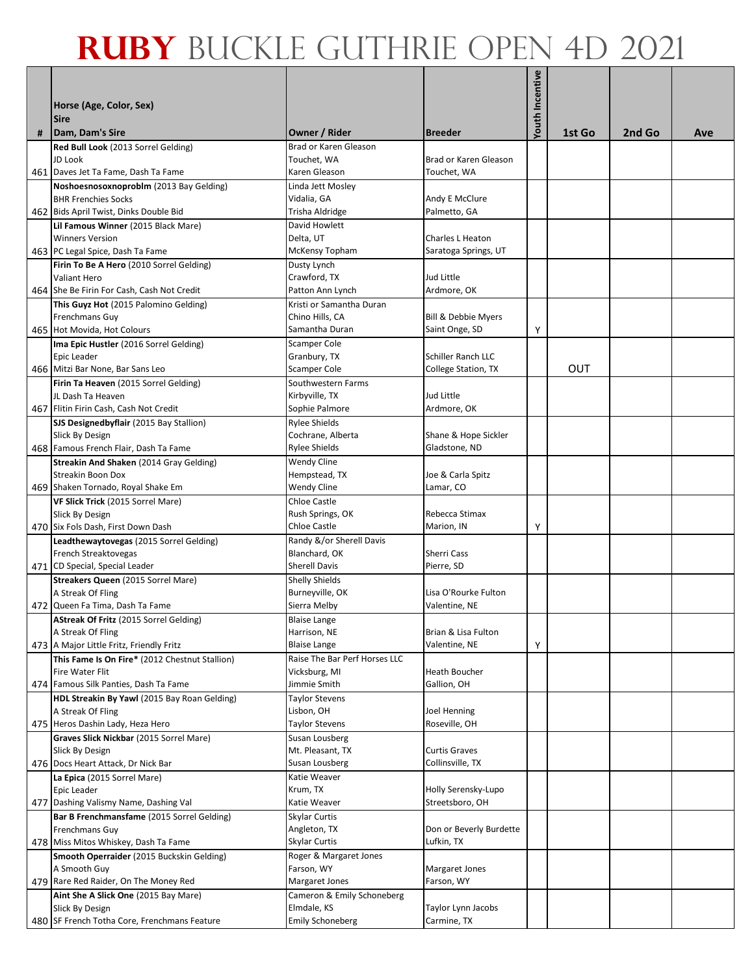|   | Horse (Age, Color, Sex)<br><b>Sire</b>                                                |                                                       |                                      | <b>Youth Incentive</b> |            |        |     |
|---|---------------------------------------------------------------------------------------|-------------------------------------------------------|--------------------------------------|------------------------|------------|--------|-----|
| # | Dam, Dam's Sire                                                                       | Owner / Rider                                         | <b>Breeder</b>                       |                        | 1st Go     | 2nd Go | Ave |
|   | Red Bull Look (2013 Sorrel Gelding)<br>JD Look<br>461 Daves Jet Ta Fame, Dash Ta Fame | Brad or Karen Gleason<br>Touchet, WA<br>Karen Gleason | Brad or Karen Gleason<br>Touchet, WA |                        |            |        |     |
|   | Noshoesnosoxnoproblm (2013 Bay Gelding)                                               | Linda Jett Mosley                                     |                                      |                        |            |        |     |
|   | <b>BHR Frenchies Socks</b><br>462 Bids April Twist, Dinks Double Bid                  | Vidalia, GA<br>Trisha Aldridge                        | Andy E McClure<br>Palmetto, GA       |                        |            |        |     |
|   | Lil Famous Winner (2015 Black Mare)                                                   | David Howlett                                         |                                      |                        |            |        |     |
|   | <b>Winners Version</b>                                                                | Delta, UT                                             | Charles L Heaton                     |                        |            |        |     |
|   | 463 PC Legal Spice, Dash Ta Fame                                                      | McKensy Topham                                        | Saratoga Springs, UT                 |                        |            |        |     |
|   | Firin To Be A Hero (2010 Sorrel Gelding)                                              | Dusty Lynch                                           |                                      |                        |            |        |     |
|   | Valiant Hero                                                                          | Crawford, TX                                          | Jud Little                           |                        |            |        |     |
|   | 464 She Be Firin For Cash, Cash Not Credit                                            | Patton Ann Lynch                                      | Ardmore, OK                          |                        |            |        |     |
|   | This Guyz Hot (2015 Palomino Gelding)                                                 | Kristi or Samantha Duran                              |                                      |                        |            |        |     |
|   | Frenchmans Guv                                                                        | Chino Hills, CA                                       | Bill & Debbie Myers                  |                        |            |        |     |
|   | 465 Hot Movida, Hot Colours                                                           | Samantha Duran                                        | Saint Onge, SD                       | Υ                      |            |        |     |
|   | Ima Epic Hustler (2016 Sorrel Gelding)                                                | Scamper Cole                                          |                                      |                        |            |        |     |
|   | Epic Leader                                                                           | Granbury, TX                                          | Schiller Ranch LLC                   |                        | <b>OUT</b> |        |     |
|   | 466 Mitzi Bar None, Bar Sans Leo                                                      | Scamper Cole                                          | College Station, TX                  |                        |            |        |     |
|   | Firin Ta Heaven (2015 Sorrel Gelding)<br>JL Dash Ta Heaven                            | Southwestern Farms<br>Kirbyville, TX                  | Jud Little                           |                        |            |        |     |
|   | 467 Flitin Firin Cash, Cash Not Credit                                                | Sophie Palmore                                        | Ardmore, OK                          |                        |            |        |     |
|   | SJS Designedbyflair (2015 Bay Stallion)                                               | <b>Rylee Shields</b>                                  |                                      |                        |            |        |     |
|   | Slick By Design                                                                       | Cochrane, Alberta                                     | Shane & Hope Sickler                 |                        |            |        |     |
|   | 468 Famous French Flair, Dash Ta Fame                                                 | <b>Rylee Shields</b>                                  | Gladstone, ND                        |                        |            |        |     |
|   | Streakin And Shaken (2014 Gray Gelding)                                               | <b>Wendy Cline</b>                                    |                                      |                        |            |        |     |
|   | <b>Streakin Boon Dox</b>                                                              | Hempstead, TX                                         | Joe & Carla Spitz                    |                        |            |        |     |
|   | 469 Shaken Tornado, Royal Shake Em                                                    | <b>Wendy Cline</b>                                    | Lamar, CO                            |                        |            |        |     |
|   | VF Slick Trick (2015 Sorrel Mare)                                                     | <b>Chloe Castle</b>                                   |                                      |                        |            |        |     |
|   | Slick By Design                                                                       | Rush Springs, OK                                      | Rebecca Stimax                       |                        |            |        |     |
|   | 470 Six Fols Dash, First Down Dash                                                    | Chloe Castle                                          | Marion, IN                           | Υ                      |            |        |     |
|   | Leadthewaytovegas (2015 Sorrel Gelding)                                               | Randy &/or Sherell Davis                              |                                      |                        |            |        |     |
|   | French Streaktovegas                                                                  | Blanchard, OK                                         | <b>Sherri Cass</b>                   |                        |            |        |     |
|   | 471 CD Special, Special Leader                                                        | <b>Sherell Davis</b>                                  | Pierre, SD                           |                        |            |        |     |
|   | Streakers Queen (2015 Sorrel Mare)<br>A Streak Of Fling                               | <b>Shelly Shields</b><br>Burneyville, OK              | Lisa O'Rourke Fulton                 |                        |            |        |     |
|   | 472 Queen Fa Tima, Dash Ta Fame                                                       | Sierra Melby                                          | Valentine, NE                        |                        |            |        |     |
|   | AStreak Of Fritz (2015 Sorrel Gelding)                                                | <b>Blaise Lange</b>                                   |                                      |                        |            |        |     |
|   | A Streak Of Fling                                                                     | Harrison, NE                                          | Brian & Lisa Fulton                  |                        |            |        |     |
|   | 473 A Major Little Fritz, Friendly Fritz                                              | <b>Blaise Lange</b>                                   | Valentine, NE                        | Υ                      |            |        |     |
|   | This Fame Is On Fire* (2012 Chestnut Stallion)                                        | Raise The Bar Perf Horses LLC                         |                                      |                        |            |        |     |
|   | Fire Water Flit                                                                       | Vicksburg, MI                                         | Heath Boucher                        |                        |            |        |     |
|   | 474 Famous Silk Panties, Dash Ta Fame                                                 | Jimmie Smith                                          | Gallion, OH                          |                        |            |        |     |
|   | HDL Streakin By Yawl (2015 Bay Roan Gelding)                                          | Taylor Stevens                                        |                                      |                        |            |        |     |
|   | A Streak Of Fling                                                                     | Lisbon, OH                                            | Joel Henning                         |                        |            |        |     |
|   | 475 Heros Dashin Lady, Heza Hero                                                      | Taylor Stevens                                        | Roseville, OH                        |                        |            |        |     |
|   | Graves Slick Nickbar (2015 Sorrel Mare)<br>Slick By Design                            | Susan Lousberg<br>Mt. Pleasant, TX                    | <b>Curtis Graves</b>                 |                        |            |        |     |
|   | 476 Docs Heart Attack, Dr Nick Bar                                                    | Susan Lousberg                                        | Collinsville, TX                     |                        |            |        |     |
|   | La Epica (2015 Sorrel Mare)                                                           | Katie Weaver                                          |                                      |                        |            |        |     |
|   | Epic Leader                                                                           | Krum, TX                                              | Holly Serensky-Lupo                  |                        |            |        |     |
|   | 477 Dashing Valismy Name, Dashing Val                                                 | Katie Weaver                                          | Streetsboro, OH                      |                        |            |        |     |
|   | Bar B Frenchmansfame (2015 Sorrel Gelding)                                            | Skylar Curtis                                         |                                      |                        |            |        |     |
|   | Frenchmans Guy                                                                        | Angleton, TX                                          | Don or Beverly Burdette              |                        |            |        |     |
|   | 478 Miss Mitos Whiskey, Dash Ta Fame                                                  | <b>Skylar Curtis</b>                                  | Lufkin, TX                           |                        |            |        |     |
|   | Smooth Operraider (2015 Buckskin Gelding)                                             | Roger & Margaret Jones                                |                                      |                        |            |        |     |
|   | A Smooth Guy                                                                          | Farson, WY                                            | <b>Margaret Jones</b>                |                        |            |        |     |
|   | 479 Rare Red Raider, On The Money Red                                                 | Margaret Jones                                        | Farson, WY                           |                        |            |        |     |
|   | Aint She A Slick One (2015 Bay Mare)                                                  | Cameron & Emily Schoneberg                            |                                      |                        |            |        |     |
|   | Slick By Design                                                                       | Elmdale, KS                                           | Taylor Lynn Jacobs                   |                        |            |        |     |
|   | 480 SF French Totha Core, Frenchmans Feature                                          | <b>Emily Schoneberg</b>                               | Carmine, TX                          |                        |            |        |     |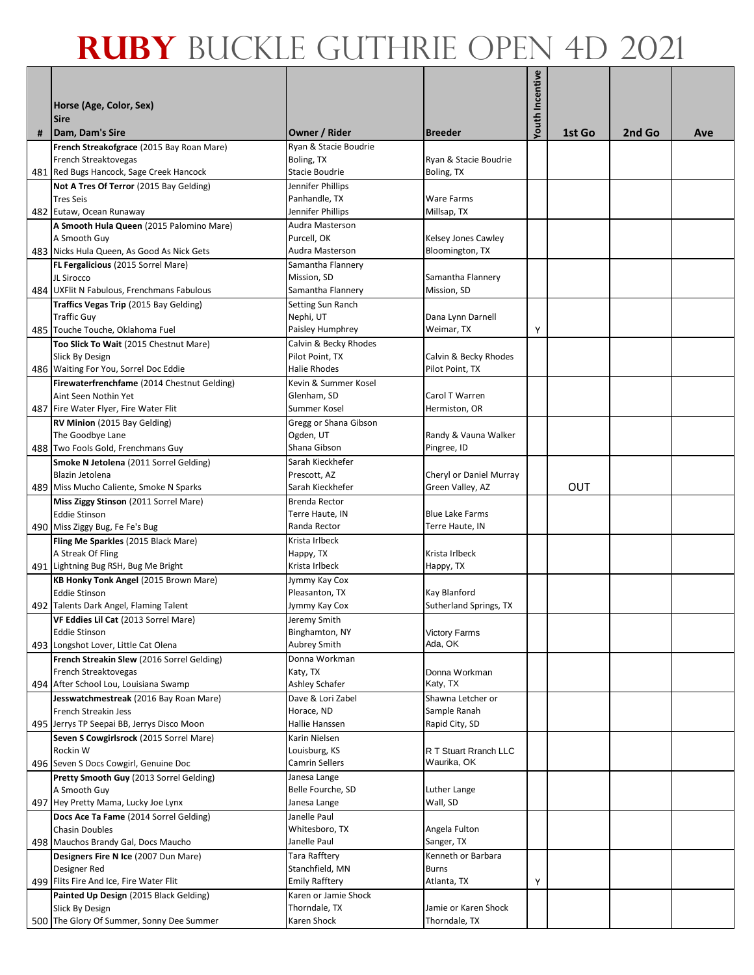|   | Horse (Age, Color, Sex)<br><b>Sire</b>                                                                               |                                                       |                                     | Youth Incentive |        |        |     |
|---|----------------------------------------------------------------------------------------------------------------------|-------------------------------------------------------|-------------------------------------|-----------------|--------|--------|-----|
| # | Dam, Dam's Sire                                                                                                      | Owner / Rider                                         | <b>Breeder</b>                      |                 | 1st Go | 2nd Go | Ave |
|   | French Streakofgrace (2015 Bay Roan Mare)<br><b>French Streaktovegas</b><br>481 Red Bugs Hancock, Sage Creek Hancock | Rvan & Stacie Boudrie<br>Boling, TX<br>Stacie Boudrie | Ryan & Stacie Boudrie<br>Boling, TX |                 |        |        |     |
|   | Not A Tres Of Terror (2015 Bay Gelding)                                                                              | Jennifer Phillips                                     |                                     |                 |        |        |     |
|   | <b>Tres Seis</b>                                                                                                     | Panhandle, TX                                         | <b>Ware Farms</b>                   |                 |        |        |     |
|   | 482 Eutaw, Ocean Runaway                                                                                             | Jennifer Phillips                                     | Millsap, TX                         |                 |        |        |     |
|   | A Smooth Hula Queen (2015 Palomino Mare)                                                                             | Audra Masterson                                       |                                     |                 |        |        |     |
|   | A Smooth Guy                                                                                                         | Purcell, OK                                           | Kelsey Jones Cawley                 |                 |        |        |     |
|   | 483 Nicks Hula Queen, As Good As Nick Gets                                                                           | Audra Masterson                                       | Bloomington, TX                     |                 |        |        |     |
|   | FL Fergalicious (2015 Sorrel Mare)<br>JL Sirocco                                                                     | Samantha Flannery<br>Mission, SD                      | Samantha Flannery                   |                 |        |        |     |
|   | 484 UXFlit N Fabulous, Frenchmans Fabulous                                                                           | Samantha Flannery                                     | Mission, SD                         |                 |        |        |     |
|   | Traffics Vegas Trip (2015 Bay Gelding)                                                                               | Setting Sun Ranch                                     |                                     |                 |        |        |     |
|   | <b>Traffic Guy</b>                                                                                                   | Nephi, UT                                             | Dana Lynn Darnell                   |                 |        |        |     |
|   | 485 Touche Touche, Oklahoma Fuel                                                                                     | Paisley Humphrey                                      | Weimar, TX                          | Υ               |        |        |     |
|   | Too Slick To Wait (2015 Chestnut Mare)                                                                               | Calvin & Becky Rhodes                                 |                                     |                 |        |        |     |
|   | Slick By Design                                                                                                      | Pilot Point, TX                                       | Calvin & Becky Rhodes               |                 |        |        |     |
|   | 486 Waiting For You, Sorrel Doc Eddie                                                                                | <b>Halie Rhodes</b>                                   | Pilot Point, TX                     |                 |        |        |     |
|   | Firewaterfrenchfame (2014 Chestnut Gelding)<br>Aint Seen Nothin Yet                                                  | Kevin & Summer Kosel<br>Glenham, SD                   | Carol T Warren                      |                 |        |        |     |
|   | 487 Fire Water Flyer, Fire Water Flit                                                                                | Summer Kosel                                          | Hermiston, OR                       |                 |        |        |     |
|   | RV Minion (2015 Bay Gelding)                                                                                         | Gregg or Shana Gibson                                 |                                     |                 |        |        |     |
|   | The Goodbye Lane                                                                                                     | Ogden, UT                                             | Randy & Vauna Walker                |                 |        |        |     |
|   | 488 Two Fools Gold, Frenchmans Guy                                                                                   | Shana Gibson                                          | Pingree, ID                         |                 |        |        |     |
|   | Smoke N Jetolena (2011 Sorrel Gelding)                                                                               | Sarah Kieckhefer                                      |                                     |                 |        |        |     |
|   | Blazin Jetolena                                                                                                      | Prescott, AZ                                          | Cheryl or Daniel Murray             |                 |        |        |     |
|   | 489 Miss Mucho Caliente, Smoke N Sparks                                                                              | Sarah Kieckhefer                                      | Green Valley, AZ                    |                 | OUT    |        |     |
|   | Miss Ziggy Stinson (2011 Sorrel Mare)<br><b>Eddie Stinson</b>                                                        | Brenda Rector<br>Terre Haute, IN                      | <b>Blue Lake Farms</b>              |                 |        |        |     |
|   | 490 Miss Ziggy Bug, Fe Fe's Bug                                                                                      | Randa Rector                                          | Terre Haute, IN                     |                 |        |        |     |
|   | Fling Me Sparkles (2015 Black Mare)                                                                                  | Krista Irlbeck                                        |                                     |                 |        |        |     |
|   | A Streak Of Fling                                                                                                    | Happy, TX                                             | Krista Irlbeck                      |                 |        |        |     |
|   | 491 Lightning Bug RSH, Bug Me Bright                                                                                 | Krista Irlbeck                                        | Happy, TX                           |                 |        |        |     |
|   | KB Honky Tonk Angel (2015 Brown Mare)                                                                                | Jymmy Kay Cox                                         |                                     |                 |        |        |     |
|   | <b>Eddie Stinson</b>                                                                                                 | Pleasanton, TX                                        | Kay Blanford                        |                 |        |        |     |
|   | 492 Talents Dark Angel, Flaming Talent                                                                               | Jymmy Kay Cox                                         | Sutherland Springs, TX              |                 |        |        |     |
|   | VF Eddies Lil Cat (2013 Sorrel Mare)<br><b>Eddie Stinson</b>                                                         | Jeremy Smith<br>Binghamton, NY                        | <b>Victory Farms</b>                |                 |        |        |     |
|   | 493 Longshot Lover, Little Cat Olena                                                                                 | Aubrey Smith                                          | Ada, OK                             |                 |        |        |     |
|   | French Streakin Slew (2016 Sorrel Gelding)                                                                           | Donna Workman                                         |                                     |                 |        |        |     |
|   | French Streaktovegas                                                                                                 | Katy, TX                                              | Donna Workman                       |                 |        |        |     |
|   | 494 After School Lou, Louisiana Swamp                                                                                | <b>Ashley Schafer</b>                                 | Katy, TX                            |                 |        |        |     |
|   | Jesswatchmestreak (2016 Bay Roan Mare)                                                                               | Dave & Lori Zabel                                     | Shawna Letcher or                   |                 |        |        |     |
|   | French Streakin Jess                                                                                                 | Horace, ND                                            | Sample Ranah<br>Rapid City, SD      |                 |        |        |     |
|   | 495 Jerrys TP Seepai BB, Jerrys Disco Moon<br>Seven S Cowgirlsrock (2015 Sorrel Mare)                                | Hallie Hanssen<br>Karin Nielsen                       |                                     |                 |        |        |     |
|   | Rockin W                                                                                                             | Louisburg, KS                                         | R T Stuart Rranch LLC               |                 |        |        |     |
|   | 496 Seven S Docs Cowgirl, Genuine Doc                                                                                | Camrin Sellers                                        | Waurika, OK                         |                 |        |        |     |
|   | Pretty Smooth Guy (2013 Sorrel Gelding)                                                                              | Janesa Lange                                          |                                     |                 |        |        |     |
|   | A Smooth Guy                                                                                                         | Belle Fourche, SD                                     | Luther Lange                        |                 |        |        |     |
|   | 497 Hey Pretty Mama, Lucky Joe Lynx                                                                                  | Janesa Lange                                          | Wall, SD                            |                 |        |        |     |
|   | Docs Ace Ta Fame (2014 Sorrel Gelding)                                                                               | Janelle Paul                                          |                                     |                 |        |        |     |
|   | <b>Chasin Doubles</b>                                                                                                | Whitesboro, TX<br>Janelle Paul                        | Angela Fulton                       |                 |        |        |     |
|   | 498 Mauchos Brandy Gal, Docs Maucho<br>Designers Fire N Ice (2007 Dun Mare)                                          | Tara Rafftery                                         | Sanger, TX<br>Kenneth or Barbara    |                 |        |        |     |
|   | Designer Red                                                                                                         | Stanchfield, MN                                       | <b>Burns</b>                        |                 |        |        |     |
|   | 499 Flits Fire And Ice, Fire Water Flit                                                                              | <b>Emily Rafftery</b>                                 | Atlanta, TX                         | Υ               |        |        |     |
|   | Painted Up Design (2015 Black Gelding)                                                                               | Karen or Jamie Shock                                  |                                     |                 |        |        |     |
|   | Slick By Design                                                                                                      | Thorndale, TX                                         | Jamie or Karen Shock                |                 |        |        |     |
|   | 500 The Glory Of Summer, Sonny Dee Summer                                                                            | Karen Shock                                           | Thorndale, TX                       |                 |        |        |     |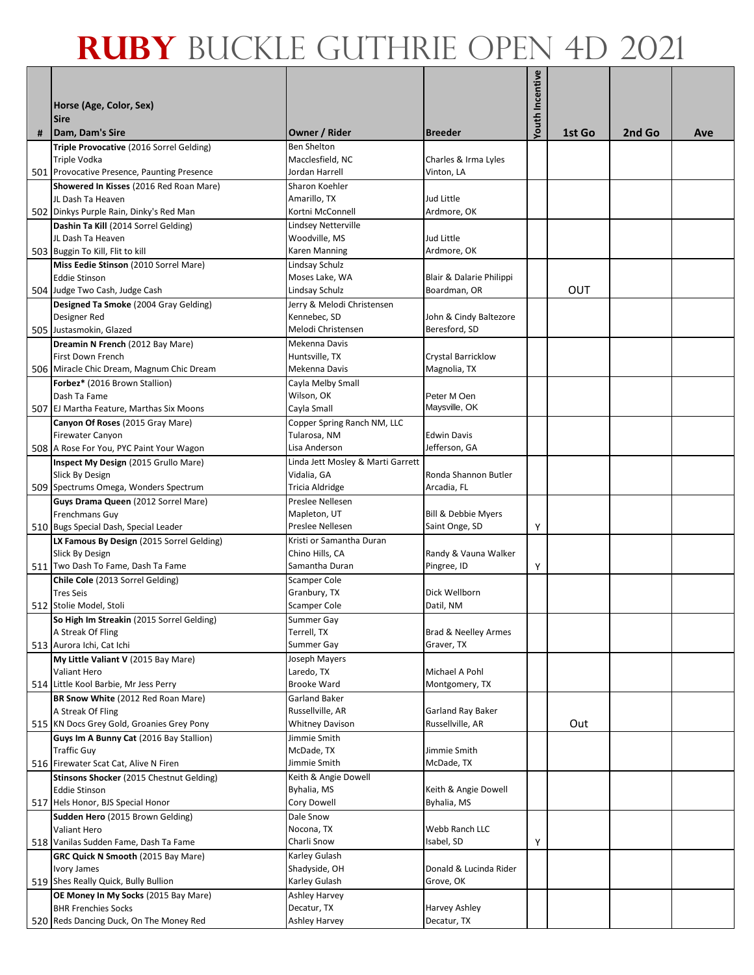| # | Horse (Age, Color, Sex)<br><b>Sire</b><br>Dam, Dam's Sire                   | Owner / Rider                     | <b>Breeder</b>                           | <b>Youth Incentive</b> | 1st Go | 2nd Go | Ave |
|---|-----------------------------------------------------------------------------|-----------------------------------|------------------------------------------|------------------------|--------|--------|-----|
|   | Triple Provocative (2016 Sorrel Gelding)                                    | <b>Ben Shelton</b>                |                                          |                        |        |        |     |
|   | <b>Triple Vodka</b>                                                         | Macclesfield, NC                  | Charles & Irma Lyles                     |                        |        |        |     |
|   | 501 Provocative Presence, Paunting Presence                                 | Jordan Harrell                    | Vinton, LA                               |                        |        |        |     |
|   | Showered In Kisses (2016 Red Roan Mare)                                     | Sharon Koehler                    |                                          |                        |        |        |     |
|   | JL Dash Ta Heaven                                                           | Amarillo, TX                      | Jud Little                               |                        |        |        |     |
|   | 502 Dinkys Purple Rain, Dinky's Red Man                                     | Kortni McConnell                  | Ardmore, OK                              |                        |        |        |     |
|   | Dashin Ta Kill (2014 Sorrel Gelding)                                        | Lindsey Netterville               |                                          |                        |        |        |     |
|   | JL Dash Ta Heaven                                                           | Woodville, MS                     | Jud Little                               |                        |        |        |     |
|   | 503 Buggin To Kill, Flit to kill                                            | Karen Manning                     | Ardmore, OK                              |                        |        |        |     |
|   | Miss Eedie Stinson (2010 Sorrel Mare)                                       | Lindsay Schulz                    |                                          |                        |        |        |     |
|   | <b>Eddie Stinson</b>                                                        | Moses Lake, WA<br>Lindsay Schulz  | Blair & Dalarie Philippi<br>Boardman, OR |                        | OUT    |        |     |
|   | 504 Judge Two Cash, Judge Cash<br>Designed Ta Smoke (2004 Gray Gelding)     | Jerry & Melodi Christensen        |                                          |                        |        |        |     |
|   | Designer Red                                                                | Kennebec, SD                      | John & Cindy Baltezore                   |                        |        |        |     |
|   | 505 Justasmokin, Glazed                                                     | Melodi Christensen                | Beresford, SD                            |                        |        |        |     |
|   | Dreamin N French (2012 Bay Mare)                                            | Mekenna Davis                     |                                          |                        |        |        |     |
|   | First Down French                                                           | Huntsville, TX                    | <b>Crystal Barricklow</b>                |                        |        |        |     |
|   | 506 Miracle Chic Dream, Magnum Chic Dream                                   | Mekenna Davis                     | Magnolia, TX                             |                        |        |        |     |
|   | Forbez* (2016 Brown Stallion)                                               | Cayla Melby Small                 |                                          |                        |        |        |     |
|   | Dash Ta Fame                                                                | Wilson, OK                        | Peter M Oen                              |                        |        |        |     |
|   | 507 EJ Martha Feature, Marthas Six Moons                                    | Cayla Small                       | Maysville, OK                            |                        |        |        |     |
|   | Canyon Of Roses (2015 Gray Mare)                                            | Copper Spring Ranch NM, LLC       |                                          |                        |        |        |     |
|   | <b>Firewater Canyon</b>                                                     | Tularosa, NM                      | <b>Edwin Davis</b>                       |                        |        |        |     |
|   | 508 A Rose For You, PYC Paint Your Wagon                                    | Lisa Anderson                     | Jefferson, GA                            |                        |        |        |     |
|   | Inspect My Design (2015 Grullo Mare)                                        | Linda Jett Mosley & Marti Garrett |                                          |                        |        |        |     |
|   | Slick By Design                                                             | Vidalia, GA                       | Ronda Shannon Butler                     |                        |        |        |     |
|   | 509 Spectrums Omega, Wonders Spectrum                                       | Tricia Aldridge                   | Arcadia, FL                              |                        |        |        |     |
|   | Guys Drama Queen (2012 Sorrel Mare)<br><b>Frenchmans Guy</b>                | Preslee Nellesen<br>Mapleton, UT  | Bill & Debbie Myers                      |                        |        |        |     |
|   | 510 Bugs Special Dash, Special Leader                                       | Preslee Nellesen                  | Saint Onge, SD                           | Υ                      |        |        |     |
|   | LX Famous By Design (2015 Sorrel Gelding)                                   | Kristi or Samantha Duran          |                                          |                        |        |        |     |
|   | Slick By Design                                                             | Chino Hills, CA                   | Randy & Vauna Walker                     |                        |        |        |     |
|   | 511 Two Dash To Fame, Dash Ta Fame                                          | Samantha Duran                    | Pingree, ID                              | Υ                      |        |        |     |
|   | Chile Cole (2013 Sorrel Gelding)                                            | <b>Scamper Cole</b>               |                                          |                        |        |        |     |
|   | <b>Tres Seis</b>                                                            | Granbury, TX                      | Dick Wellborn                            |                        |        |        |     |
|   | 512 Stolie Model, Stoli                                                     | Scamper Cole                      | Datil, NM                                |                        |        |        |     |
|   | So High Im Streakin (2015 Sorrel Gelding)                                   | Summer Gay                        |                                          |                        |        |        |     |
|   | A Streak Of Fling                                                           | Terrell, TX                       | Brad & Neelley Armes                     |                        |        |        |     |
|   | 513 Aurora Ichi, Cat Ichi                                                   | Summer Gay                        | Graver, TX                               |                        |        |        |     |
|   | My Little Valiant V (2015 Bay Mare)                                         | Joseph Mayers                     |                                          |                        |        |        |     |
|   | Valiant Hero                                                                | Laredo, TX<br><b>Brooke Ward</b>  | Michael A Pohl                           |                        |        |        |     |
|   | 514 Little Kool Barbie, Mr Jess Perry<br>BR Snow White (2012 Red Roan Mare) | <b>Garland Baker</b>              | Montgomery, TX                           |                        |        |        |     |
|   | A Streak Of Fling                                                           | Russellville, AR                  | Garland Ray Baker                        |                        |        |        |     |
|   | 515 KN Docs Grey Gold, Groanies Grey Pony                                   | <b>Whitney Davison</b>            | Russellville, AR                         |                        | Out    |        |     |
|   | Guys Im A Bunny Cat (2016 Bay Stallion)                                     | Jimmie Smith                      |                                          |                        |        |        |     |
|   | <b>Traffic Guy</b>                                                          | McDade, TX                        | Jimmie Smith                             |                        |        |        |     |
|   | 516 Firewater Scat Cat, Alive N Firen                                       | Jimmie Smith                      | McDade, TX                               |                        |        |        |     |
|   | Stinsons Shocker (2015 Chestnut Gelding)                                    | Keith & Angie Dowell              |                                          |                        |        |        |     |
|   | <b>Eddie Stinson</b>                                                        | Byhalia, MS                       | Keith & Angie Dowell                     |                        |        |        |     |
|   | 517 Hels Honor, BJS Special Honor                                           | Cory Dowell                       | Byhalia, MS                              |                        |        |        |     |
|   | Sudden Hero (2015 Brown Gelding)                                            | Dale Snow                         |                                          |                        |        |        |     |
|   | Valiant Hero                                                                | Nocona, TX                        | Webb Ranch LLC                           |                        |        |        |     |
|   | 518 Vanilas Sudden Fame, Dash Ta Fame                                       | Charli Snow                       | Isabel, SD                               | Υ                      |        |        |     |
|   | GRC Quick N Smooth (2015 Bay Mare)<br><b>Ivory James</b>                    | Karley Gulash<br>Shadyside, OH    | Donald & Lucinda Rider                   |                        |        |        |     |
|   | 519 Shes Really Quick, Bully Bullion                                        | Karley Gulash                     | Grove, OK                                |                        |        |        |     |
|   | OE Money In My Socks (2015 Bay Mare)                                        | Ashley Harvey                     |                                          |                        |        |        |     |
|   | <b>BHR Frenchies Socks</b>                                                  | Decatur, TX                       | Harvey Ashley                            |                        |        |        |     |
|   | 520 Reds Dancing Duck, On The Money Red                                     | Ashley Harvey                     | Decatur, TX                              |                        |        |        |     |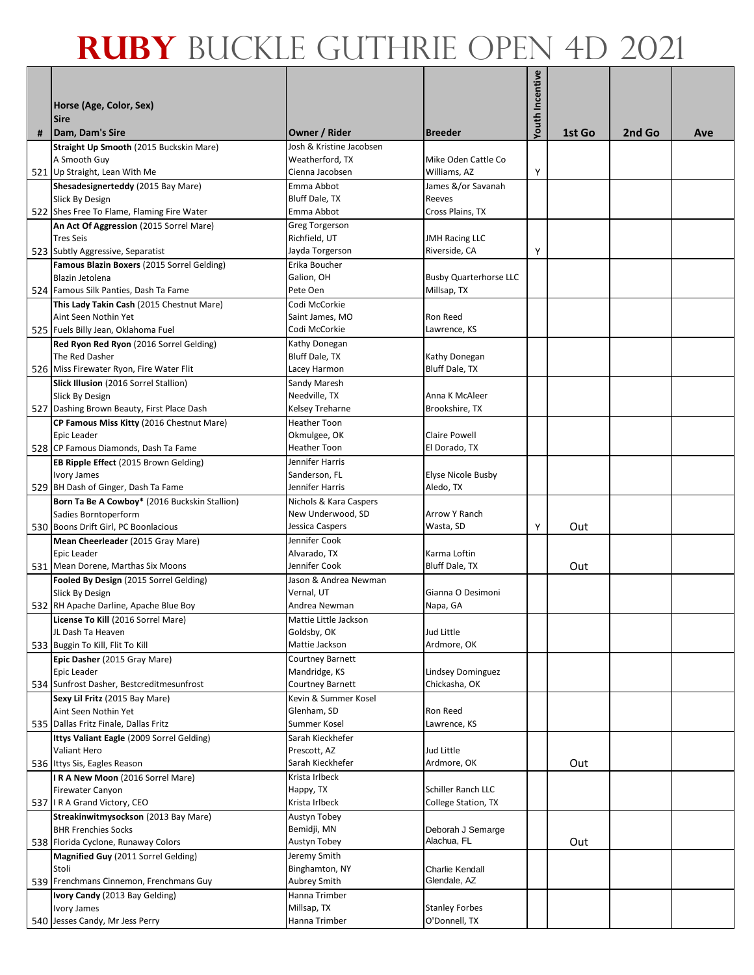|   |                                                                                |                                          |                                           | <b>Youth Incentive</b> |        |        |     |
|---|--------------------------------------------------------------------------------|------------------------------------------|-------------------------------------------|------------------------|--------|--------|-----|
|   | Horse (Age, Color, Sex)                                                        |                                          |                                           |                        |        |        |     |
| # | <b>Sire</b><br>Dam, Dam's Sire                                                 | Owner / Rider                            | <b>Breeder</b>                            |                        | 1st Go | 2nd Go | Ave |
|   | Straight Up Smooth (2015 Buckskin Mare)                                        | Josh & Kristine Jacobsen                 |                                           |                        |        |        |     |
|   | A Smooth Guy<br>521 Up Straight, Lean With Me                                  | Weatherford, TX<br>Cienna Jacobsen       | Mike Oden Cattle Co<br>Williams, AZ       | Υ                      |        |        |     |
|   | Shesadesignerteddy (2015 Bay Mare)                                             | Emma Abbot                               | James &/or Savanah                        |                        |        |        |     |
|   | Slick By Design                                                                | Bluff Dale, TX                           | Reeves                                    |                        |        |        |     |
|   | 522 Shes Free To Flame, Flaming Fire Water                                     | Emma Abbot                               | Cross Plains, TX                          |                        |        |        |     |
|   | An Act Of Aggression (2015 Sorrel Mare)                                        | Greg Torgerson                           |                                           |                        |        |        |     |
|   | <b>Tres Seis</b><br>523 Subtly Aggressive, Separatist                          | Richfield, UT                            | <b>JMH Racing LLC</b><br>Riverside, CA    | Υ                      |        |        |     |
|   | Famous Blazin Boxers (2015 Sorrel Gelding)                                     | Jayda Torgerson<br>Erika Boucher         |                                           |                        |        |        |     |
|   | Blazin Jetolena                                                                | Galion, OH                               | <b>Busby Quarterhorse LLC</b>             |                        |        |        |     |
|   | 524 Famous Silk Panties, Dash Ta Fame                                          | Pete Oen                                 | Millsap, TX                               |                        |        |        |     |
|   | This Lady Takin Cash (2015 Chestnut Mare)                                      | Codi McCorkie                            |                                           |                        |        |        |     |
|   | Aint Seen Nothin Yet                                                           | Saint James, MO                          | Ron Reed                                  |                        |        |        |     |
|   | 525 Fuels Billy Jean, Oklahoma Fuel<br>Red Ryon Red Ryon (2016 Sorrel Gelding) | Codi McCorkie                            | Lawrence, KS                              |                        |        |        |     |
|   | The Red Dasher                                                                 | Kathy Donegan<br>Bluff Dale, TX          | Kathy Donegan                             |                        |        |        |     |
|   | 526 Miss Firewater Ryon, Fire Water Flit                                       | Lacey Harmon                             | Bluff Dale, TX                            |                        |        |        |     |
|   | Slick Illusion (2016 Sorrel Stallion)                                          | Sandy Maresh                             |                                           |                        |        |        |     |
|   | <b>Slick By Design</b>                                                         | Needville, TX                            | Anna K McAleer                            |                        |        |        |     |
|   | 527 Dashing Brown Beauty, First Place Dash                                     | Kelsey Treharne                          | Brookshire, TX                            |                        |        |        |     |
|   | CP Famous Miss Kitty (2016 Chestnut Mare)<br>Epic Leader                       | Heather Toon<br>Okmulgee, OK             | <b>Claire Powell</b>                      |                        |        |        |     |
|   | 528 CP Famous Diamonds, Dash Ta Fame                                           | <b>Heather Toon</b>                      | El Dorado, TX                             |                        |        |        |     |
|   | EB Ripple Effect (2015 Brown Gelding)                                          | Jennifer Harris                          |                                           |                        |        |        |     |
|   | <b>Ivory James</b>                                                             | Sanderson, FL                            | <b>Elyse Nicole Busby</b>                 |                        |        |        |     |
|   | 529 BH Dash of Ginger, Dash Ta Fame                                            | Jennifer Harris                          | Aledo, TX                                 |                        |        |        |     |
|   | Born Ta Be A Cowboy* (2016 Buckskin Stallion)                                  | Nichols & Kara Caspers                   |                                           |                        |        |        |     |
|   | Sadies Borntoperform<br>530 Boons Drift Girl, PC Boonlacious                   | New Underwood, SD<br>Jessica Caspers     | <b>Arrow Y Ranch</b><br>Wasta, SD         | Y                      | Out    |        |     |
|   | Mean Cheerleader (2015 Gray Mare)                                              | Jennifer Cook                            |                                           |                        |        |        |     |
|   | Epic Leader                                                                    | Alvarado, TX                             | Karma Loftin                              |                        |        |        |     |
|   | 531 Mean Dorene, Marthas Six Moons                                             | Jennifer Cook                            | Bluff Dale, TX                            |                        | Out    |        |     |
|   | Fooled By Design (2015 Sorrel Gelding)                                         | Jason & Andrea Newman                    |                                           |                        |        |        |     |
|   | Slick By Design<br>532 RH Apache Darline, Apache Blue Boy                      | Vernal, UT<br>Andrea Newman              | Gianna O Desimoni<br>Napa, GA             |                        |        |        |     |
|   | License To Kill (2016 Sorrel Mare)                                             | Mattie Little Jackson                    |                                           |                        |        |        |     |
|   | JL Dash Ta Heaven                                                              | Goldsby, OK                              | Jud Little                                |                        |        |        |     |
|   | 533 Buggin To Kill, Flit To Kill                                               | Mattie Jackson                           | Ardmore, OK                               |                        |        |        |     |
|   | Epic Dasher (2015 Gray Mare)                                                   | Courtney Barnett                         |                                           |                        |        |        |     |
|   | Epic Leader<br>534 Sunfrost Dasher, Bestcreditmesunfrost                       | Mandridge, KS<br><b>Courtney Barnett</b> | <b>Lindsey Dominguez</b><br>Chickasha, OK |                        |        |        |     |
|   | Sexy Lil Fritz (2015 Bay Mare)                                                 | Kevin & Summer Kosel                     |                                           |                        |        |        |     |
|   | Aint Seen Nothin Yet                                                           | Glenham, SD                              | <b>Ron Reed</b>                           |                        |        |        |     |
|   | 535 Dallas Fritz Finale, Dallas Fritz                                          | Summer Kosel                             | Lawrence, KS                              |                        |        |        |     |
|   | Ittys Valiant Eagle (2009 Sorrel Gelding)                                      | Sarah Kieckhefer                         |                                           |                        |        |        |     |
|   | <b>Valiant Hero</b>                                                            | Prescott, AZ                             | Jud Little                                |                        |        |        |     |
|   | 536 Ittys Sis, Eagles Reason<br>IRA New Moon (2016 Sorrel Mare)                | Sarah Kieckhefer<br>Krista Irlbeck       | Ardmore, OK                               |                        | Out    |        |     |
|   | <b>Firewater Canyon</b>                                                        | Happy, TX                                | Schiller Ranch LLC                        |                        |        |        |     |
|   | 537 I R A Grand Victory, CEO                                                   | Krista Irlbeck                           | College Station, TX                       |                        |        |        |     |
|   | Streakinwitmysockson (2013 Bay Mare)                                           | Austyn Tobey                             |                                           |                        |        |        |     |
|   | <b>BHR Frenchies Socks</b>                                                     | Bemidji, MN                              | Deborah J Semarge                         |                        |        |        |     |
|   | 538 Florida Cyclone, Runaway Colors                                            | Austyn Tobey                             | Alachua, FL                               |                        | Out    |        |     |
|   | Magnified Guy (2011 Sorrel Gelding)<br>Stoli                                   | Jeremy Smith<br>Binghamton, NY           | <b>Charlie Kendall</b>                    |                        |        |        |     |
|   | 539 Frenchmans Cinnemon, Frenchmans Guy                                        | Aubrey Smith                             | Glendale, AZ                              |                        |        |        |     |
|   | Ivory Candy (2013 Bay Gelding)                                                 | Hanna Trimber                            |                                           |                        |        |        |     |
|   | Ivory James                                                                    | Millsap, TX                              | <b>Stanley Forbes</b>                     |                        |        |        |     |
|   | 540 Jesses Candy, Mr Jess Perry                                                | Hanna Trimber                            | O'Donnell, TX                             |                        |        |        |     |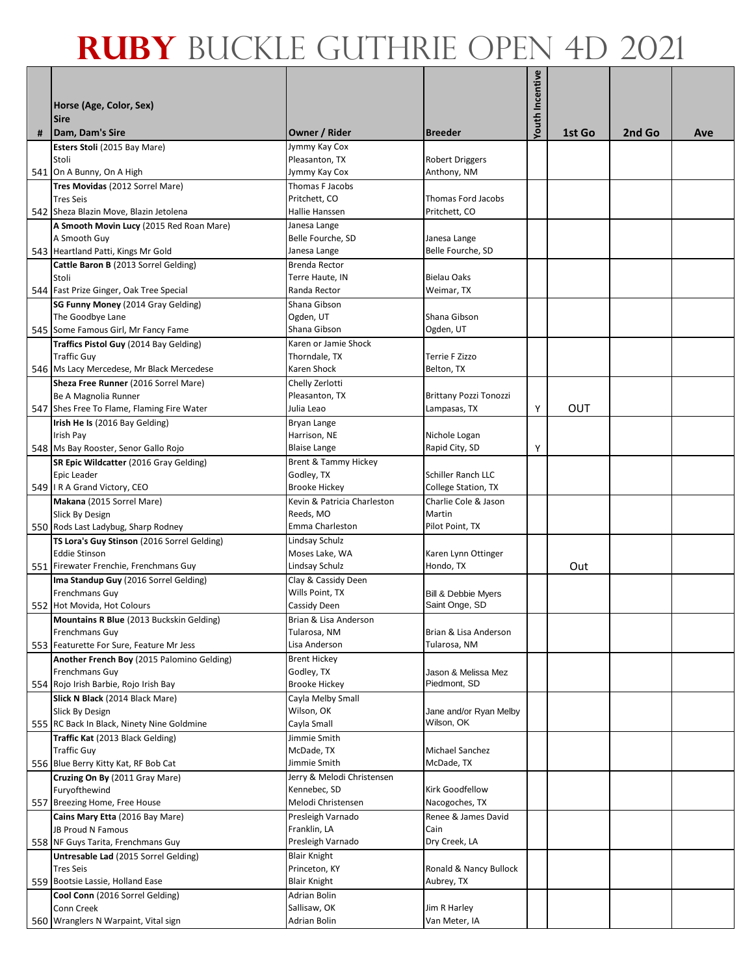|   | Horse (Age, Color, Sex)<br><b>Sire</b>                              |                                    |                                   | <b>Youth Incentive</b> |        |        |     |
|---|---------------------------------------------------------------------|------------------------------------|-----------------------------------|------------------------|--------|--------|-----|
| # | Dam, Dam's Sire                                                     | Owner / Rider                      | <b>Breeder</b>                    |                        | 1st Go | 2nd Go | Ave |
|   | Esters Stoli (2015 Bay Mare)                                        | Jymmy Kay Cox                      |                                   |                        |        |        |     |
|   | Stoli                                                               | Pleasanton, TX                     | <b>Robert Driggers</b>            |                        |        |        |     |
|   | 541 On A Bunny, On A High<br>Tres Movidas (2012 Sorrel Mare)        | Jymmy Kay Cox<br>Thomas F Jacobs   | Anthony, NM                       |                        |        |        |     |
|   | <b>Tres Seis</b>                                                    | Pritchett, CO                      | <b>Thomas Ford Jacobs</b>         |                        |        |        |     |
|   | 542 Sheza Blazin Move, Blazin Jetolena                              | Hallie Hanssen                     | Pritchett, CO                     |                        |        |        |     |
|   | A Smooth Movin Lucy (2015 Red Roan Mare)                            | Janesa Lange                       |                                   |                        |        |        |     |
|   | A Smooth Guy                                                        | Belle Fourche, SD                  | Janesa Lange                      |                        |        |        |     |
|   | 543 Heartland Patti, Kings Mr Gold                                  | Janesa Lange                       | Belle Fourche, SD                 |                        |        |        |     |
|   | Cattle Baron B (2013 Sorrel Gelding)                                | Brenda Rector                      |                                   |                        |        |        |     |
|   | Stoli                                                               | Terre Haute, IN                    | <b>Bielau Oaks</b>                |                        |        |        |     |
|   | 544 Fast Prize Ginger, Oak Tree Special                             | Randa Rector                       | Weimar, TX                        |                        |        |        |     |
|   | SG Funny Money (2014 Gray Gelding)                                  | Shana Gibson                       |                                   |                        |        |        |     |
|   | The Goodbye Lane                                                    | Ogden, UT                          | Shana Gibson                      |                        |        |        |     |
|   | 545 Some Famous Girl, Mr Fancy Fame                                 | Shana Gibson                       | Ogden, UT                         |                        |        |        |     |
|   | Traffics Pistol Guy (2014 Bay Gelding)                              | Karen or Jamie Shock               |                                   |                        |        |        |     |
|   | <b>Traffic Guy</b><br>546 Ms Lacy Mercedese, Mr Black Mercedese     | Thorndale, TX<br>Karen Shock       | Terrie F Zizzo<br>Belton, TX      |                        |        |        |     |
|   | Sheza Free Runner (2016 Sorrel Mare)                                | Chelly Zerlotti                    |                                   |                        |        |        |     |
|   | Be A Magnolia Runner                                                | Pleasanton, TX                     | Brittany Pozzi Tonozzi            |                        |        |        |     |
|   | 547 Shes Free To Flame, Flaming Fire Water                          | Julia Leao                         | Lampasas, TX                      | Υ                      | OUT    |        |     |
|   | Irish He Is (2016 Bay Gelding)                                      | Bryan Lange                        |                                   |                        |        |        |     |
|   | Irish Pay                                                           | Harrison, NE                       | Nichole Logan                     |                        |        |        |     |
|   | 548 Ms Bay Rooster, Senor Gallo Rojo                                | <b>Blaise Lange</b>                | Rapid City, SD                    | Υ                      |        |        |     |
|   | SR Epic Wildcatter (2016 Gray Gelding)                              | Brent & Tammy Hickey               |                                   |                        |        |        |     |
|   | Epic Leader                                                         | Godley, TX                         | Schiller Ranch LLC                |                        |        |        |     |
|   | 549   I R A Grand Victory, CEO                                      | <b>Brooke Hickey</b>               | <b>College Station, TX</b>        |                        |        |        |     |
|   | Makana (2015 Sorrel Mare)                                           | Kevin & Patricia Charleston        | Charlie Cole & Jason              |                        |        |        |     |
|   | <b>Slick By Design</b><br>550 Rods Last Ladybug, Sharp Rodney       | Reeds, MO<br>Emma Charleston       | Martin<br>Pilot Point, TX         |                        |        |        |     |
|   | TS Lora's Guy Stinson (2016 Sorrel Gelding)                         | Lindsay Schulz                     |                                   |                        |        |        |     |
|   | <b>Eddie Stinson</b>                                                | Moses Lake, WA                     | Karen Lynn Ottinger               |                        |        |        |     |
|   | 551 Firewater Frenchie, Frenchmans Guy                              | Lindsay Schulz                     | Hondo, TX                         |                        | Out    |        |     |
|   | Ima Standup Guy (2016 Sorrel Gelding)                               | Clay & Cassidy Deen                |                                   |                        |        |        |     |
|   | <b>Frenchmans Guy</b>                                               | Wills Point, TX                    | <b>Bill &amp; Debbie Myers</b>    |                        |        |        |     |
|   | 552 Hot Movida, Hot Colours                                         | Cassidy Deen                       | Saint Onge, SD                    |                        |        |        |     |
|   | Mountains R Blue (2013 Buckskin Gelding)                            | Brian & Lisa Anderson              |                                   |                        |        |        |     |
|   | <b>Frenchmans Guy</b>                                               | Tularosa, NM                       | Brian & Lisa Anderson             |                        |        |        |     |
|   | 553 Featurette For Sure, Feature Mr Jess                            | Lisa Anderson                      | Tularosa, NM                      |                        |        |        |     |
|   | Another French Boy (2015 Palomino Gelding)<br><b>Frenchmans Guy</b> | <b>Brent Hickey</b><br>Godley, TX  | Jason & Melissa Mez               |                        |        |        |     |
|   | 554 Rojo Irish Barbie, Rojo Irish Bay                               | <b>Brooke Hickey</b>               | Piedmont, SD                      |                        |        |        |     |
|   | Slick N Black (2014 Black Mare)                                     | Cayla Melby Small                  |                                   |                        |        |        |     |
|   | Slick By Design                                                     | Wilson, OK                         | Jane and/or Ryan Melby            |                        |        |        |     |
|   | 555 RC Back In Black, Ninety Nine Goldmine                          | Cayla Small                        | Wilson, OK                        |                        |        |        |     |
|   | Traffic Kat (2013 Black Gelding)                                    | Jimmie Smith                       |                                   |                        |        |        |     |
|   | <b>Traffic Guy</b>                                                  | McDade, TX                         | Michael Sanchez                   |                        |        |        |     |
|   | 556 Blue Berry Kitty Kat, RF Bob Cat                                | Jimmie Smith                       | McDade, TX                        |                        |        |        |     |
|   | Cruzing On By (2011 Gray Mare)                                      | Jerry & Melodi Christensen         |                                   |                        |        |        |     |
|   | Furyofthewind<br>557 Breezing Home, Free House                      | Kennebec, SD<br>Melodi Christensen | Kirk Goodfellow<br>Nacogoches, TX |                        |        |        |     |
|   | Cains Mary Etta (2016 Bay Mare)                                     | Presleigh Varnado                  | Renee & James David               |                        |        |        |     |
|   | <b>JB Proud N Famous</b>                                            | Franklin, LA                       | Cain                              |                        |        |        |     |
|   | 558 NF Guys Tarita, Frenchmans Guy                                  | Presleigh Varnado                  | Dry Creek, LA                     |                        |        |        |     |
|   | Untresable Lad (2015 Sorrel Gelding)                                | <b>Blair Knight</b>                |                                   |                        |        |        |     |
|   | <b>Tres Seis</b>                                                    | Princeton, KY                      | Ronald & Nancy Bullock            |                        |        |        |     |
|   | 559 Bootsie Lassie, Holland Ease                                    | <b>Blair Knight</b>                | Aubrey, TX                        |                        |        |        |     |
|   | Cool Conn (2016 Sorrel Gelding)                                     | Adrian Bolin                       |                                   |                        |        |        |     |
|   | Conn Creek                                                          | Sallisaw, OK                       | Jim R Harley                      |                        |        |        |     |
|   | 560 Wranglers N Warpaint, Vital sign                                | Adrian Bolin                       | Van Meter, IA                     |                        |        |        |     |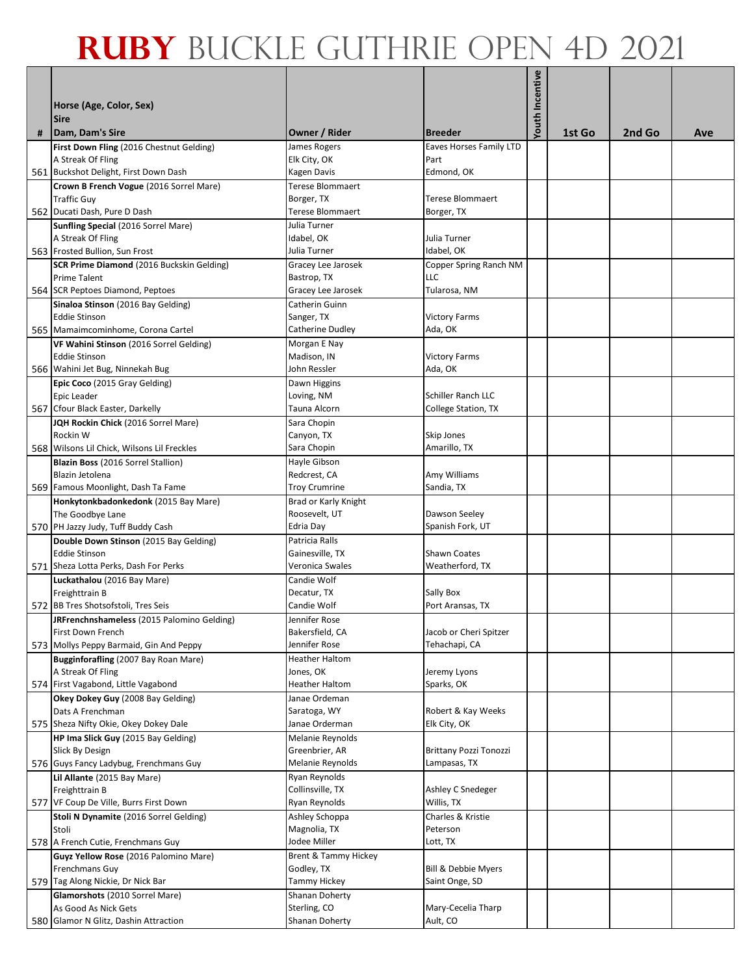|   | Horse (Age, Color, Sex)<br><b>Sire</b>                                                                 |                                                               |                                                      | Youth Incentive |        |        |     |
|---|--------------------------------------------------------------------------------------------------------|---------------------------------------------------------------|------------------------------------------------------|-----------------|--------|--------|-----|
| # | Dam, Dam's Sire                                                                                        | Owner / Rider                                                 | <b>Breeder</b>                                       |                 | 1st Go | 2nd Go | Ave |
|   | First Down Fling (2016 Chestnut Gelding)<br>A Streak Of Fling<br>561 Buckshot Delight, First Down Dash | James Rogers<br>Elk City, OK<br>Kagen Davis                   | <b>Eaves Horses Family LTD</b><br>Part<br>Edmond, OK |                 |        |        |     |
|   | Crown B French Vogue (2016 Sorrel Mare)<br><b>Traffic Guy</b><br>562 Ducati Dash, Pure D Dash          | Terese Blommaert<br>Borger, TX<br><b>Terese Blommaert</b>     | <b>Terese Blommaert</b><br>Borger, TX                |                 |        |        |     |
|   | <b>Sunfling Special (2016 Sorrel Mare)</b><br>A Streak Of Fling<br>563 Frosted Bullion, Sun Frost      | Julia Turner<br>Idabel, OK<br>Julia Turner                    | Julia Turner<br>Idabel, OK                           |                 |        |        |     |
|   | SCR Prime Diamond (2016 Buckskin Gelding)<br><b>Prime Talent</b><br>564 SCR Peptoes Diamond, Peptoes   | Gracey Lee Jarosek<br>Bastrop, TX<br>Gracey Lee Jarosek       | Copper Spring Ranch NM<br><b>LLC</b><br>Tularosa, NM |                 |        |        |     |
|   | Sinaloa Stinson (2016 Bay Gelding)<br><b>Eddie Stinson</b><br>565 Mamaimcominhome, Corona Cartel       | Catherin Guinn<br>Sanger, TX<br>Catherine Dudley              | <b>Victory Farms</b><br>Ada, OK                      |                 |        |        |     |
|   | VF Wahini Stinson (2016 Sorrel Gelding)<br><b>Eddie Stinson</b><br>566 Wahini Jet Bug, Ninnekah Bug    | Morgan E Nay<br>Madison, IN<br>John Ressler                   | <b>Victory Farms</b><br>Ada, OK                      |                 |        |        |     |
|   | Epic Coco (2015 Gray Gelding)<br>Epic Leader<br>567 Cfour Black Easter, Darkelly                       | Dawn Higgins<br>Loving, NM<br>Tauna Alcorn                    | Schiller Ranch LLC<br><b>College Station, TX</b>     |                 |        |        |     |
|   | JQH Rockin Chick (2016 Sorrel Mare)<br>Rockin W<br>568 Wilsons Lil Chick, Wilsons Lil Freckles         | Sara Chopin<br>Canyon, TX                                     | Skip Jones                                           |                 |        |        |     |
|   | Blazin Boss (2016 Sorrel Stallion)<br>Blazin Jetolena                                                  | Sara Chopin<br>Hayle Gibson<br>Redcrest, CA                   | Amarillo, TX<br>Amy Williams                         |                 |        |        |     |
|   | 569 Famous Moonlight, Dash Ta Fame<br>Honkytonkbadonkedonk (2015 Bay Mare)<br>The Goodbye Lane         | <b>Troy Crumrine</b><br>Brad or Karly Knight<br>Roosevelt, UT | Sandia, TX<br>Dawson Seeley                          |                 |        |        |     |
|   | 570 PH Jazzy Judy, Tuff Buddy Cash<br>Double Down Stinson (2015 Bay Gelding)<br><b>Eddie Stinson</b>   | Edria Day<br>Patricia Ralls<br>Gainesville, TX                | Spanish Fork, UT<br>Shawn Coates                     |                 |        |        |     |
|   | 571 Sheza Lotta Perks, Dash For Perks<br>Luckathalou (2016 Bay Mare)<br>Freighttrain B                 | Veronica Swales<br>Candie Wolf<br>Decatur, TX                 | Weatherford, TX<br>Sally Box                         |                 |        |        |     |
|   | 572 BB Tres Shotsofstoli, Tres Seis<br>JRFrenchnshameless (2015 Palomino Gelding)<br>First Down French | Candie Wolf<br>Jennifer Rose<br>Bakersfield, CA               | Port Aransas, TX<br>Jacob or Cheri Spitzer           |                 |        |        |     |
|   | 573 Mollys Peppy Barmaid, Gin And Peppy<br>Bugginforafling (2007 Bay Roan Mare)<br>A Streak Of Fling   | Jennifer Rose<br>Heather Haltom<br>Jones, OK                  | Tehachapi, CA<br>Jeremy Lyons                        |                 |        |        |     |
|   | 574 First Vagabond, Little Vagabond<br>Okey Dokey Guy (2008 Bay Gelding)<br>Dats A Frenchman           | Heather Haltom<br>Janae Ordeman<br>Saratoga, WY               | Sparks, OK<br>Robert & Kay Weeks                     |                 |        |        |     |
|   | 575 Sheza Nifty Okie, Okey Dokey Dale<br>HP Ima Slick Guy (2015 Bay Gelding)                           | Janae Orderman<br>Melanie Reynolds                            | Elk City, OK                                         |                 |        |        |     |
|   | Slick By Design<br>576 Guys Fancy Ladybug, Frenchmans Guy<br>Lil Allante (2015 Bay Mare)               | Greenbrier, AR<br>Melanie Reynolds<br>Ryan Reynolds           | Brittany Pozzi Tonozzi<br>Lampasas, TX               |                 |        |        |     |
|   | Freighttrain B<br>577 VF Coup De Ville, Burrs First Down<br>Stoli N Dynamite (2016 Sorrel Gelding)     | Collinsville, TX<br>Ryan Reynolds<br>Ashley Schoppa           | Ashley C Snedeger<br>Willis, TX<br>Charles & Kristie |                 |        |        |     |
|   | Stoli<br>578 A French Cutie, Frenchmans Guy<br>Guyz Yellow Rose (2016 Palomino Mare)                   | Magnolia, TX<br>Jodee Miller<br>Brent & Tammy Hickey          | Peterson<br>Lott, TX                                 |                 |        |        |     |
|   | Frenchmans Guy<br>579 Tag Along Nickie, Dr Nick Bar<br>Glamorshots (2010 Sorrel Mare)                  | Godley, TX<br>Tammy Hickey<br>Shanan Doherty                  | Bill & Debbie Myers<br>Saint Onge, SD                |                 |        |        |     |
|   | As Good As Nick Gets<br>580 Glamor N Glitz, Dashin Attraction                                          | Sterling, CO<br>Shanan Doherty                                | Mary-Cecelia Tharp<br>Ault, CO                       |                 |        |        |     |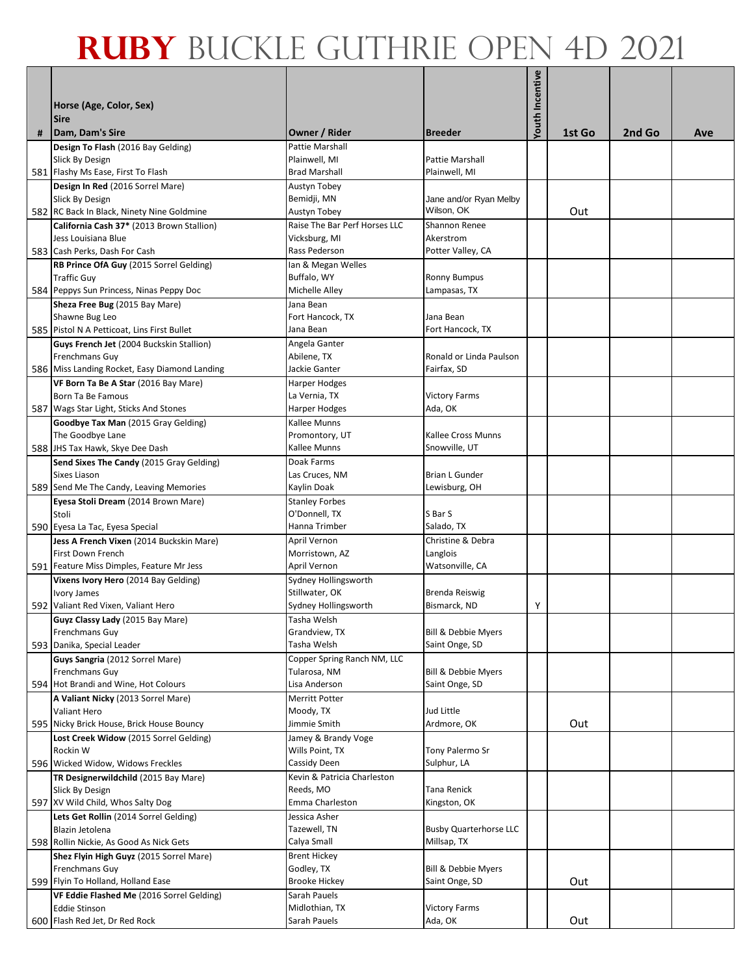| Horse (Age, Color, Sex)<br><b>Sire</b>                           |                                                                                                                                                                                                                                                                                                                                                                                                                                                                                                                                                                                                                                                                                                                                                                                                                                                                                                                                                            |                                                                                                                                                                                                                                                                                               |                                                                                                                                                                                                                       |                        |        |        |
|------------------------------------------------------------------|------------------------------------------------------------------------------------------------------------------------------------------------------------------------------------------------------------------------------------------------------------------------------------------------------------------------------------------------------------------------------------------------------------------------------------------------------------------------------------------------------------------------------------------------------------------------------------------------------------------------------------------------------------------------------------------------------------------------------------------------------------------------------------------------------------------------------------------------------------------------------------------------------------------------------------------------------------|-----------------------------------------------------------------------------------------------------------------------------------------------------------------------------------------------------------------------------------------------------------------------------------------------|-----------------------------------------------------------------------------------------------------------------------------------------------------------------------------------------------------------------------|------------------------|--------|--------|
|                                                                  |                                                                                                                                                                                                                                                                                                                                                                                                                                                                                                                                                                                                                                                                                                                                                                                                                                                                                                                                                            |                                                                                                                                                                                                                                                                                               |                                                                                                                                                                                                                       |                        |        | Ave    |
| Slick By Design                                                  | Plainwell, MI<br><b>Brad Marshall</b>                                                                                                                                                                                                                                                                                                                                                                                                                                                                                                                                                                                                                                                                                                                                                                                                                                                                                                                      | Pattie Marshall                                                                                                                                                                                                                                                                               |                                                                                                                                                                                                                       |                        |        |        |
|                                                                  |                                                                                                                                                                                                                                                                                                                                                                                                                                                                                                                                                                                                                                                                                                                                                                                                                                                                                                                                                            |                                                                                                                                                                                                                                                                                               |                                                                                                                                                                                                                       |                        |        |        |
| Slick By Design<br>582 RC Back In Black, Ninety Nine Goldmine    | Bemidji, MN<br>Austyn Tobey                                                                                                                                                                                                                                                                                                                                                                                                                                                                                                                                                                                                                                                                                                                                                                                                                                                                                                                                | Jane and/or Ryan Melby<br>Wilson, OK                                                                                                                                                                                                                                                          |                                                                                                                                                                                                                       | Out                    |        |        |
| California Cash 37* (2013 Brown Stallion)                        | Raise The Bar Perf Horses LLC                                                                                                                                                                                                                                                                                                                                                                                                                                                                                                                                                                                                                                                                                                                                                                                                                                                                                                                              | Shannon Renee                                                                                                                                                                                                                                                                                 |                                                                                                                                                                                                                       |                        |        |        |
| Jess Louisiana Blue                                              | Vicksburg, MI                                                                                                                                                                                                                                                                                                                                                                                                                                                                                                                                                                                                                                                                                                                                                                                                                                                                                                                                              | Akerstrom                                                                                                                                                                                                                                                                                     |                                                                                                                                                                                                                       |                        |        |        |
| 583 Cash Perks, Dash For Cash                                    | Rass Pederson                                                                                                                                                                                                                                                                                                                                                                                                                                                                                                                                                                                                                                                                                                                                                                                                                                                                                                                                              | Potter Valley, CA                                                                                                                                                                                                                                                                             |                                                                                                                                                                                                                       |                        |        |        |
| RB Prince OfA Guy (2015 Sorrel Gelding)                          | Ian & Megan Welles                                                                                                                                                                                                                                                                                                                                                                                                                                                                                                                                                                                                                                                                                                                                                                                                                                                                                                                                         |                                                                                                                                                                                                                                                                                               |                                                                                                                                                                                                                       |                        |        |        |
| <b>Traffic Guy</b>                                               | Buffalo, WY                                                                                                                                                                                                                                                                                                                                                                                                                                                                                                                                                                                                                                                                                                                                                                                                                                                                                                                                                | <b>Ronny Bumpus</b>                                                                                                                                                                                                                                                                           |                                                                                                                                                                                                                       |                        |        |        |
| 584 Peppys Sun Princess, Ninas Peppy Doc                         | Michelle Alley                                                                                                                                                                                                                                                                                                                                                                                                                                                                                                                                                                                                                                                                                                                                                                                                                                                                                                                                             | Lampasas, TX                                                                                                                                                                                                                                                                                  |                                                                                                                                                                                                                       |                        |        |        |
| Sheza Free Bug (2015 Bay Mare)                                   | Jana Bean                                                                                                                                                                                                                                                                                                                                                                                                                                                                                                                                                                                                                                                                                                                                                                                                                                                                                                                                                  |                                                                                                                                                                                                                                                                                               |                                                                                                                                                                                                                       |                        |        |        |
| Shawne Bug Leo                                                   | Fort Hancock, TX                                                                                                                                                                                                                                                                                                                                                                                                                                                                                                                                                                                                                                                                                                                                                                                                                                                                                                                                           | Jana Bean                                                                                                                                                                                                                                                                                     |                                                                                                                                                                                                                       |                        |        |        |
| 585 Pistol N A Petticoat, Lins First Bullet                      | Jana Bean                                                                                                                                                                                                                                                                                                                                                                                                                                                                                                                                                                                                                                                                                                                                                                                                                                                                                                                                                  | Fort Hancock, TX                                                                                                                                                                                                                                                                              |                                                                                                                                                                                                                       |                        |        |        |
|                                                                  |                                                                                                                                                                                                                                                                                                                                                                                                                                                                                                                                                                                                                                                                                                                                                                                                                                                                                                                                                            |                                                                                                                                                                                                                                                                                               |                                                                                                                                                                                                                       |                        |        |        |
| <b>Frenchmans Guy</b>                                            | Abilene, TX                                                                                                                                                                                                                                                                                                                                                                                                                                                                                                                                                                                                                                                                                                                                                                                                                                                                                                                                                | Ronald or Linda Paulson                                                                                                                                                                                                                                                                       |                                                                                                                                                                                                                       |                        |        |        |
| 586 Miss Landing Rocket, Easy Diamond Landing                    | Jackie Ganter                                                                                                                                                                                                                                                                                                                                                                                                                                                                                                                                                                                                                                                                                                                                                                                                                                                                                                                                              | Fairfax, SD                                                                                                                                                                                                                                                                                   |                                                                                                                                                                                                                       |                        |        |        |
|                                                                  |                                                                                                                                                                                                                                                                                                                                                                                                                                                                                                                                                                                                                                                                                                                                                                                                                                                                                                                                                            |                                                                                                                                                                                                                                                                                               |                                                                                                                                                                                                                       |                        |        |        |
|                                                                  | La Vernia, TX                                                                                                                                                                                                                                                                                                                                                                                                                                                                                                                                                                                                                                                                                                                                                                                                                                                                                                                                              |                                                                                                                                                                                                                                                                                               |                                                                                                                                                                                                                       |                        |        |        |
|                                                                  | Harper Hodges                                                                                                                                                                                                                                                                                                                                                                                                                                                                                                                                                                                                                                                                                                                                                                                                                                                                                                                                              | Ada, OK                                                                                                                                                                                                                                                                                       |                                                                                                                                                                                                                       |                        |        |        |
|                                                                  |                                                                                                                                                                                                                                                                                                                                                                                                                                                                                                                                                                                                                                                                                                                                                                                                                                                                                                                                                            |                                                                                                                                                                                                                                                                                               |                                                                                                                                                                                                                       |                        |        |        |
|                                                                  |                                                                                                                                                                                                                                                                                                                                                                                                                                                                                                                                                                                                                                                                                                                                                                                                                                                                                                                                                            |                                                                                                                                                                                                                                                                                               |                                                                                                                                                                                                                       |                        |        |        |
|                                                                  | Kallee Munns                                                                                                                                                                                                                                                                                                                                                                                                                                                                                                                                                                                                                                                                                                                                                                                                                                                                                                                                               |                                                                                                                                                                                                                                                                                               |                                                                                                                                                                                                                       |                        |        |        |
|                                                                  |                                                                                                                                                                                                                                                                                                                                                                                                                                                                                                                                                                                                                                                                                                                                                                                                                                                                                                                                                            |                                                                                                                                                                                                                                                                                               |                                                                                                                                                                                                                       |                        |        |        |
|                                                                  |                                                                                                                                                                                                                                                                                                                                                                                                                                                                                                                                                                                                                                                                                                                                                                                                                                                                                                                                                            |                                                                                                                                                                                                                                                                                               |                                                                                                                                                                                                                       |                        |        |        |
|                                                                  |                                                                                                                                                                                                                                                                                                                                                                                                                                                                                                                                                                                                                                                                                                                                                                                                                                                                                                                                                            |                                                                                                                                                                                                                                                                                               |                                                                                                                                                                                                                       |                        |        |        |
|                                                                  |                                                                                                                                                                                                                                                                                                                                                                                                                                                                                                                                                                                                                                                                                                                                                                                                                                                                                                                                                            |                                                                                                                                                                                                                                                                                               |                                                                                                                                                                                                                       |                        |        |        |
|                                                                  |                                                                                                                                                                                                                                                                                                                                                                                                                                                                                                                                                                                                                                                                                                                                                                                                                                                                                                                                                            |                                                                                                                                                                                                                                                                                               |                                                                                                                                                                                                                       |                        |        |        |
|                                                                  | Hanna Trimber                                                                                                                                                                                                                                                                                                                                                                                                                                                                                                                                                                                                                                                                                                                                                                                                                                                                                                                                              |                                                                                                                                                                                                                                                                                               |                                                                                                                                                                                                                       |                        |        |        |
|                                                                  |                                                                                                                                                                                                                                                                                                                                                                                                                                                                                                                                                                                                                                                                                                                                                                                                                                                                                                                                                            |                                                                                                                                                                                                                                                                                               |                                                                                                                                                                                                                       |                        |        |        |
|                                                                  |                                                                                                                                                                                                                                                                                                                                                                                                                                                                                                                                                                                                                                                                                                                                                                                                                                                                                                                                                            |                                                                                                                                                                                                                                                                                               |                                                                                                                                                                                                                       |                        |        |        |
|                                                                  | April Vernon                                                                                                                                                                                                                                                                                                                                                                                                                                                                                                                                                                                                                                                                                                                                                                                                                                                                                                                                               |                                                                                                                                                                                                                                                                                               |                                                                                                                                                                                                                       |                        |        |        |
|                                                                  |                                                                                                                                                                                                                                                                                                                                                                                                                                                                                                                                                                                                                                                                                                                                                                                                                                                                                                                                                            |                                                                                                                                                                                                                                                                                               |                                                                                                                                                                                                                       |                        |        |        |
|                                                                  | Stillwater, OK                                                                                                                                                                                                                                                                                                                                                                                                                                                                                                                                                                                                                                                                                                                                                                                                                                                                                                                                             | Brenda Reiswig                                                                                                                                                                                                                                                                                |                                                                                                                                                                                                                       |                        |        |        |
|                                                                  | Sydney Hollingsworth                                                                                                                                                                                                                                                                                                                                                                                                                                                                                                                                                                                                                                                                                                                                                                                                                                                                                                                                       | Bismarck, ND                                                                                                                                                                                                                                                                                  | Υ                                                                                                                                                                                                                     |                        |        |        |
|                                                                  |                                                                                                                                                                                                                                                                                                                                                                                                                                                                                                                                                                                                                                                                                                                                                                                                                                                                                                                                                            |                                                                                                                                                                                                                                                                                               |                                                                                                                                                                                                                       |                        |        |        |
|                                                                  | Grandview, TX                                                                                                                                                                                                                                                                                                                                                                                                                                                                                                                                                                                                                                                                                                                                                                                                                                                                                                                                              | Bill & Debbie Myers                                                                                                                                                                                                                                                                           |                                                                                                                                                                                                                       |                        |        |        |
|                                                                  | Tasha Welsh                                                                                                                                                                                                                                                                                                                                                                                                                                                                                                                                                                                                                                                                                                                                                                                                                                                                                                                                                | Saint Onge, SD                                                                                                                                                                                                                                                                                |                                                                                                                                                                                                                       |                        |        |        |
|                                                                  | Copper Spring Ranch NM, LLC                                                                                                                                                                                                                                                                                                                                                                                                                                                                                                                                                                                                                                                                                                                                                                                                                                                                                                                                |                                                                                                                                                                                                                                                                                               |                                                                                                                                                                                                                       |                        |        |        |
| Frenchmans Guy                                                   | Tularosa, NM                                                                                                                                                                                                                                                                                                                                                                                                                                                                                                                                                                                                                                                                                                                                                                                                                                                                                                                                               | <b>Bill &amp; Debbie Myers</b>                                                                                                                                                                                                                                                                |                                                                                                                                                                                                                       |                        |        |        |
| 594 Hot Brandi and Wine, Hot Colours                             | Lisa Anderson                                                                                                                                                                                                                                                                                                                                                                                                                                                                                                                                                                                                                                                                                                                                                                                                                                                                                                                                              | Saint Onge, SD                                                                                                                                                                                                                                                                                |                                                                                                                                                                                                                       |                        |        |        |
|                                                                  | Merritt Potter                                                                                                                                                                                                                                                                                                                                                                                                                                                                                                                                                                                                                                                                                                                                                                                                                                                                                                                                             |                                                                                                                                                                                                                                                                                               |                                                                                                                                                                                                                       |                        |        |        |
| <b>Valiant Hero</b>                                              | Moody, TX                                                                                                                                                                                                                                                                                                                                                                                                                                                                                                                                                                                                                                                                                                                                                                                                                                                                                                                                                  | Jud Little                                                                                                                                                                                                                                                                                    |                                                                                                                                                                                                                       |                        |        |        |
| 595 Nicky Brick House, Brick House Bouncy                        | Jimmie Smith                                                                                                                                                                                                                                                                                                                                                                                                                                                                                                                                                                                                                                                                                                                                                                                                                                                                                                                                               | Ardmore, OK                                                                                                                                                                                                                                                                                   |                                                                                                                                                                                                                       | Out                    |        |        |
| Lost Creek Widow (2015 Sorrel Gelding)                           | Jamey & Brandy Voge                                                                                                                                                                                                                                                                                                                                                                                                                                                                                                                                                                                                                                                                                                                                                                                                                                                                                                                                        |                                                                                                                                                                                                                                                                                               |                                                                                                                                                                                                                       |                        |        |        |
|                                                                  |                                                                                                                                                                                                                                                                                                                                                                                                                                                                                                                                                                                                                                                                                                                                                                                                                                                                                                                                                            |                                                                                                                                                                                                                                                                                               |                                                                                                                                                                                                                       |                        |        |        |
| Rockin W                                                         | Wills Point, TX                                                                                                                                                                                                                                                                                                                                                                                                                                                                                                                                                                                                                                                                                                                                                                                                                                                                                                                                            | Tony Palermo Sr                                                                                                                                                                                                                                                                               |                                                                                                                                                                                                                       |                        |        |        |
| 596 Wicked Widow, Widows Freckles                                | Cassidy Deen                                                                                                                                                                                                                                                                                                                                                                                                                                                                                                                                                                                                                                                                                                                                                                                                                                                                                                                                               | Sulphur, LA                                                                                                                                                                                                                                                                                   |                                                                                                                                                                                                                       |                        |        |        |
| TR Designerwildchild (2015 Bay Mare)                             | Kevin & Patricia Charleston                                                                                                                                                                                                                                                                                                                                                                                                                                                                                                                                                                                                                                                                                                                                                                                                                                                                                                                                |                                                                                                                                                                                                                                                                                               |                                                                                                                                                                                                                       |                        |        |        |
| Slick By Design                                                  | Reeds, MO                                                                                                                                                                                                                                                                                                                                                                                                                                                                                                                                                                                                                                                                                                                                                                                                                                                                                                                                                  | Tana Renick                                                                                                                                                                                                                                                                                   |                                                                                                                                                                                                                       |                        |        |        |
| 597 XV Wild Child, Whos Salty Dog                                | Emma Charleston                                                                                                                                                                                                                                                                                                                                                                                                                                                                                                                                                                                                                                                                                                                                                                                                                                                                                                                                            | Kingston, OK                                                                                                                                                                                                                                                                                  |                                                                                                                                                                                                                       |                        |        |        |
|                                                                  | Jessica Asher                                                                                                                                                                                                                                                                                                                                                                                                                                                                                                                                                                                                                                                                                                                                                                                                                                                                                                                                              |                                                                                                                                                                                                                                                                                               |                                                                                                                                                                                                                       |                        |        |        |
| Lets Get Rollin (2014 Sorrel Gelding)<br>Blazin Jetolena         | Tazewell, TN                                                                                                                                                                                                                                                                                                                                                                                                                                                                                                                                                                                                                                                                                                                                                                                                                                                                                                                                               |                                                                                                                                                                                                                                                                                               |                                                                                                                                                                                                                       |                        |        |        |
|                                                                  | Calya Small                                                                                                                                                                                                                                                                                                                                                                                                                                                                                                                                                                                                                                                                                                                                                                                                                                                                                                                                                | <b>Busby Quarterhorse LLC</b><br>Millsap, TX                                                                                                                                                                                                                                                  |                                                                                                                                                                                                                       |                        |        |        |
| 598 Rollin Nickie, As Good As Nick Gets                          |                                                                                                                                                                                                                                                                                                                                                                                                                                                                                                                                                                                                                                                                                                                                                                                                                                                                                                                                                            |                                                                                                                                                                                                                                                                                               |                                                                                                                                                                                                                       |                        |        |        |
| Shez Flyin High Guyz (2015 Sorrel Mare)<br><b>Frenchmans Guy</b> | <b>Brent Hickey</b><br>Godley, TX                                                                                                                                                                                                                                                                                                                                                                                                                                                                                                                                                                                                                                                                                                                                                                                                                                                                                                                          | Bill & Debbie Myers                                                                                                                                                                                                                                                                           |                                                                                                                                                                                                                       |                        |        |        |
| 599 Flyin To Holland, Holland Ease                               | <b>Brooke Hickey</b>                                                                                                                                                                                                                                                                                                                                                                                                                                                                                                                                                                                                                                                                                                                                                                                                                                                                                                                                       | Saint Onge, SD                                                                                                                                                                                                                                                                                |                                                                                                                                                                                                                       | Out                    |        |        |
| VF Eddie Flashed Me (2016 Sorrel Gelding)                        | Sarah Pauels                                                                                                                                                                                                                                                                                                                                                                                                                                                                                                                                                                                                                                                                                                                                                                                                                                                                                                                                               |                                                                                                                                                                                                                                                                                               |                                                                                                                                                                                                                       |                        |        |        |
| <b>Eddie Stinson</b>                                             | Midlothian, TX                                                                                                                                                                                                                                                                                                                                                                                                                                                                                                                                                                                                                                                                                                                                                                                                                                                                                                                                             | <b>Victory Farms</b>                                                                                                                                                                                                                                                                          |                                                                                                                                                                                                                       |                        |        |        |
|                                                                  | Dam, Dam's Sire<br>Design To Flash (2016 Bay Gelding)<br>581 Flashy Ms Ease, First To Flash<br>Design In Red (2016 Sorrel Mare)<br>Guys French Jet (2004 Buckskin Stallion)<br>VF Born Ta Be A Star (2016 Bay Mare)<br>Born Ta Be Famous<br>587 Wags Star Light, Sticks And Stones<br>Goodbye Tax Man (2015 Gray Gelding)<br>The Goodbye Lane<br>588 JHS Tax Hawk, Skye Dee Dash<br>Send Sixes The Candy (2015 Gray Gelding)<br>Sixes Liason<br>589 Send Me The Candy, Leaving Memories<br>Eyesa Stoli Dream (2014 Brown Mare)<br>Stoli<br>590 Eyesa La Tac, Eyesa Special<br>Jess A French Vixen (2014 Buckskin Mare)<br>First Down French<br>591 Feature Miss Dimples, Feature Mr Jess<br>Vixens Ivory Hero (2014 Bay Gelding)<br>Ivory James<br>592 Valiant Red Vixen, Valiant Hero<br>Guyz Classy Lady (2015 Bay Mare)<br><b>Frenchmans Guy</b><br>593 Danika, Special Leader<br>Guys Sangria (2012 Sorrel Mare)<br>A Valiant Nicky (2013 Sorrel Mare) | Owner / Rider<br><b>Pattie Marshall</b><br>Austyn Tobey<br>Angela Ganter<br>Harper Hodges<br>Kallee Munns<br>Promontory, UT<br>Doak Farms<br>Las Cruces, NM<br>Kaylin Doak<br><b>Stanley Forbes</b><br>O'Donnell, TX<br>April Vernon<br>Morristown, AZ<br>Sydney Hollingsworth<br>Tasha Welsh | <b>Breeder</b><br>Plainwell, MI<br><b>Victory Farms</b><br>Kallee Cross Munns<br>Snowville, UT<br><b>Brian L Gunder</b><br>Lewisburg, OH<br>S Bar S<br>Salado, TX<br>Christine & Debra<br>Langlois<br>Watsonville, CA | <b>Youth Incentive</b> | 1st Go | 2nd Go |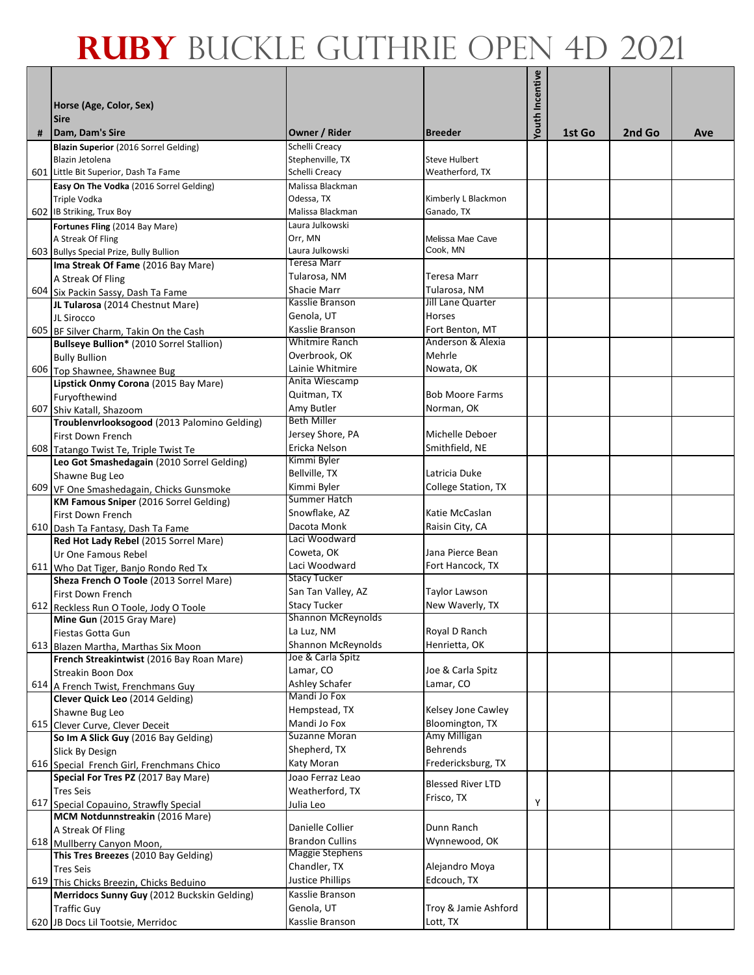|   |                                                                                           |                                                  |                                      | Youth Incentive |        |        |     |
|---|-------------------------------------------------------------------------------------------|--------------------------------------------------|--------------------------------------|-----------------|--------|--------|-----|
|   | Horse (Age, Color, Sex)                                                                   |                                                  |                                      |                 |        |        |     |
|   | <b>Sire</b>                                                                               |                                                  |                                      |                 |        |        |     |
| # | Dam, Dam's Sire                                                                           | Owner / Rider                                    | <b>Breeder</b>                       |                 | 1st Go | 2nd Go | Ave |
|   | Blazin Superior (2016 Sorrel Gelding)                                                     | Schelli Creacy                                   |                                      |                 |        |        |     |
|   | Blazin Jetolena                                                                           | Stephenville, TX                                 | <b>Steve Hulbert</b>                 |                 |        |        |     |
|   | 601 Little Bit Superior, Dash Ta Fame                                                     | Schelli Creacy                                   | Weatherford, TX                      |                 |        |        |     |
|   | Easy On The Vodka (2016 Sorrel Gelding)                                                   | Malissa Blackman                                 |                                      |                 |        |        |     |
|   | <b>Triple Vodka</b><br>602 IB Striking, Trux Boy                                          | Odessa, TX<br>Malissa Blackman                   | Kimberly L Blackmon<br>Ganado, TX    |                 |        |        |     |
|   | Fortunes Fling (2014 Bay Mare)                                                            | Laura Julkowski                                  |                                      |                 |        |        |     |
|   | A Streak Of Fling                                                                         | Orr, MN                                          | Melissa Mae Cave                     |                 |        |        |     |
|   | 603 Bullys Special Prize, Bully Bullion                                                   | Laura Julkowski                                  | Cook, MN                             |                 |        |        |     |
|   | Ima Streak Of Fame (2016 Bay Mare)                                                        | Teresa Marr                                      |                                      |                 |        |        |     |
|   | A Streak Of Fling                                                                         | Tularosa, NM                                     | <b>Teresa Marr</b>                   |                 |        |        |     |
|   | 604 Six Packin Sassy, Dash Ta Fame                                                        | Shacie Marr                                      | Tularosa, NM                         |                 |        |        |     |
|   | JL Tularosa (2014 Chestnut Mare)                                                          | Kasslie Branson                                  | Jill Lane Quarter                    |                 |        |        |     |
|   | JL Sirocco                                                                                | Genola, UT                                       | <b>Horses</b>                        |                 |        |        |     |
|   | 605 BF Silver Charm, Takin On the Cash                                                    | Kasslie Branson<br>Whitmire Ranch                | Fort Benton, MT<br>Anderson & Alexia |                 |        |        |     |
|   | Bullseye Bullion* (2010 Sorrel Stallion)                                                  | Overbrook, OK                                    | Mehrle                               |                 |        |        |     |
|   | <b>Bully Bullion</b><br>606 Top Shawnee, Shawnee Bug                                      | Lainie Whitmire                                  | Nowata, OK                           |                 |        |        |     |
|   | Lipstick Onmy Corona (2015 Bay Mare)                                                      | Anita Wiescamp                                   |                                      |                 |        |        |     |
|   | Furyofthewind                                                                             | Quitman, TX                                      | <b>Bob Moore Farms</b>               |                 |        |        |     |
|   | 607 Shiv Katall, Shazoom                                                                  | Amy Butler                                       | Norman, OK                           |                 |        |        |     |
|   | Troublenvrlooksogood (2013 Palomino Gelding)                                              | <b>Beth Miller</b>                               |                                      |                 |        |        |     |
|   | First Down French                                                                         | Jersey Shore, PA                                 | Michelle Deboer                      |                 |        |        |     |
|   | 608 Tatango Twist Te, Triple Twist Te                                                     | Ericka Nelson                                    | Smithfield, NE                       |                 |        |        |     |
|   | Leo Got Smashedagain (2010 Sorrel Gelding)                                                | Kimmi Byler                                      | Latricia Duke                        |                 |        |        |     |
|   | Shawne Bug Leo                                                                            | Bellville, TX<br>Kimmi Byler                     |                                      |                 |        |        |     |
|   | 609 VF One Smashedagain, Chicks Gunsmoke<br><b>KM Famous Sniper</b> (2016 Sorrel Gelding) | Summer Hatch                                     | College Station, TX                  |                 |        |        |     |
|   | First Down French                                                                         | Snowflake, AZ                                    | Katie McCaslan                       |                 |        |        |     |
|   | 610 Dash Ta Fantasy, Dash Ta Fame                                                         | Dacota Monk                                      | Raisin City, CA                      |                 |        |        |     |
|   | Red Hot Lady Rebel (2015 Sorrel Mare)                                                     | Laci Woodward                                    |                                      |                 |        |        |     |
|   | Ur One Famous Rebel                                                                       | Coweta, OK                                       | Jana Pierce Bean                     |                 |        |        |     |
|   | 611 Who Dat Tiger, Banjo Rondo Red Tx                                                     | Laci Woodward                                    | Fort Hancock, TX                     |                 |        |        |     |
|   | Sheza French O Toole (2013 Sorrel Mare)                                                   | <b>Stacy Tucker</b>                              |                                      |                 |        |        |     |
|   | First Down French                                                                         | San Tan Valley, AZ                               | <b>Taylor Lawson</b>                 |                 |        |        |     |
|   | 612 Reckless Run O Toole, Jody O Toole                                                    | <b>Stacy Tucker</b><br><b>Shannon McReynolds</b> | New Waverly, TX                      |                 |        |        |     |
|   | Mine Gun (2015 Gray Mare)                                                                 | La Luz, NM                                       | Royal D Ranch                        |                 |        |        |     |
|   | Fiestas Gotta Gun<br>613 Blazen Martha, Marthas Six Moon                                  | <b>Shannon McReynolds</b>                        | Henrietta, OK                        |                 |        |        |     |
|   | French Streakintwist (2016 Bay Roan Mare)                                                 | Joe & Carla Spitz                                |                                      |                 |        |        |     |
|   | <b>Streakin Boon Dox</b>                                                                  | Lamar, CO                                        | Joe & Carla Spitz                    |                 |        |        |     |
|   | 614 A French Twist, Frenchmans Guy                                                        | Ashley Schafer                                   | Lamar, CO                            |                 |        |        |     |
|   | Clever Quick Leo (2014 Gelding)                                                           | Mandi Jo Fox                                     |                                      |                 |        |        |     |
|   | Shawne Bug Leo                                                                            | Hempstead, TX                                    | Kelsey Jone Cawley                   |                 |        |        |     |
|   | 615 Clever Curve, Clever Deceit                                                           | Mandi Jo Fox<br>Suzanne Moran                    | Bloomington, TX                      |                 |        |        |     |
|   | So Im A Slick Guy (2016 Bay Gelding)                                                      |                                                  | Amy Milligan<br><b>Behrends</b>      |                 |        |        |     |
|   | Slick By Design                                                                           | Shepherd, TX<br>Katy Moran                       | Fredericksburg, TX                   |                 |        |        |     |
|   | 616 Special French Girl, Frenchmans Chico<br>Special For Tres PZ (2017 Bay Mare)          | Joao Ferraz Leao                                 |                                      |                 |        |        |     |
|   | <b>Tres Seis</b>                                                                          | Weatherford, TX                                  | <b>Blessed River LTD</b>             |                 |        |        |     |
|   | 617 Special Copauino, Strawfly Special                                                    | Julia Leo                                        | Frisco, TX                           | Υ               |        |        |     |
|   | MCM Notdunnstreakin (2016 Mare)                                                           |                                                  |                                      |                 |        |        |     |
|   | A Streak Of Fling                                                                         | Danielle Collier                                 | Dunn Ranch                           |                 |        |        |     |
|   | 618 Mullberry Canyon Moon,                                                                | <b>Brandon Cullins</b>                           | Wynnewood, OK                        |                 |        |        |     |
|   | This Tres Breezes (2010 Bay Gelding)                                                      | Maggie Stephens                                  |                                      |                 |        |        |     |
|   | <b>Tres Seis</b>                                                                          | Chandler, TX                                     | Alejandro Moya                       |                 |        |        |     |
|   | 619 This Chicks Breezin, Chicks Beduino                                                   | <b>Justice Phillips</b><br>Kasslie Branson       | Edcouch, TX                          |                 |        |        |     |
|   | Merridocs Sunny Guy (2012 Buckskin Gelding)<br><b>Traffic Guy</b>                         | Genola, UT                                       | Troy & Jamie Ashford                 |                 |        |        |     |
|   | 620 JB Docs Lil Tootsie, Merridoc                                                         | Kasslie Branson                                  | Lott, TX                             |                 |        |        |     |
|   |                                                                                           |                                                  |                                      |                 |        |        |     |